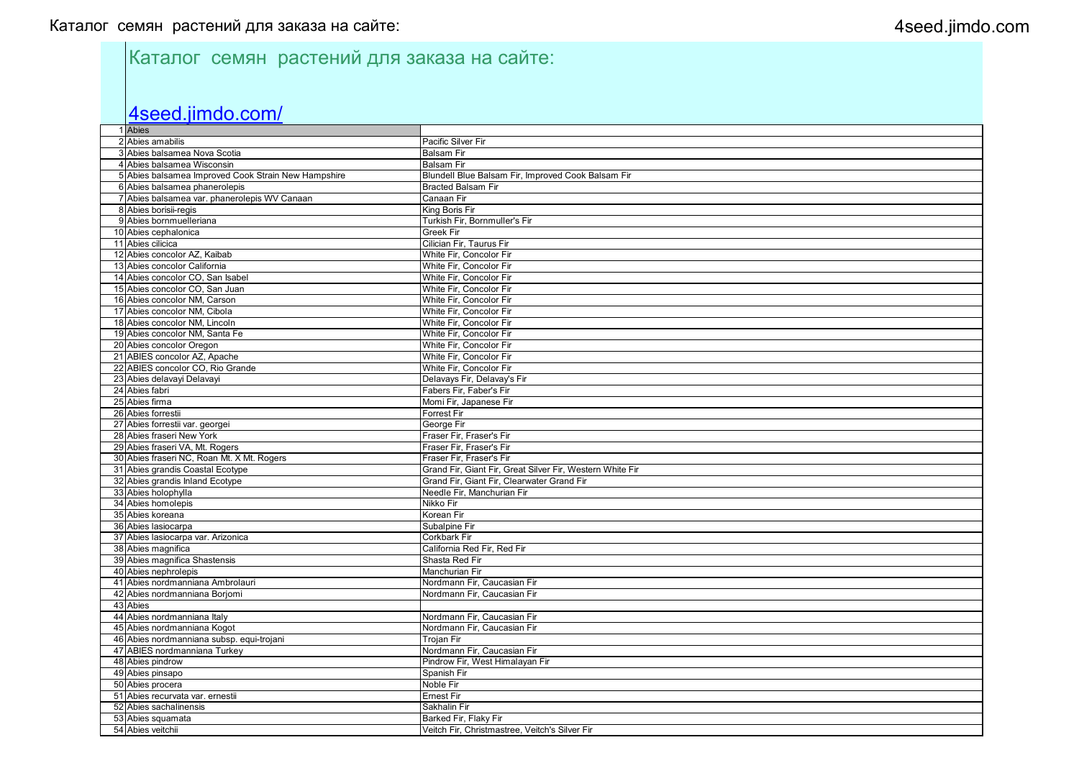# Каталог семян растений для заказа на сайте:

### 4seed.jimdo.com/

| 1 Abies                                             |                                                           |
|-----------------------------------------------------|-----------------------------------------------------------|
| 2 Abies amabilis                                    | <b>Pacific Silver Fir</b>                                 |
| 3 Abies balsamea Nova Scotia                        | <b>Balsam Fir</b>                                         |
| 4 Abies balsamea Wisconsin                          | <b>Balsam Fir</b>                                         |
| 5 Abies balsamea Improved Cook Strain New Hampshire | Blundell Blue Balsam Fir, Improved Cook Balsam Fir        |
| 6 Abies balsamea phanerolepis                       | <b>Bracted Balsam Fir</b>                                 |
| 7 Abies balsamea var. phanerolepis WV Canaan        | Canaan Fir                                                |
| 8 Abies borisii-regis                               | King Boris Fir                                            |
| 9 Abies bornmuelleriana                             | Turkish Fir, Bornmuller's Fir                             |
| 10 Abies cephalonica                                | <b>Greek Fir</b>                                          |
| 11 Abies cilicica                                   | Cilician Fir, Taurus Fir                                  |
| 12 Abies concolor AZ, Kaibab                        | White Fir, Concolor Fir                                   |
| 13 Abies concolor California                        | White Fir, Concolor Fir                                   |
| 14 Abies concolor CO, San Isabel                    | White Fir, Concolor Fir                                   |
| 15 Abies concolor CO, San Juan                      | White Fir, Concolor Fir                                   |
| 16 Abies concolor NM, Carson                        | White Fir, Concolor Fir                                   |
| 17 Abies concolor NM, Cibola                        | White Fir, Concolor Fir                                   |
| 18 Abies concolor NM, Lincoln                       | White Fir, Concolor Fir                                   |
| 19 Abies concolor NM, Santa Fe                      | White Fir, Concolor Fir                                   |
| 20 Abies concolor Oregon                            | White Fir, Concolor Fir                                   |
| 21 ABIES concolor AZ, Apache                        | White Fir, Concolor Fir                                   |
| 22 ABIES concolor CO, Rio Grande                    | White Fir, Concolor Fir                                   |
| 23 Abies delavayi Delavayi                          | Delavays Fir, Delavay's Fir                               |
| 24 Abies fabri                                      | Fabers Fir, Faber's Fir                                   |
| 25 Abies firma                                      | Momi Fir, Japanese Fir                                    |
| 26 Abies forrestii                                  | <b>Forrest Fir</b>                                        |
| 27 Abies forrestii var. georgei                     | George Fir                                                |
| 28 Abies fraseri New York                           | Fraser Fir, Fraser's Fir                                  |
| 29 Abies fraseri VA, Mt. Rogers                     | Fraser Fir, Fraser's Fir                                  |
| 30 Abies fraseri NC, Roan Mt. X Mt. Rogers          | Fraser Fir, Fraser's Fir                                  |
| 31 Abies grandis Coastal Ecotype                    | Grand Fir, Giant Fir, Great Silver Fir, Western White Fir |
| 32 Abies grandis Inland Ecotype                     | Grand Fir, Giant Fir, Clearwater Grand Fir                |
| 33 Abies holophylla                                 | Needle Fir, Manchurian Fir                                |
| 34 Abies homolepis                                  | Nikko Fir                                                 |
| 35 Abies koreana                                    | Korean Fir                                                |
| 36 Abies lasiocarpa                                 | Subalpine Fir                                             |
| 37 Abies lasiocarpa var. Arizonica                  | Corkbark Fir                                              |
| 38 Abies magnifica                                  | California Red Fir, Red Fir                               |
| 39 Abies magnifica Shastensis                       | Shasta Red Fir                                            |
| 40 Abies nephrolepis                                | Manchurian Fir                                            |
| 41 Abies nordmanniana Ambrolauri                    | Nordmann Fir, Caucasian Fir                               |
| 42 Abies nordmanniana Borjomi                       | Nordmann Fir, Caucasian Fir                               |
| 43 Abies                                            |                                                           |
| 44 Abies nordmanniana Italy                         | Nordmann Fir, Caucasian Fir                               |
| 45 Abies nordmanniana Kogot                         | Nordmann Fir, Caucasian Fir                               |
| 46 Abies nordmanniana subsp. equi-trojani           | Trojan Fir                                                |
| 47 ABIES nordmanniana Turkey                        | Nordmann Fir, Caucasian Fir                               |
| 48 Abies pindrow                                    | Pindrow Fir, West Himalayan Fir                           |
| 49 Abies pinsapo                                    | Spanish Fir                                               |
| 50 Abies procera                                    | <b>Noble Fir</b>                                          |
| 51 Abies recurvata var. ernestii                    | <b>Ernest Fir</b>                                         |
| 52 Abies sachalinensis                              | Sakhalin Fir                                              |
| 53 Abies squamata                                   | Barked Fir, Flaky Fir                                     |
| 54 Abies veitchii                                   | Veitch Fir, Christmastree, Veitch's Silver Fir            |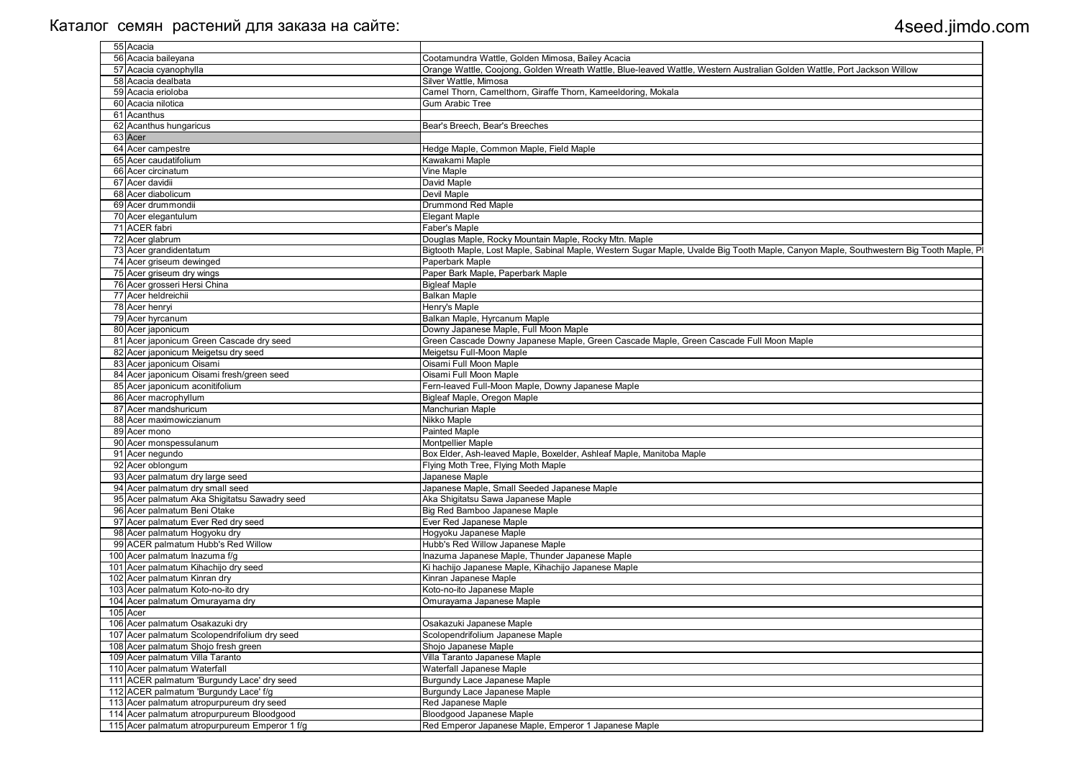| 55 Acacia                                     |                                                                                                                                        |
|-----------------------------------------------|----------------------------------------------------------------------------------------------------------------------------------------|
| 56 Acacia baileyana                           | Cootamundra Wattle, Golden Mimosa, Bailey Acacia                                                                                       |
| 57 Acacia cyanophylla                         | Orange Wattle, Coojong, Golden Wreath Wattle, Blue-leaved Wattle, Western Australian Golden Wattle, Port Jackson Willow                |
| 58 Acacia dealbata                            | Silver Wattle, Mimosa                                                                                                                  |
| 59 Acacia erioloba                            | Camel Thorn, Camelthorn, Giraffe Thorn, Kameeldoring, Mokala                                                                           |
| 60 Acacia nilotica                            | <b>Gum Arabic Tree</b>                                                                                                                 |
| 61 Acanthus                                   |                                                                                                                                        |
| 62 Acanthus hungaricus                        | Bear's Breech, Bear's Breeches                                                                                                         |
| 63 Acer                                       |                                                                                                                                        |
| 64 Acer campestre                             | Hedge Maple, Common Maple, Field Maple                                                                                                 |
| 65 Acer caudatifolium                         | Kawakami Maple                                                                                                                         |
| 66 Acer circinatum                            | Vine Maple                                                                                                                             |
| 67 Acer davidii                               | David Maple                                                                                                                            |
| 68 Acer diabolicum                            | Devil Maple                                                                                                                            |
| 69 Acer drummondii                            | <b>Drummond Red Maple</b>                                                                                                              |
| 70 Acer elegantulum                           | <b>Elegant Maple</b>                                                                                                                   |
| 71 ACER fabri                                 | Faber's Maple                                                                                                                          |
| 72 Acer glabrum                               | Douglas Maple, Rocky Mountain Maple, Rocky Mtn. Maple                                                                                  |
| 3 Acer grandidentatum                         | Bigtooth Maple, Lost Maple, Sabinal Maple, Western Sugar Maple, Uvalde Big Tooth Maple, Canyon Maple, Southwestern Big Tooth Maple, Pl |
|                                               |                                                                                                                                        |
| 4 Acer griseum dewinged                       | Paperbark Maple                                                                                                                        |
| 5 Acer griseum dry wings                      | Paper Bark Maple, Paperbark Maple                                                                                                      |
| <sup>76</sup> Acer grosseri Hersi China       | <b>Bigleaf Maple</b>                                                                                                                   |
| 7 Acer heldreichii                            | <b>Balkan Maple</b>                                                                                                                    |
| <b>Acer henryi</b>                            | Henry's Maple                                                                                                                          |
| 9 Acer hyrcanum                               | Balkan Maple, Hyrcanum Maple                                                                                                           |
| 80 Acer japonicum                             | Downy Japanese Maple, Full Moon Maple                                                                                                  |
| 81 Acer japonicum Green Cascade dry seed      | Green Cascade Downy Japanese Maple, Green Cascade Maple, Green Cascade Full Moon Maple                                                 |
| 82 Acer japonicum Meigetsu dry seed           | Meigetsu Full-Moon Maple                                                                                                               |
| 83 Acer japonicum Oisami                      | Oisami Full Moon Maple                                                                                                                 |
| 84 Acer japonicum Oisami fresh/green seed     | Oisami Full Moon Maple                                                                                                                 |
| 85 Acer japonicum aconitifolium               | Fern-leaved Full-Moon Maple, Downy Japanese Maple                                                                                      |
| 86 Acer macrophyllum                          | Bigleaf Maple, Oregon Maple                                                                                                            |
| 87 Acer mandshuricum                          | Manchurian Maple                                                                                                                       |
| 88 Acer maximowiczianum                       | Nikko Maple                                                                                                                            |
| 89 Acer mono                                  | Painted Maple                                                                                                                          |
| 90 Acer monspessulanum                        | <b>Montpellier Maple</b>                                                                                                               |
| 91 Acer negundo                               | Box Elder, Ash-leaved Maple, Boxelder, Ashleaf Maple, Manitoba Maple                                                                   |
| 92 Acer oblongum                              | Flying Moth Tree, Flying Moth Maple                                                                                                    |
| 93 Acer palmatum dry large seed               | Japanese Maple                                                                                                                         |
|                                               |                                                                                                                                        |
| 94 Acer palmatum dry small seed               | Japanese Maple, Small Seeded Japanese Maple                                                                                            |
| 95 Acer palmatum Aka Shigitatsu Sawadry seed  | Aka Shigitatsu Sawa Japanese Maple                                                                                                     |
| 96 Acer palmatum Beni Otake                   | Big Red Bamboo Japanese Maple                                                                                                          |
| 97 Acer palmatum Ever Red dry seed            | Ever Red Japanese Maple                                                                                                                |
| 98 Acer palmatum Hogyoku dry                  | Hogyoku Japanese Maple                                                                                                                 |
| 99 ACER palmatum Hubb's Red Willow            | Hubb's Red Willow Japanese Maple                                                                                                       |
| 100 Acer palmatum Inazuma f/g                 | Inazuma Japanese Maple, Thunder Japanese Maple                                                                                         |
| 101 Acer palmatum Kihachijo dry seed          | Ki hachijo Japanese Maple, Kihachijo Japanese Maple                                                                                    |
| 102 Acer palmatum Kinran dry                  | Kinran Japanese Maple                                                                                                                  |
| 103 Acer palmatum Koto-no-ito dry             | Koto-no-ito Japanese Maple                                                                                                             |
| 104 Acer palmatum Omurayama dry               | Omurayama Japanese Maple                                                                                                               |
| 105 Acer                                      |                                                                                                                                        |
| 106 Acer palmatum Osakazuki dry               | Osakazuki Japanese Maple                                                                                                               |
| 107 Acer palmatum Scolopendrifolium dry seed  | Scolopendrifolium Japanese Maple                                                                                                       |
| 108 Acer palmatum Shojo fresh green           | Shojo Japanese Maple                                                                                                                   |
| 109 Acer palmatum Villa Taranto               | Villa Taranto Japanese Maple                                                                                                           |
| 110 Acer palmatum Waterfall                   | Waterfall Japanese Maple                                                                                                               |
| 111 ACER palmatum 'Burgundy Lace' dry seed    | Burgundy Lace Japanese Maple                                                                                                           |
|                                               |                                                                                                                                        |
| 112 ACER palmatum 'Burgundy Lace' f/g         | Burgundy Lace Japanese Maple                                                                                                           |
| 113 Acer palmatum atropurpureum dry seed      | Red Japanese Maple                                                                                                                     |
| 114 Acer palmatum atropurpureum Bloodgood     | Bloodgood Japanese Maple                                                                                                               |
| 115 Acer palmatum atropurpureum Emperor 1 f/g | Red Emperor Japanese Maple, Emperor 1 Japanese Maple                                                                                   |

| attle, Port Jackson Willow                |
|-------------------------------------------|
|                                           |
|                                           |
|                                           |
|                                           |
|                                           |
|                                           |
|                                           |
|                                           |
|                                           |
|                                           |
|                                           |
|                                           |
|                                           |
|                                           |
| n Maple, Southwestern Big Tooth Maple, Pl |
|                                           |
|                                           |
|                                           |
|                                           |
|                                           |
|                                           |
|                                           |
|                                           |
|                                           |
|                                           |
|                                           |
|                                           |
|                                           |
|                                           |
|                                           |
|                                           |
|                                           |
|                                           |
|                                           |
|                                           |
|                                           |
|                                           |
|                                           |
|                                           |
|                                           |
|                                           |
|                                           |
|                                           |
|                                           |
|                                           |
|                                           |
|                                           |
|                                           |
|                                           |
|                                           |
|                                           |
|                                           |
|                                           |
|                                           |
|                                           |
|                                           |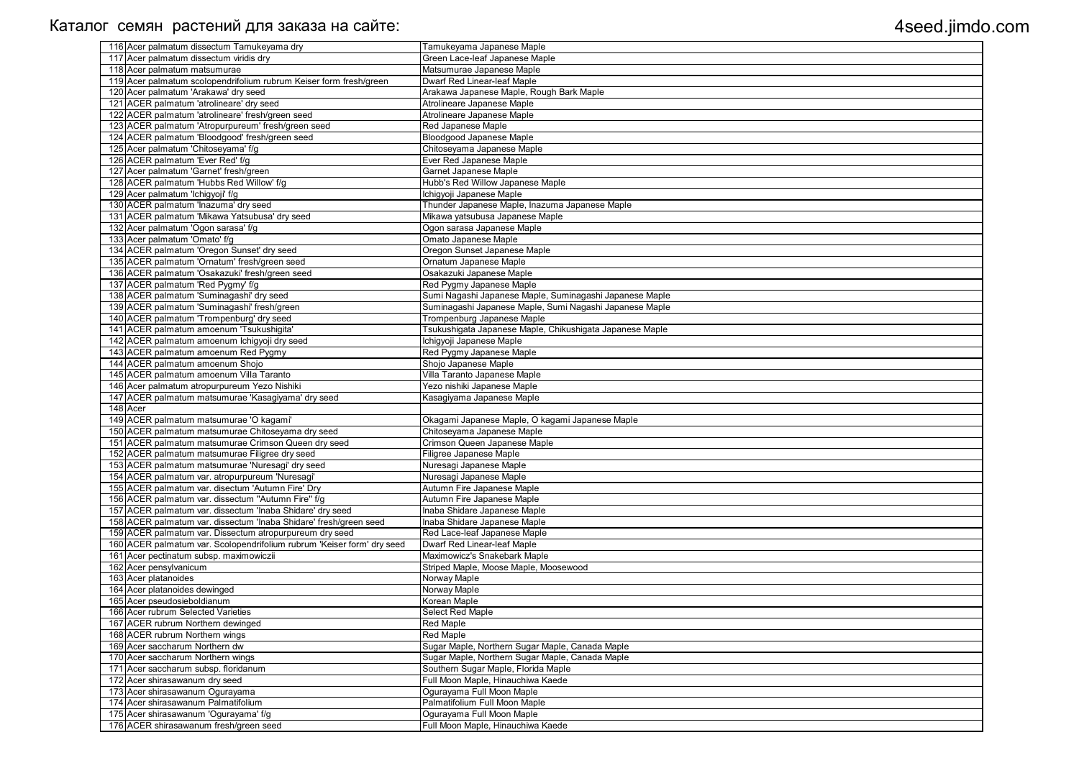| 116 Acer palmatum dissectum Tamukeyama dry                                              | Tamukeyama Japanese Maple                                |
|-----------------------------------------------------------------------------------------|----------------------------------------------------------|
| 117 Acer palmatum dissectum viridis dry                                                 | Green Lace-leaf Japanese Maple                           |
| 118 Acer palmatum matsumurae                                                            | Matsumurae Japanese Maple                                |
| 119 Acer palmatum scolopendrifolium rubrum Keiser form fresh/green                      | <b>Dwarf Red Linear-leaf Maple</b>                       |
| 120 Acer palmatum 'Arakawa' dry seed                                                    | Arakawa Japanese Maple, Rough Bark Maple                 |
| 121 ACER palmatum 'atrolineare' dry seed                                                | Atrolineare Japanese Maple                               |
| 122 ACER palmatum 'atrolineare' fresh/green seed                                        | Atrolineare Japanese Maple                               |
| 123 ACER palmatum 'Atropurpureum' fresh/green seed                                      | Red Japanese Maple                                       |
| 124 ACER palmatum 'Bloodgood' fresh/green seed                                          | <b>Bloodgood Japanese Maple</b>                          |
| 125 Acer palmatum 'Chitoseyama' f/g                                                     | Chitoseyama Japanese Maple                               |
| 126 ACER palmatum 'Ever Red' f/g                                                        | Ever Red Japanese Maple                                  |
| 127 Acer palmatum 'Garnet' fresh/green                                                  | Garnet Japanese Maple                                    |
| 128 ACER palmatum 'Hubbs Red Willow' f/g                                                | Hubb's Red Willow Japanese Maple                         |
| 129 Acer palmatum 'Ichigyoji' f/g                                                       | Ichigyoji Japanese Maple                                 |
| 130 ACER palmatum 'Inazuma' dry seed                                                    | Thunder Japanese Maple, Inazuma Japanese Maple           |
| 131 ACER palmatum 'Mikawa Yatsubusa' dry seed                                           | Mikawa yatsubusa Japanese Maple                          |
| 132 Acer palmatum 'Ogon sarasa' f/g                                                     | Ogon sarasa Japanese Maple                               |
| 133 Acer palmatum 'Omato' f/g                                                           | Omato Japanese Maple                                     |
| 134 ACER palmatum 'Oregon Sunset' dry seed                                              | Oregon Sunset Japanese Maple                             |
| 135 ACER palmatum 'Ornatum' fresh/green seed                                            | Ornatum Japanese Maple                                   |
| 136 ACER palmatum 'Osakazuki' fresh/green seed                                          | Osakazuki Japanese Maple                                 |
| 137 ACER palmatum 'Red Pygmy' f/g                                                       | Red Pygmy Japanese Maple                                 |
| 138 ACER palmatum 'Suminagashi' dry seed                                                | Sumi Nagashi Japanese Maple, Suminagashi Japanese Maple  |
| 139 ACER palmatum 'Suminagashi' fresh/green                                             | Suminagashi Japanese Maple, Sumi Nagashi Japanese Maple  |
| 140 ACER palmatum 'Trompenburg' dry seed                                                | Trompenburg Japanese Maple                               |
| 141 ACER palmatum amoenum 'Tsukushigita'                                                | Tsukushigata Japanese Maple, Chikushigata Japanese Maple |
| 142 ACER palmatum amoenum Ichigyoji dry seed                                            | Ichigyoji Japanese Maple                                 |
| 143 ACER palmatum amoenum Red Pygmy                                                     | Red Pygmy Japanese Maple                                 |
|                                                                                         |                                                          |
| 144 ACER palmatum amoenum Shojo                                                         | Shojo Japanese Maple                                     |
| 145 ACER palmatum amoenum Villa Taranto<br>146 Acer palmatum atropurpureum Yezo Nishiki | Villa Taranto Japanese Maple                             |
|                                                                                         | Yezo nishiki Japanese Maple                              |
| 147 ACER palmatum matsumurae 'Kasagiyama' dry seed<br>148 Acer                          | Kasagiyama Japanese Maple                                |
| 149 ACER palmatum matsumurae 'O kagami'                                                 |                                                          |
|                                                                                         | Okagami Japanese Maple, O kagami Japanese Maple          |
| 150 ACER palmatum matsumurae Chitoseyama dry seed                                       | Chitoseyama Japanese Maple                               |
| 151 ACER palmatum matsumurae Crimson Queen dry seed                                     | Crimson Queen Japanese Maple                             |
| 152 ACER palmatum matsumurae Filigree dry seed                                          | Filigree Japanese Maple                                  |
| 153 ACER palmatum matsumurae 'Nuresagi' dry seed                                        | Nuresagi Japanese Maple                                  |
| 154 ACER palmatum var. atropurpureum 'Nuresagi'                                         | Nuresagi Japanese Maple                                  |
| 155 ACER palmatum var. disectum 'Autumn Fire' Dry                                       | Autumn Fire Japanese Maple                               |
| 156 ACER palmatum var. dissectum "Autumn Fire" f/g                                      | Autumn Fire Japanese Maple                               |
| 157 ACER palmatum var. dissectum 'Inaba Shidare' dry seed                               | Inaba Shidare Japanese Maple                             |
| 158 ACER palmatum var. dissectum 'Inaba Shidare' fresh/green seed                       | Inaba Shidare Japanese Maple                             |
| 159 ACER palmatum var. Dissectum atropurpureum dry seed                                 | Red Lace-leaf Japanese Maple                             |
| 160 ACER palmatum var. Scolopendrifolium rubrum 'Keiser form' dry seed                  | Dwarf Red Linear-leaf Maple                              |
| 161 Acer pectinatum subsp. maximowiczii                                                 | Maximowicz's Snakebark Maple                             |
| 162 Acer pensylvanicum                                                                  | Striped Maple, Moose Maple, Moosewood                    |
| 163 Acer platanoides                                                                    | Norway Maple                                             |
| 164 Acer platanoides dewinged                                                           | Norway Maple                                             |
| 165 Acer pseudosieboldianum                                                             | Korean Maple                                             |
| 166 Acer rubrum Selected Varieties                                                      | Select Red Maple                                         |
| 167 ACER rubrum Northern dewinged                                                       | <b>Red Maple</b>                                         |
| 168 ACER rubrum Northern wings                                                          | Red Maple                                                |
| 169 Acer saccharum Northern dw                                                          | Sugar Maple, Northern Sugar Maple, Canada Maple          |
| 170 Acer saccharum Northern wings                                                       | Sugar Maple, Northern Sugar Maple, Canada Maple          |
| 171 Acer saccharum subsp. floridanum                                                    | Southern Sugar Maple, Florida Maple                      |
| 172 Acer shirasawanum dry seed                                                          | Full Moon Maple, Hinauchiwa Kaede                        |
| 173 Acer shirasawanum Ogurayama                                                         | Ogurayama Full Moon Maple                                |
| 174 Acer shirasawanum Palmatifolium                                                     | Palmatifolium Full Moon Maple                            |
| 175 Acer shirasawanum 'Ogurayama' f/g                                                   | Ogurayama Full Moon Maple                                |
| 176 ACER shirasawanum fresh/green seed                                                  | Full Moon Maple, Hinauchiwa Kaede                        |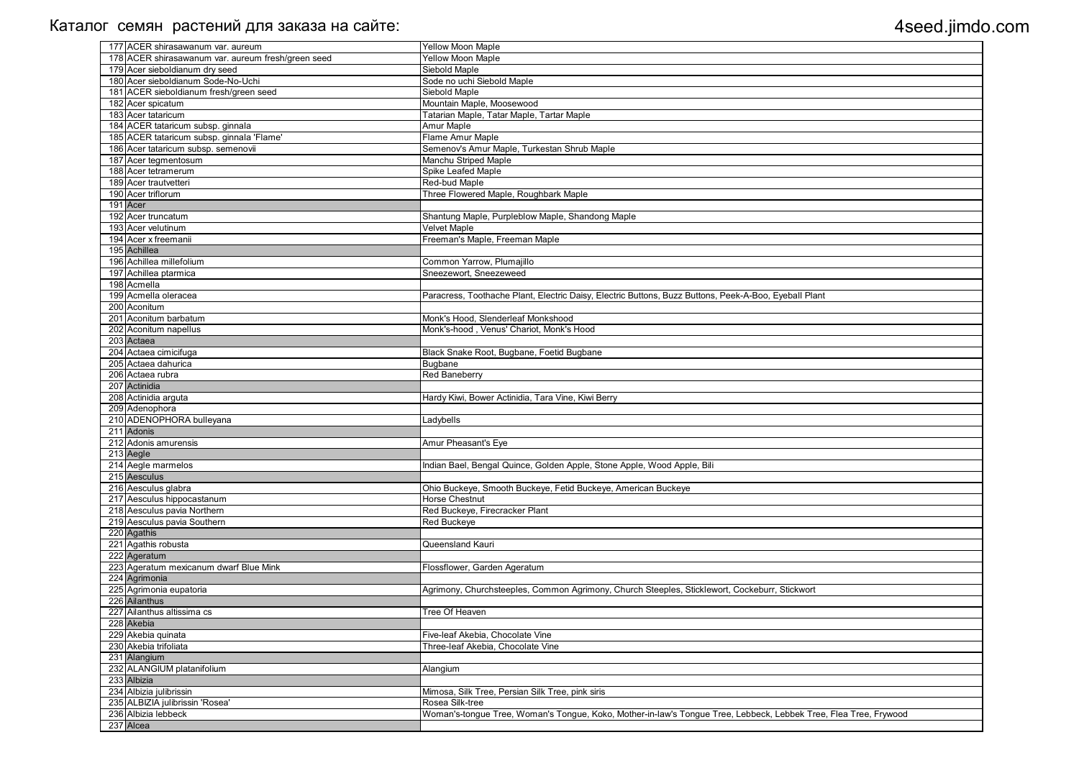| 177 ACER shirasawanum var. aureum                  | Yellow Moon Maple                                                                                                |
|----------------------------------------------------|------------------------------------------------------------------------------------------------------------------|
| 178 ACER shirasawanum var. aureum fresh/green seed | <b>Yellow Moon Maple</b>                                                                                         |
| 179 Acer sieboldianum dry seed                     | Siebold Maple                                                                                                    |
| 180 Acer sieboldianum Sode-No-Uchi                 | Sode no uchi Siebold Maple                                                                                       |
| 181 ACER sieboldianum fresh/green seed             | Siebold Maple                                                                                                    |
| 182 Acer spicatum                                  | Mountain Maple, Moosewood                                                                                        |
| 183 Acer tataricum                                 | Tatarian Maple, Tatar Maple, Tartar Maple                                                                        |
| 184 ACER tataricum subsp. ginnala                  | Amur Maple                                                                                                       |
| 185 ACER tataricum subsp. ginnala 'Flame'          | Flame Amur Maple                                                                                                 |
| 186 Acer tataricum subsp. semenovii                | Semenov's Amur Maple, Turkestan Shrub Maple                                                                      |
| 187 Acer tegmentosum                               | Manchu Striped Maple                                                                                             |
| 188 Acer tetramerum                                | Spike Leafed Maple                                                                                               |
| 189 Acer trautvetteri                              | Red-bud Maple                                                                                                    |
| 190 Acer triflorum                                 | Three Flowered Maple, Roughbark Maple                                                                            |
| 191 Acer                                           |                                                                                                                  |
| 192 Acer truncatum                                 | Shantung Maple, Purpleblow Maple, Shandong Maple                                                                 |
| 193 Acer velutinum                                 | <b>Velvet Maple</b>                                                                                              |
| 194 Acer x freemanii                               | Freeman's Maple, Freeman Maple                                                                                   |
| 195 Achillea                                       |                                                                                                                  |
| 196 Achillea millefolium                           | Common Yarrow, Plumajillo                                                                                        |
| 197 Achillea ptarmica                              | Sneezewort, Sneezeweed                                                                                           |
| 198 Acmella                                        |                                                                                                                  |
| 199 Acmella oleracea                               | Paracress, Toothache Plant, Electric Daisy, Electric Buttons, Buzz Buttons, Peek-A-Boo, Eyeball Plant            |
| 200 Aconitum                                       |                                                                                                                  |
| 201 Aconitum barbatum                              | Monk's Hood, Slenderleaf Monkshood                                                                               |
| 202 Aconitum napellus                              | Monk's-hood, Venus' Chariot, Monk's Hood                                                                         |
| 203 Actaea                                         |                                                                                                                  |
| 204 Actaea cimicifuga                              | Black Snake Root, Bugbane, Foetid Bugbane                                                                        |
| 205 Actaea dahurica                                | <b>Bugbane</b>                                                                                                   |
| 206 Actaea rubra                                   | Red Baneberry                                                                                                    |
| 207 Actinidia                                      |                                                                                                                  |
| 208 Actinidia arguta                               | Hardy Kiwi, Bower Actinidia, Tara Vine, Kiwi Berry                                                               |
| 209 Adenophora                                     |                                                                                                                  |
| 210 ADENOPHORA bulleyana                           | Ladybells                                                                                                        |
| 211 Adonis                                         |                                                                                                                  |
| 212 Adonis amurensis                               | Amur Pheasant's Eye                                                                                              |
| 213 Aegle                                          |                                                                                                                  |
| 214 Aegle marmelos                                 | Indian Bael, Bengal Quince, Golden Apple, Stone Apple, Wood Apple, Bili                                          |
| 215 Aesculus                                       |                                                                                                                  |
| 216 Aesculus glabra                                | Ohio Buckeye, Smooth Buckeye, Fetid Buckeye, American Buckeye                                                    |
| 217 Aesculus hippocastanum                         | Horse Chestnut                                                                                                   |
| 218 Aesculus pavia Northern                        | Red Buckeye, Firecracker Plant                                                                                   |
| 219 Aesculus pavia Southern                        | Red Buckeye                                                                                                      |
| 220 Agathis                                        |                                                                                                                  |
| 221 Agathis robusta                                | Queensland Kauri                                                                                                 |
| 222 Ageratum                                       |                                                                                                                  |
| 223 Ageratum mexicanum dwarf Blue Mink             | Flossflower, Garden Ageratum                                                                                     |
| 224 Agrimonia                                      |                                                                                                                  |
| 225 Agrimonia eupatoria                            | Agrimony, Churchsteeples, Common Agrimony, Church Steeples, Sticklewort, Cockeburr, Stickwort                    |
| 226 Ailanthus                                      |                                                                                                                  |
| 227 Ailanthus altissima cs                         | Tree Of Heaven                                                                                                   |
| 228 Akebia                                         |                                                                                                                  |
| 229 Akebia quinata                                 | Five-leaf Akebia, Chocolate Vine                                                                                 |
| 230 Akebia trifoliata                              | Three-leaf Akebia, Chocolate Vine                                                                                |
| 231 Alangium                                       |                                                                                                                  |
| 232 ALANGIUM platanifolium                         | Alangium                                                                                                         |
| 233 Albizia                                        |                                                                                                                  |
| 234 Albizia julibrissin                            | Mimosa, Silk Tree, Persian Silk Tree, pink siris                                                                 |
| 235 ALBIZIA julibrissin 'Rosea'                    | Rosea Silk-tree                                                                                                  |
| 236 Albizia lebbeck                                | Woman's-tongue Tree, Woman's Tongue, Koko, Mother-in-law's Tongue Tree, Lebbeck, Lebbek Tree, Flea Tree, Frywood |
| 237 Alcea                                          |                                                                                                                  |
|                                                    |                                                                                                                  |

| $\overline{\mathsf{int}}$ |
|---------------------------|
|                           |
|                           |
|                           |
|                           |
|                           |
|                           |
|                           |
|                           |
|                           |
|                           |
|                           |
|                           |
|                           |
|                           |
|                           |
|                           |
|                           |
|                           |
|                           |
|                           |
|                           |
|                           |
|                           |
|                           |
|                           |
|                           |
|                           |
|                           |
|                           |
|                           |
|                           |
|                           |
|                           |
|                           |
|                           |
|                           |
|                           |
|                           |
|                           |
|                           |
| ee, Flea Tree, Frywood    |
|                           |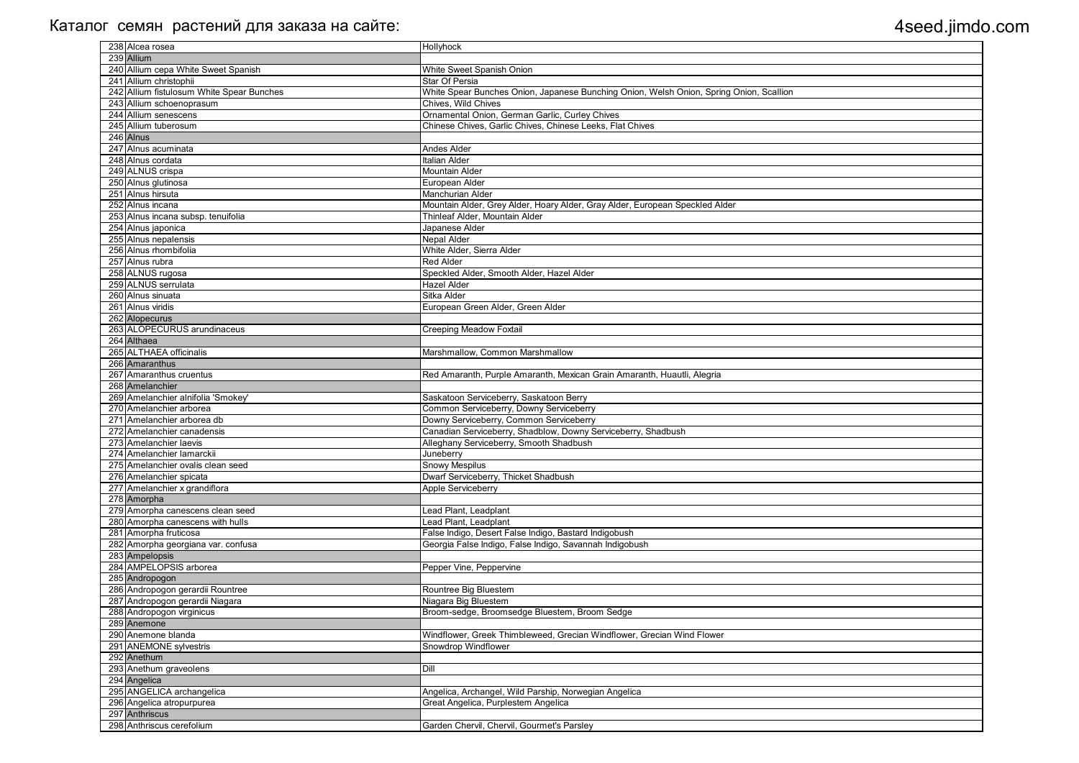| 238 Alcea rosea                           | Hollyhock                                                                               |
|-------------------------------------------|-----------------------------------------------------------------------------------------|
|                                           |                                                                                         |
| 239 Allium                                |                                                                                         |
| 240 Allium cepa White Sweet Spanish       | White Sweet Spanish Onion                                                               |
| 241 Allium christophii                    | Star Of Persia                                                                          |
| 242 Allium fistulosum White Spear Bunches | White Spear Bunches Onion, Japanese Bunching Onion, Welsh Onion, Spring Onion, Scallion |
| 243 Allium schoenoprasum                  | Chives, Wild Chives                                                                     |
| 244 Allium senescens                      | Ornamental Onion, German Garlic, Curley Chives                                          |
| 245 Allium tuberosum                      |                                                                                         |
|                                           | Chinese Chives, Garlic Chives, Chinese Leeks, Flat Chives                               |
| 246 Alnus                                 |                                                                                         |
| 247 Alnus acuminata                       | <b>Andes Alder</b>                                                                      |
| 248 Alnus cordata                         | <b>Italian Alder</b>                                                                    |
| 249 ALNUS crispa                          | <b>Mountain Alder</b>                                                                   |
| 250 Alnus glutinosa                       | European Alder                                                                          |
| 251 Alnus hirsuta                         | Manchurian Alder                                                                        |
| 252 Alnus incana                          |                                                                                         |
|                                           | Mountain Alder, Grey Alder, Hoary Alder, Gray Alder, European Speckled Alder            |
| 253 Alnus incana subsp. tenuifolia        | Thinleaf Alder, Mountain Alder                                                          |
| 254 Alnus japonica                        | Japanese Alder                                                                          |
| 255 Alnus nepalensis                      | Nepal Alder                                                                             |
| 256 Alnus rhombifolia                     | White Alder, Sierra Alder                                                               |
| 257 Alnus rubra                           | <b>Red Alder</b>                                                                        |
| 258 ALNUS rugosa                          | Speckled Alder, Smooth Alder, Hazel Alder                                               |
| 259 ALNUS serrulata                       | <b>Hazel Alder</b>                                                                      |
| 260 Alnus sinuata                         | Sitka Alder                                                                             |
|                                           |                                                                                         |
| 261 Alnus viridis                         | European Green Alder, Green Alder                                                       |
| 262 Alopecurus                            |                                                                                         |
| 263 ALOPECURUS arundinaceus               | <b>Creeping Meadow Foxtail</b>                                                          |
| 264 Althaea                               |                                                                                         |
| 265 ALTHAEA officinalis                   | Marshmallow, Common Marshmallow                                                         |
| 266 Amaranthus                            |                                                                                         |
| 267 Amaranthus cruentus                   | Red Amaranth, Purple Amaranth, Mexican Grain Amaranth, Huautli, Alegria                 |
| 268 Amelanchier                           |                                                                                         |
|                                           |                                                                                         |
| 269 Amelanchier alnifolia 'Smokey'        | Saskatoon Serviceberry, Saskatoon Berry                                                 |
| 270 Amelanchier arborea                   | Common Serviceberry, Downy Serviceberry                                                 |
| 271 Amelanchier arborea db                | Downy Serviceberry, Common Serviceberry                                                 |
| 272 Amelanchier canadensis                | Canadian Serviceberry, Shadblow, Downy Serviceberry, Shadbush                           |
| 273 Amelanchier laevis                    | Alleghany Serviceberry, Smooth Shadbush                                                 |
| 274 Amelanchier lamarckii                 | Juneberry                                                                               |
| 275 Amelanchier ovalis clean seed         | <b>Snowy Mespilus</b>                                                                   |
| 276 Amelanchier spicata                   | Dwarf Serviceberry, Thicket Shadbush                                                    |
|                                           |                                                                                         |
| 277 Amelanchier x grandiflora             | Apple Serviceberry                                                                      |
| 278 Amorpha                               |                                                                                         |
| 279 Amorpha canescens clean seed          | Lead Plant, Leadplant                                                                   |
| 280 Amorpha canescens with hulls          | Lead Plant, Leadplant                                                                   |
| 281 Amorpha fruticosa                     | False Indigo, Desert False Indigo, Bastard Indigobush                                   |
| 282 Amorpha georgiana var. confusa        | Georgia False Indigo, False Indigo, Savannah Indigobush                                 |
| 283 Ampelopsis                            |                                                                                         |
| 284 AMPELOPSIS arborea                    | Pepper Vine, Peppervine                                                                 |
|                                           |                                                                                         |
| 285 Andropogon                            |                                                                                         |
| 286 Andropogon gerardii Rountree          | Rountree Big Bluestem                                                                   |
| 287 Andropogon gerardii Niagara           | Niagara Big Bluestem                                                                    |
| 288 Andropogon virginicus                 | Broom-sedge, Broomsedge Bluestem, Broom Sedge                                           |
| 289 Anemone                               |                                                                                         |
| 290 Anemone blanda                        | Windflower, Greek Thimbleweed, Grecian Windflower, Grecian Wind Flower                  |
| 291 ANEMONE sylvestris                    | Snowdrop Windflower                                                                     |
| 292 Anethum                               |                                                                                         |
| 293 Anethum graveolens                    | Dill                                                                                    |
|                                           |                                                                                         |
| 294 Angelica                              |                                                                                         |
| 295 ANGELICA archangelica                 | Angelica, Archangel, Wild Parship, Norwegian Angelica                                   |
| 296 Angelica atropurpurea                 | Great Angelica, Purplestem Angelica                                                     |
| 297 Anthriscus                            |                                                                                         |
| 298 Anthriscus cerefolium                 | Garden Chervil, Chervil, Gourmet's Parsley                                              |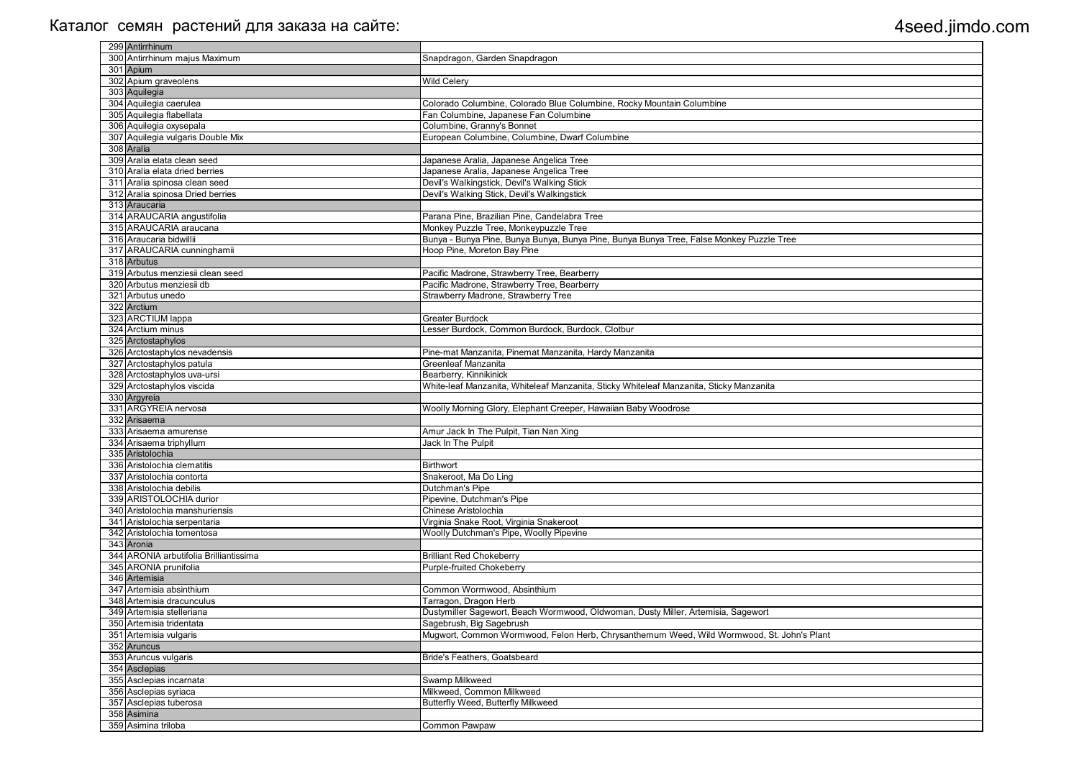| 299 Antirrhinum                        |                                                                                           |
|----------------------------------------|-------------------------------------------------------------------------------------------|
| 300 Antirrhinum majus Maximum          | Snapdragon, Garden Snapdragon                                                             |
| 301 Apium                              |                                                                                           |
| 302 Apium graveolens                   | <b>Wild Celery</b>                                                                        |
| 303 Aquilegia                          |                                                                                           |
| 304 Aquilegia caerulea                 | Colorado Columbine, Colorado Blue Columbine, Rocky Mountain Columbine                     |
| 305 Aquilegia flabellata               | Fan Columbine, Japanese Fan Columbine                                                     |
| 306 Aquilegia oxysepala                | Columbine, Granny's Bonnet                                                                |
| 307 Aquilegia vulgaris Double Mix      | European Columbine, Columbine, Dwarf Columbine                                            |
| 308 Aralia                             |                                                                                           |
| 309 Aralia elata clean seed            |                                                                                           |
| 310 Aralia elata dried berries         | Japanese Aralia, Japanese Angelica Tree                                                   |
|                                        | Japanese Aralia, Japanese Angelica Tree                                                   |
| 311 Aralia spinosa clean seed          | Devil's Walkingstick, Devil's Walking Stick                                               |
| 312 Aralia spinosa Dried berries       | Devil's Walking Stick, Devil's Walkingstick                                               |
| 313 Araucaria                          |                                                                                           |
| 314 ARAUCARIA angustifolia             | Parana Pine, Brazilian Pine, Candelabra Tree                                              |
| 315 ARAUCARIA araucana                 | Monkey Puzzle Tree, Monkeypuzzle Tree                                                     |
| 316 Araucaria bidwillii                | Bunya - Bunya Pine, Bunya Bunya, Bunya Pine, Bunya Bunya Tree, False Monkey Puzzle Tree   |
| 317 ARAUCARIA cunninghamii             | Hoop Pine, Moreton Bay Pine                                                               |
| 318 Arbutus                            |                                                                                           |
| 319 Arbutus menziesii clean seed       | Pacific Madrone, Strawberry Tree, Bearberry                                               |
| 320 Arbutus menziesii db               | Pacific Madrone, Strawberry Tree, Bearberry                                               |
| 321 Arbutus unedo                      | Strawberry Madrone, Strawberry Tree                                                       |
| 322 Arctium                            |                                                                                           |
| 323 ARCTIUM lappa                      | <b>Greater Burdock</b>                                                                    |
| 324 Arctium minus                      | Lesser Burdock, Common Burdock, Burdock, Clotbur                                          |
| 325 Arctostaphylos                     |                                                                                           |
| 326 Arctostaphylos nevadensis          | Pine-mat Manzanita, Pinemat Manzanita, Hardy Manzanita                                    |
| 327 Arctostaphylos patula              | Greenleaf Manzanita                                                                       |
| 328 Arctostaphylos uva-ursi            | Bearberry, Kinnikinick                                                                    |
| 329 Arctostaphylos viscida             | White-leaf Manzanita, Whiteleaf Manzanita, Sticky Whiteleaf Manzanita, Sticky Manzanita   |
| 330 Argyreia                           |                                                                                           |
| 331 ARGYREIA nervosa                   |                                                                                           |
| 332 Arisaema                           | Woolly Morning Glory, Elephant Creeper, Hawaiian Baby Woodrose                            |
|                                        |                                                                                           |
| 333 Arisaema amurense                  | Amur Jack In The Pulpit, Tian Nan Xing                                                    |
| 334 Arisaema triphyllum                | Jack In The Pulpit                                                                        |
| 335 Aristolochia                       |                                                                                           |
| 336 Aristolochia clematitis            | <b>Birthwort</b>                                                                          |
| 337 Aristolochia contorta              | Snakeroot, Ma Do Ling                                                                     |
| 338 Aristolochia debilis               | Dutchman's Pipe                                                                           |
| 339 ARISTOLOCHIA durior                | Pipevine, Dutchman's Pipe                                                                 |
| 340 Aristolochia manshuriensis         | Chinese Aristolochia                                                                      |
| 341 Aristolochia serpentaria           | Virginia Snake Root, Virginia Snakeroot                                                   |
| 342 Aristolochia tomentosa             | Woolly Dutchman's Pipe, Woolly Pipevine                                                   |
| 343 Aronia                             |                                                                                           |
| 344 ARONIA arbutifolia Brilliantissima | <b>Brilliant Red Chokeberry</b>                                                           |
| 345 ARONIA prunifolia                  | <b>Purple-fruited Chokeberry</b>                                                          |
| 346 Artemisia                          |                                                                                           |
| 347 Artemisia absinthium               | Common Wormwood, Absinthium                                                               |
| 348 Artemisia dracunculus              | Tarragon, Dragon Herb                                                                     |
| 349 Artemisia stelleriana              | Dustymiller Sagewort, Beach Wormwood, Oldwoman, Dusty Miller, Artemisia, Sagewort         |
| 350 Artemisia tridentata               | Sagebrush, Big Sagebrush                                                                  |
| 351 Artemisia vulgaris                 | Mugwort, Common Wormwood, Felon Herb, Chrysanthemum Weed, Wild Wormwood, St. John's Plant |
|                                        |                                                                                           |
| 352 Aruncus                            |                                                                                           |
| 353 Aruncus vulgaris                   | Bride's Feathers, Goatsbeard                                                              |
| 354 Asclepias                          |                                                                                           |
| 355 Asclepias incarnata                | Swamp Milkweed                                                                            |
| 356 Asclepias syriaca                  | Milkweed, Common Milkweed                                                                 |
| 357 Asclepias tuberosa                 | Butterfly Weed, Butterfly Milkweed                                                        |
| 358 Asimina                            |                                                                                           |
| 359 Asimina triloba                    | Common Pawpaw                                                                             |

| lant |
|------|
|      |
|      |
|      |
|      |
|      |
|      |
|      |
|      |
|      |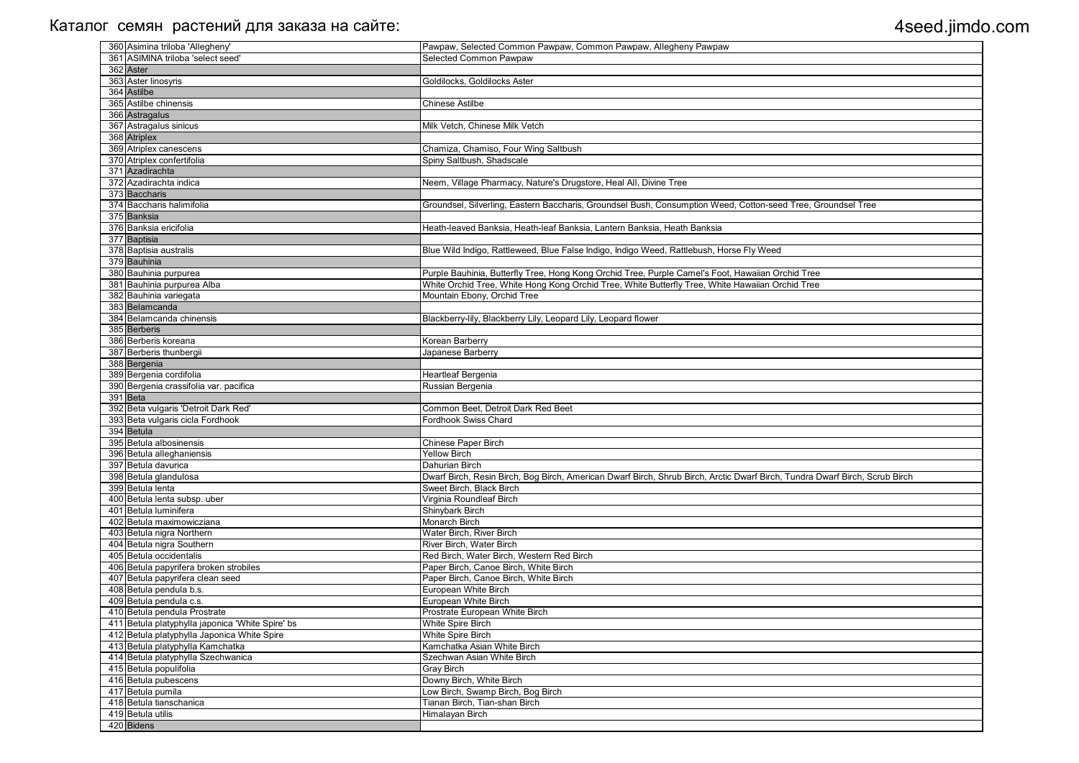| 360 Asimina triloba 'Allegheny'                  | Pawpaw, Selected Common Pawpaw, Common Pawpaw, Allegheny Pawpaw                                                             |
|--------------------------------------------------|-----------------------------------------------------------------------------------------------------------------------------|
| 361 ASIMINA triloba 'select seed'                | Selected Common Pawpaw                                                                                                      |
| 362 Aster                                        |                                                                                                                             |
| 363 Aster linosyris                              | Goldilocks, Goldilocks Aster                                                                                                |
| 364 Astilbe                                      |                                                                                                                             |
| 365 Astilbe chinensis                            | <b>Chinese Astilbe</b>                                                                                                      |
| 366 Astragalus                                   |                                                                                                                             |
| 367 Astragalus sinicus                           | Milk Vetch, Chinese Milk Vetch                                                                                              |
| 368 Atriplex                                     |                                                                                                                             |
| 369 Atriplex canescens                           | Chamiza, Chamiso, Four Wing Saltbush                                                                                        |
| 370 Atriplex confertifolia                       | Spiny Saltbush, Shadscale                                                                                                   |
| 371 Azadirachta                                  |                                                                                                                             |
| 372 Azadirachta indica                           | Neem, Village Pharmacy, Nature's Drugstore, Heal All, Divine Tree                                                           |
| 373 Baccharis                                    |                                                                                                                             |
| 374 Baccharis halimifolia                        | Groundsel, Silverling, Eastern Baccharis, Groundsel Bush, Consumption Weed, Cotton-seed Tree, Groundsel Tree                |
| 375 Banksia                                      |                                                                                                                             |
| 376 Banksia ericifolia                           | Heath-leaved Banksia, Heath-leaf Banksia, Lantern Banksia, Heath Banksia                                                    |
| 377 Baptisia                                     |                                                                                                                             |
| 378 Baptisia australis                           | Blue Wild Indigo, Rattleweed, Blue False Indigo, Indigo Weed, Rattlebush, Horse Fly Weed                                    |
| 379 Bauhinia                                     |                                                                                                                             |
| 380 Bauhinia purpurea                            | Purple Bauhinia, Butterfly Tree, Hong Kong Orchid Tree, Purple Camel's Foot, Hawaiian Orchid Tree                           |
| 381 Bauhinia purpurea Alba                       | White Orchid Tree, White Hong Kong Orchid Tree, White Butterfly Tree, White Hawaiian Orchid Tree                            |
| 382 Bauhinia variegata                           | Mountain Ebony, Orchid Tree                                                                                                 |
| 383 Belamcanda                                   |                                                                                                                             |
| 384 Belamcanda chinensis                         | Blackberry-lily, Blackberry Lily, Leopard Lily, Leopard flower                                                              |
| 385 Berberis                                     |                                                                                                                             |
| 386 Berberis koreana                             | Korean Barberry                                                                                                             |
| 387 Berberis thunbergii                          | Japanese Barberry                                                                                                           |
| 388 Bergenia                                     |                                                                                                                             |
| 389 Bergenia cordifolia                          | Heartleaf Bergenia                                                                                                          |
| 390 Bergenia crassifolia var. pacifica           | Russian Bergenia                                                                                                            |
| 391 Beta                                         |                                                                                                                             |
| 392 Beta vulgaris 'Detroit Dark Red'             | Common Beet, Detroit Dark Red Beet                                                                                          |
| 393 Beta vulgaris cicla Fordhook                 | Fordhook Swiss Chard                                                                                                        |
| 394 Betula                                       |                                                                                                                             |
| 395 Betula albosinensis                          | Chinese Paper Birch<br><b>Yellow Birch</b>                                                                                  |
| 396 Betula alleghaniensis<br>397 Betula davurica | Dahurian Birch                                                                                                              |
| 398 Betula glandulosa                            | Dwarf Birch, Resin Birch, Bog Birch, American Dwarf Birch, Shrub Birch, Arctic Dwarf Birch, Tundra Dwarf Birch, Scrub Birch |
| 399 Betula lenta                                 | Sweet Birch, Black Birch                                                                                                    |
| 400 Betula lenta subsp. uber                     | Virginia Roundleaf Birch                                                                                                    |
| 401 Betula luminifera                            | Shinybark Birch                                                                                                             |
| 402 Betula maximowicziana                        | Monarch Birch                                                                                                               |
| 403 Betula nigra Northern                        | Water Birch, River Birch                                                                                                    |
| 404 Betula nigra Southern                        | River Birch, Water Birch                                                                                                    |
| 405 Betula occidentalis                          | Red Birch, Water Birch, Western Red Birch                                                                                   |
| 406 Betula papyrifera broken strobiles           | Paper Birch, Canoe Birch, White Birch                                                                                       |
| 407 Betula papyrifera clean seed                 | Paper Birch, Canoe Birch, White Birch                                                                                       |
| 408 Betula pendula b.s.                          | European White Birch                                                                                                        |
| 409 Betula pendula c.s.                          | European White Birch                                                                                                        |
| 410 Betula pendula Prostrate                     | Prostrate European White Birch                                                                                              |
| 411 Betula platyphylla japonica 'White Spire' bs | White Spire Birch                                                                                                           |
| 412 Betula platyphylla Japonica White Spire      | <b>White Spire Birch</b>                                                                                                    |
| 413 Betula platyphylla Kamchatka                 | Kamchatka Asian White Birch                                                                                                 |
| 414 Betula platyphylla Szechwanica               | Szechwan Asian White Birch                                                                                                  |
| 415 Betula populifolia                           | Gray Birch                                                                                                                  |
| 416 Betula pubescens                             | Downy Birch, White Birch                                                                                                    |
| 417 Betula pumila                                | Low Birch, Swamp Birch, Bog Birch                                                                                           |
| 418 Betula tianschanica                          | Tianan Birch, Tian-shan Birch                                                                                               |
| 419 Betula utilis                                | Himalayan Birch                                                                                                             |
| 420 Bidens                                       |                                                                                                                             |

| Groundsel Tree           |
|--------------------------|
|                          |
|                          |
|                          |
|                          |
|                          |
|                          |
|                          |
| e                        |
| e                        |
|                          |
|                          |
|                          |
|                          |
|                          |
|                          |
|                          |
|                          |
|                          |
|                          |
|                          |
|                          |
|                          |
|                          |
|                          |
|                          |
|                          |
|                          |
|                          |
|                          |
| Dwarf Birch, Scrub Birch |
|                          |
|                          |
|                          |
|                          |
|                          |
|                          |
|                          |
|                          |
|                          |
|                          |
|                          |
|                          |
|                          |
|                          |
|                          |
|                          |
|                          |
|                          |
|                          |
|                          |
|                          |
|                          |
|                          |
|                          |
|                          |
|                          |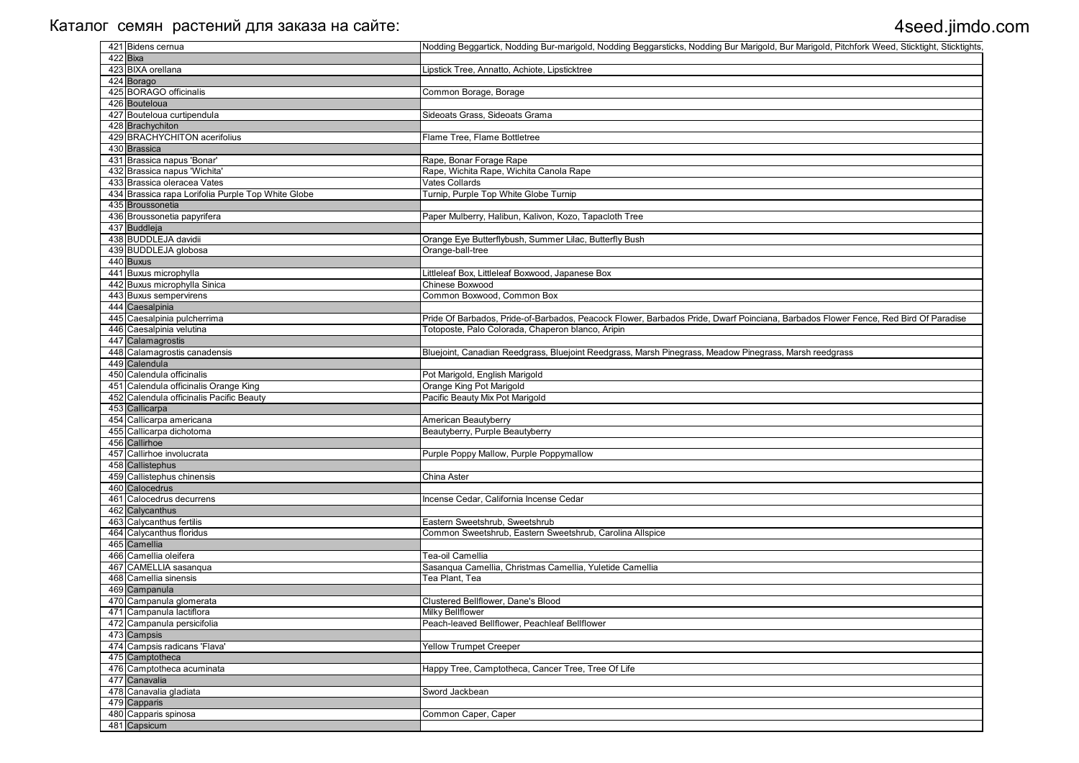| 421 Bidens cernua                                  | Nodding Beggartick, Nodding Bur-marigold, Nodding Beggarsticks, Nodding Bur Marigold, Bur Marigold, Pitchfork Weed, Sticktight, Sticktights, |
|----------------------------------------------------|----------------------------------------------------------------------------------------------------------------------------------------------|
| $422$ Bixa                                         |                                                                                                                                              |
| 423 BIXA orellana                                  | Lipstick Tree, Annatto, Achiote, Lipsticktree                                                                                                |
| 424 Borago                                         |                                                                                                                                              |
| 425 BORAGO officinalis                             | Common Borage, Borage                                                                                                                        |
| 426 Bouteloua                                      |                                                                                                                                              |
| 427 Bouteloua curtipendula                         | Sideoats Grass, Sideoats Grama                                                                                                               |
| 428 Brachychiton                                   |                                                                                                                                              |
| 429 BRACHYCHITON acerifolius                       | Flame Tree, Flame Bottletree                                                                                                                 |
| 430 Brassica                                       |                                                                                                                                              |
| 431 Brassica napus 'Bonar'                         | Rape, Bonar Forage Rape                                                                                                                      |
| 432 Brassica napus 'Wichita'                       | Rape, Wichita Rape, Wichita Canola Rape                                                                                                      |
| 433 Brassica oleracea Vates                        | Vates Collards                                                                                                                               |
| 434 Brassica rapa Lorifolia Purple Top White Globe | Turnip, Purple Top White Globe Turnip                                                                                                        |
| 435 Broussonetia                                   |                                                                                                                                              |
| 436 Broussonetia papyrifera                        | Paper Mulberry, Halibun, Kalivon, Kozo, Tapacloth Tree                                                                                       |
| 437 Buddleja                                       |                                                                                                                                              |
| 438 BUDDLEJA davidii                               |                                                                                                                                              |
|                                                    | Orange Eye Butterflybush, Summer Lilac, Butterfly Bush                                                                                       |
| 439 BUDDLEJA globosa                               | Orange-ball-tree                                                                                                                             |
| 440 Buxus                                          |                                                                                                                                              |
| 441 Buxus microphylla                              | Littleleaf Box, Littleleaf Boxwood, Japanese Box                                                                                             |
| 442 Buxus microphylla Sinica                       | Chinese Boxwood                                                                                                                              |
| 443 Buxus sempervirens                             | Common Boxwood, Common Box                                                                                                                   |
| 444 Caesalpinia                                    |                                                                                                                                              |
| 445 Caesalpinia pulcherrima                        | Pride Of Barbados, Pride-of-Barbados, Peacock Flower, Barbados Pride, Dwarf Poinciana, Barbados Flower Fence, Red Bird Of Paradise           |
| 446 Caesalpinia velutina                           | Totoposte, Palo Colorada, Chaperon blanco, Aripin                                                                                            |
| 447 Calamagrostis                                  |                                                                                                                                              |
| 448 Calamagrostis canadensis                       | Bluejoint, Canadian Reedgrass, Bluejoint Reedgrass, Marsh Pinegrass, Meadow Pinegrass, Marsh reedgrass                                       |
| 449 Calendula                                      |                                                                                                                                              |
| 450 Calendula officinalis                          | Pot Marigold, English Marigold                                                                                                               |
| 451 Calendula officinalis Orange King              | Orange King Pot Marigold                                                                                                                     |
| 452 Calendula officinalis Pacific Beauty           | Pacific Beauty Mix Pot Marigold                                                                                                              |
| 453 Callicarpa                                     |                                                                                                                                              |
| 454 Callicarpa americana                           | American Beautyberry                                                                                                                         |
| 455 Callicarpa dichotoma                           | Beautyberry, Purple Beautyberry                                                                                                              |
| 456 Callirhoe                                      |                                                                                                                                              |
| 457 Callirhoe involucrata                          | Purple Poppy Mallow, Purple Poppymallow                                                                                                      |
| 458 Callistephus                                   |                                                                                                                                              |
| 459 Callistephus chinensis                         | China Aster                                                                                                                                  |
| 460 Calocedrus                                     |                                                                                                                                              |
| 461 Calocedrus decurrens                           | Incense Cedar, California Incense Cedar                                                                                                      |
| 462 Calycanthus                                    |                                                                                                                                              |
| 463 Calycanthus fertilis                           | Eastern Sweetshrub, Sweetshrub                                                                                                               |
| 464 Calycanthus floridus                           | Common Sweetshrub, Eastern Sweetshrub, Carolina Allspice                                                                                     |
| 465 Camellia                                       |                                                                                                                                              |
| 466 Camellia oleifera                              | Tea-oil Camellia                                                                                                                             |
| 467 CAMELLIA sasanqua                              | Sasanqua Camellia, Christmas Camellia, Yuletide Camellia                                                                                     |
| 468 Camellia sinensis                              | Tea Plant, Tea                                                                                                                               |
| 469 Campanula                                      |                                                                                                                                              |
|                                                    |                                                                                                                                              |
| 470 Campanula glomerata                            | Clustered Bellflower, Dane's Blood                                                                                                           |
| 471 Campanula lactiflora                           | Milky Bellflower                                                                                                                             |
| 472 Campanula persicifolia                         | Peach-leaved Bellflower, Peachleaf Bellflower                                                                                                |
| 473 Campsis                                        |                                                                                                                                              |
| 474 Campsis radicans 'Flava'                       | <b>Yellow Trumpet Creeper</b>                                                                                                                |
| 475 Camptotheca                                    |                                                                                                                                              |
| 476 Camptotheca acuminata                          | Happy Tree, Camptotheca, Cancer Tree, Tree Of Life                                                                                           |
| 477 Canavalia                                      |                                                                                                                                              |
| 478 Canavalia gladiata                             | Sword Jackbean                                                                                                                               |
| 479 Capparis                                       |                                                                                                                                              |
| 480 Capparis spinosa                               | Common Caper, Caper                                                                                                                          |
| 481 Capsicum                                       |                                                                                                                                              |
|                                                    |                                                                                                                                              |

| gold, Pitchfork Weed, Sticktight, Sticktights, |
|------------------------------------------------|
|                                                |
|                                                |
|                                                |
|                                                |
|                                                |
|                                                |
|                                                |
|                                                |
|                                                |
|                                                |
|                                                |
|                                                |
|                                                |
|                                                |
|                                                |
| s Flower Fence, Red Bird Of Paradise           |
|                                                |
| eedgrass                                       |
|                                                |
|                                                |
|                                                |
|                                                |
|                                                |
|                                                |
|                                                |
|                                                |
|                                                |
|                                                |
|                                                |
|                                                |
|                                                |
|                                                |
|                                                |
|                                                |
|                                                |
|                                                |
|                                                |
|                                                |
|                                                |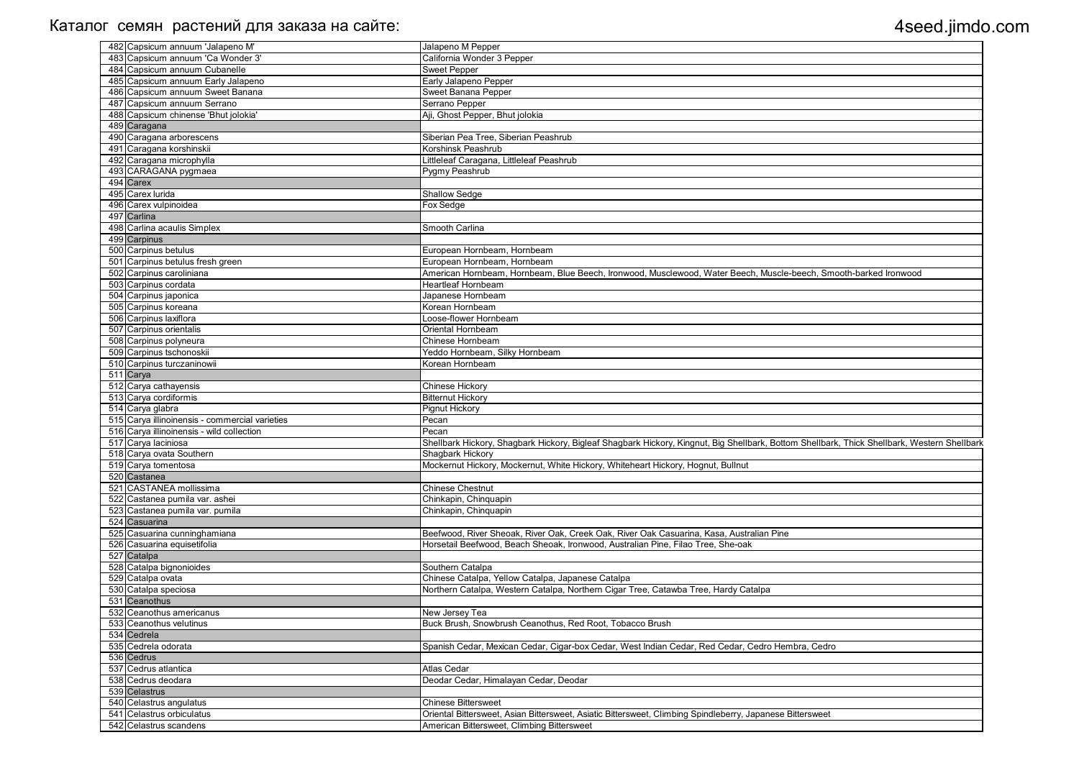| 482 Capsicum annuum 'Jalapeno M'               | Jalapeno M Pepper                                                                                                                           |
|------------------------------------------------|---------------------------------------------------------------------------------------------------------------------------------------------|
| 483 Capsicum annuum 'Ca Wonder 3'              | California Wonder 3 Pepper                                                                                                                  |
| 484 Capsicum annuum Cubanelle                  | <b>Sweet Pepper</b>                                                                                                                         |
| 485 Capsicum annuum Early Jalapeno             | Early Jalapeno Pepper                                                                                                                       |
| 486 Capsicum annuum Sweet Banana               | Sweet Banana Pepper                                                                                                                         |
| 487 Capsicum annuum Serrano                    | Serrano Pepper                                                                                                                              |
| 488 Capsicum chinense 'Bhut jolokia'           | Aji, Ghost Pepper, Bhut jolokia                                                                                                             |
| 489 Caragana                                   |                                                                                                                                             |
| 490 Caragana arborescens                       | Siberian Pea Tree, Siberian Peashrub                                                                                                        |
| 491 Caragana korshinskii                       | Korshinsk Peashrub                                                                                                                          |
| 492 Caragana microphylla                       | Littleleaf Caragana, Littleleaf Peashrub                                                                                                    |
|                                                |                                                                                                                                             |
| 493 CARAGANA pygmaea                           | Pygmy Peashrub                                                                                                                              |
| 494 Carex                                      |                                                                                                                                             |
| 495 Carex lurida                               | Shallow Sedge                                                                                                                               |
| 496 Carex vulpinoidea                          | Fox Sedge                                                                                                                                   |
| 497 Carlina                                    |                                                                                                                                             |
| 498 Carlina acaulis Simplex                    | Smooth Carlina                                                                                                                              |
| 499 Carpinus                                   |                                                                                                                                             |
| 500 Carpinus betulus                           | European Hornbeam, Hornbeam                                                                                                                 |
| 501 Carpinus betulus fresh green               | European Hornbeam, Hornbeam                                                                                                                 |
| 502 Carpinus caroliniana                       | American Hornbeam, Hornbeam, Blue Beech, Ironwood, Musclewood, Water Beech, Muscle-beech, Smooth-barked Ironwood                            |
| 503 Carpinus cordata                           | <b>Heartleaf Hornbeam</b>                                                                                                                   |
| 504 Carpinus japonica                          | Japanese Hornbeam                                                                                                                           |
| 505 Carpinus koreana                           | Korean Hornbeam                                                                                                                             |
| 506 Carpinus laxiflora                         | Loose-flower Hornbeam                                                                                                                       |
| 507 Carpinus orientalis                        | Oriental Hornbeam                                                                                                                           |
| 508 Carpinus polyneura                         | Chinese Hornbeam                                                                                                                            |
| 509 Carpinus tschonoskii                       | Yeddo Hornbeam, Silky Hornbeam                                                                                                              |
| 510 Carpinus turczaninowii                     | Korean Hornbeam                                                                                                                             |
| 511 Carya                                      |                                                                                                                                             |
| 512 Carya cathayensis                          | Chinese Hickory                                                                                                                             |
| 513 Carya cordiformis                          | <b>Bitternut Hickory</b>                                                                                                                    |
| 514 Carya glabra                               | <b>Pignut Hickory</b>                                                                                                                       |
| 515 Carya illinoinensis - commercial varieties | Pecan                                                                                                                                       |
| 516 Carya illinoinensis - wild collection      | Pecan                                                                                                                                       |
|                                                |                                                                                                                                             |
| 517 Carya laciniosa                            | Shellbark Hickory, Shagbark Hickory, Bigleaf Shagbark Hickory, Kingnut, Big Shellbark, Bottom Shellbark, Thick Shellbark, Western Shellbark |
| 518 Carya ovata Southern                       | Shagbark Hickory                                                                                                                            |
| 519 Carya tomentosa                            | Mockernut Hickory, Mockernut, White Hickory, Whiteheart Hickory, Hognut, Bullnut                                                            |
| 520 Castanea                                   |                                                                                                                                             |
| 521 CASTANEA mollissima                        | <b>Chinese Chestnut</b>                                                                                                                     |
| 522 Castanea pumila var. ashei                 | Chinkapin, Chinquapin                                                                                                                       |
| 523 Castanea pumila var. pumila                | Chinkapin, Chinquapin                                                                                                                       |
| 524 Casuarina                                  |                                                                                                                                             |
| 525 Casuarina cunninghamiana                   | Beefwood, River Sheoak, River Oak, Creek Oak, River Oak Casuarina, Kasa, Australian Pine                                                    |
| 526 Casuarina equisetifolia                    | Horsetail Beefwood, Beach Sheoak, Ironwood, Australian Pine, Filao Tree, She-oak                                                            |
| 527 Catalpa                                    |                                                                                                                                             |
| 528 Catalpa bignonioides                       | Southern Catalpa                                                                                                                            |
| 529 Catalpa ovata                              | Chinese Catalpa, Yellow Catalpa, Japanese Catalpa                                                                                           |
| 530 Catalpa speciosa                           | Northern Catalpa, Western Catalpa, Northern Cigar Tree, Catawba Tree, Hardy Catalpa                                                         |
| 531 Ceanothus                                  |                                                                                                                                             |
| 532 Ceanothus americanus                       | New Jersey Tea                                                                                                                              |
| 533 Ceanothus velutinus                        | Buck Brush, Snowbrush Ceanothus, Red Root, Tobacco Brush                                                                                    |
| 534 Cedrela                                    |                                                                                                                                             |
| 535 Cedrela odorata                            | Spanish Cedar, Mexican Cedar, Cigar-box Cedar, West Indian Cedar, Red Cedar, Cedro Hembra, Cedro                                            |
| 536 Cedrus                                     |                                                                                                                                             |
|                                                |                                                                                                                                             |
| 537 Cedrus atlantica                           | <b>Atlas Cedar</b>                                                                                                                          |
| 538 Cedrus deodara                             | Deodar Cedar, Himalayan Cedar, Deodar                                                                                                       |
| 539 Celastrus                                  |                                                                                                                                             |
| 540 Celastrus angulatus                        | <b>Chinese Bittersweet</b>                                                                                                                  |
| 541 Celastrus orbiculatus                      | Oriental Bittersweet, Asian Bittersweet, Asiatic Bittersweet, Climbing Spindleberry, Japanese Bittersweet                                   |
| 542 Celastrus scandens                         | American Bittersweet, Climbing Bittersweet                                                                                                  |

| 1, Smooth-barked Ironwood                  |
|--------------------------------------------|
|                                            |
|                                            |
|                                            |
|                                            |
|                                            |
|                                            |
|                                            |
|                                            |
|                                            |
|                                            |
|                                            |
|                                            |
|                                            |
| Ilbark, Thick Shellbark, Western Shellbark |
|                                            |
|                                            |
|                                            |
|                                            |
|                                            |
|                                            |
|                                            |
|                                            |
|                                            |
|                                            |
|                                            |
|                                            |
|                                            |
|                                            |
|                                            |
|                                            |
| $\overline{2}$ edro                        |
|                                            |
|                                            |
|                                            |
|                                            |
| veet                                       |
|                                            |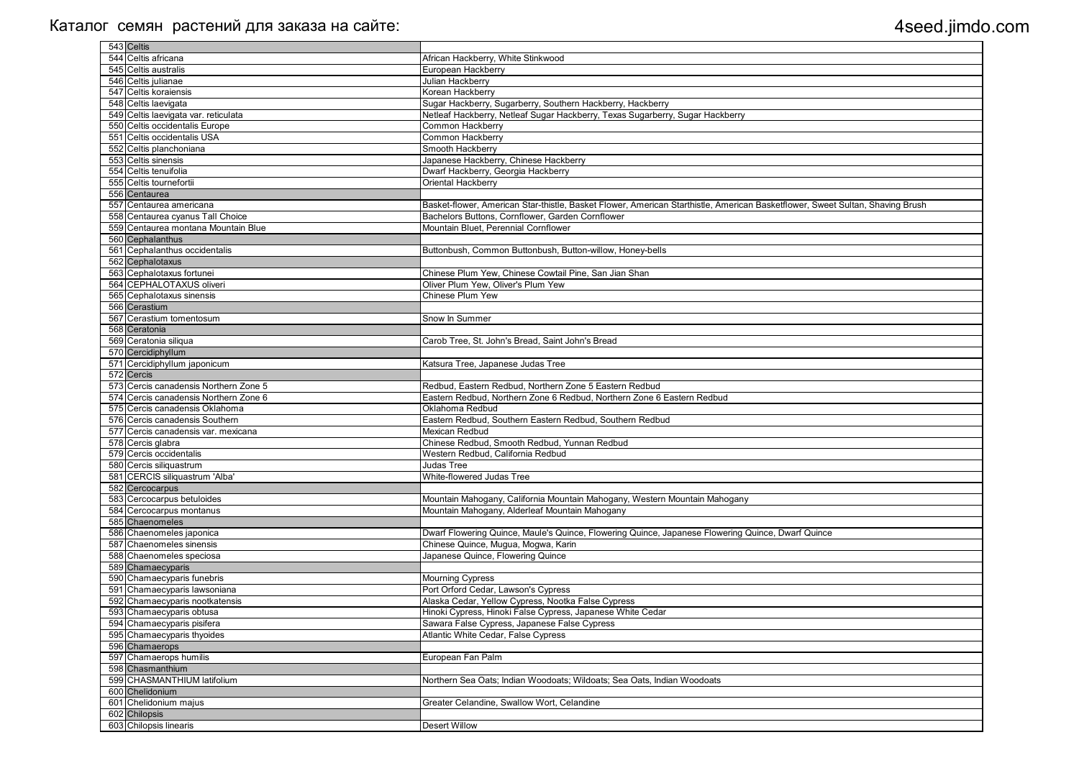| 543 Celtis                                   |                                                                                                                               |
|----------------------------------------------|-------------------------------------------------------------------------------------------------------------------------------|
| 544 Celtis africana                          | African Hackberry, White Stinkwood                                                                                            |
| 545 Celtis australis                         | European Hackberry                                                                                                            |
| 546 Celtis julianae                          | Julian Hackberry                                                                                                              |
| 547 Celtis koraiensis                        | Korean Hackberry                                                                                                              |
| 548 Celtis laevigata                         | Sugar Hackberry, Sugarberry, Southern Hackberry, Hackberry                                                                    |
| 549 Celtis laevigata var. reticulata         | Netleaf Hackberry, Netleaf Sugar Hackberry, Texas Sugarberry, Sugar Hackberry                                                 |
| 550 Celtis occidentalis Europe               | Common Hackberry                                                                                                              |
| 551 Celtis occidentalis USA                  | <b>Common Hackberry</b>                                                                                                       |
| 552 Celtis planchoniana                      | Smooth Hackberry                                                                                                              |
| 553 Celtis sinensis                          | Japanese Hackberry, Chinese Hackberry                                                                                         |
| 554 Celtis tenuifolia                        | Dwarf Hackberry, Georgia Hackberry                                                                                            |
| 555 Celtis tournefortii                      | Oriental Hackberry                                                                                                            |
| 556 Centaurea                                |                                                                                                                               |
| 557 Centaurea americana                      | Basket-flower, American Star-thistle, Basket Flower, American Starthistle, American Basketflower, Sweet Sultan, Shaving Brush |
| 558 Centaurea cyanus Tall Choice             | Bachelors Buttons, Cornflower, Garden Cornflower                                                                              |
| 559 Centaurea montana Mountain Blue          | Mountain Bluet, Perennial Cornflower                                                                                          |
| 560 Cephalanthus                             |                                                                                                                               |
| 561 Cephalanthus occidentalis                | Buttonbush, Common Buttonbush, Button-willow, Honey-bells                                                                     |
| 562 Cephalotaxus                             |                                                                                                                               |
| 563 Cephalotaxus fortunei                    | Chinese Plum Yew, Chinese Cowtail Pine, San Jian Shan                                                                         |
| 564 CEPHALOTAXUS oliveri                     | Oliver Plum Yew, Oliver's Plum Yew                                                                                            |
| 565 Cephalotaxus sinensis                    | <b>Chinese Plum Yew</b>                                                                                                       |
| 566 Cerastium                                |                                                                                                                               |
| 567 Cerastium tomentosum                     | Snow In Summer                                                                                                                |
| 568 Ceratonia                                |                                                                                                                               |
| 569 Ceratonia siliqua                        | Carob Tree, St. John's Bread, Saint John's Bread                                                                              |
| 570 Cercidiphyllum                           |                                                                                                                               |
| 571 Cercidiphyllum japonicum                 | Katsura Tree, Japanese Judas Tree                                                                                             |
| 572 Cercis                                   |                                                                                                                               |
| 573 Cercis canadensis Northern Zone 5        | Redbud, Eastern Redbud, Northern Zone 5 Eastern Redbud                                                                        |
| 574 Cercis canadensis Northern Zone 6        | Eastern Redbud, Northern Zone 6 Redbud, Northern Zone 6 Eastern Redbud                                                        |
| 575 Cercis canadensis Oklahoma               | Oklahoma Redbud                                                                                                               |
| 576 Cercis canadensis Southern               | Eastern Redbud, Southern Eastern Redbud, Southern Redbud                                                                      |
| 577 Cercis canadensis var. mexicana          | Mexican Redbud<br>Chinese Redbud, Smooth Redbud, Yunnan Redbud                                                                |
| 578 Cercis glabra<br>579 Cercis occidentalis | Western Redbud, California Redbud                                                                                             |
| 580 Cercis siliquastrum                      | Judas Tree                                                                                                                    |
| 581 CERCIS siliquastrum 'Alba'               | White-flowered Judas Tree                                                                                                     |
| 582 Cercocarpus                              |                                                                                                                               |
| 583 Cercocarpus betuloides                   | Mountain Mahogany, California Mountain Mahogany, Western Mountain Mahogany                                                    |
| 584 Cercocarpus montanus                     | Mountain Mahogany, Alderleaf Mountain Mahogany                                                                                |
| 585 Chaenomeles                              |                                                                                                                               |
| 586 Chaenomeles japonica                     | Dwarf Flowering Quince, Maule's Quince, Flowering Quince, Japanese Flowering Quince, Dwarf Quince                             |
| 587 Chaenomeles sinensis                     | Chinese Quince, Mugua, Mogwa, Karin                                                                                           |
| 588 Chaenomeles speciosa                     | Japanese Quince, Flowering Quince                                                                                             |
| 589 Chamaecyparis                            |                                                                                                                               |
| 590 Chamaecyparis funebris                   | <b>Mourning Cypress</b>                                                                                                       |
| 591 Chamaecyparis lawsoniana                 | Port Orford Cedar, Lawson's Cypress                                                                                           |
| 592 Chamaecyparis nootkatensis               | Alaska Cedar, Yellow Cypress, Nootka False Cypress                                                                            |
| 593 Chamaecyparis obtusa                     | Hinoki Cypress, Hinoki False Cypress, Japanese White Cedar                                                                    |
| 594 Chamaecyparis pisifera                   | Sawara False Cypress, Japanese False Cypress                                                                                  |
| 595 Chamaecyparis thyoides                   | Atlantic White Cedar, False Cypress                                                                                           |
| 596 Chamaerops                               |                                                                                                                               |
| 597 Chamaerops humilis                       | European Fan Palm                                                                                                             |
| 598 Chasmanthium                             |                                                                                                                               |
| 599 CHASMANTHIUM latifolium                  | Northern Sea Oats; Indian Woodoats; Wildoats; Sea Oats, Indian Woodoats                                                       |
| 600 Chelidonium                              |                                                                                                                               |
| 601 Chelidonium majus                        | Greater Celandine, Swallow Wort, Celandine                                                                                    |
| 602 Chilopsis                                |                                                                                                                               |
| 603 Chilopsis linearis                       | <b>Desert Willow</b>                                                                                                          |

| Sweet Sultan, Shaving Brush |
|-----------------------------|
|                             |
|                             |
|                             |
|                             |
|                             |
|                             |
|                             |
|                             |
|                             |
|                             |
|                             |
|                             |
|                             |
|                             |
|                             |
|                             |
|                             |
|                             |
|                             |
|                             |
|                             |
|                             |
|                             |
|                             |
|                             |
|                             |
|                             |
|                             |
|                             |
| $line{line}$                |
|                             |
|                             |
|                             |
|                             |
|                             |
|                             |
|                             |
|                             |
|                             |
|                             |
|                             |
|                             |
|                             |
|                             |
|                             |
|                             |
|                             |
|                             |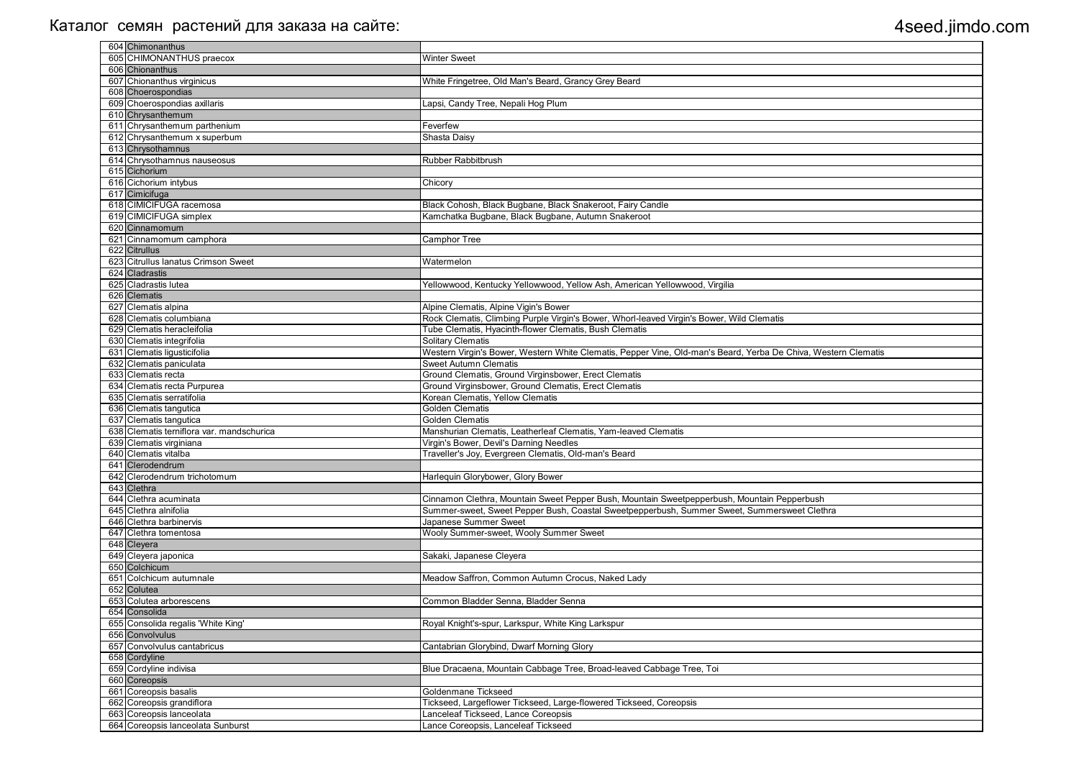| 604 Chimonanthus                          |                                                                                                                |
|-------------------------------------------|----------------------------------------------------------------------------------------------------------------|
| 605 CHIMONANTHUS praecox                  | <b>Winter Sweet</b>                                                                                            |
| 606 Chionanthus                           |                                                                                                                |
| 607 Chionanthus virginicus                | White Fringetree, Old Man's Beard, Grancy Grey Beard                                                           |
| 608 Choerospondias                        |                                                                                                                |
| 609 Choerospondias axillaris              | Lapsi, Candy Tree, Nepali Hog Plum                                                                             |
| 610 Chrysanthemum                         |                                                                                                                |
| 611 Chrysanthemum parthenium              | Feverfew                                                                                                       |
| 612 Chrysanthemum x superbum              | Shasta Daisy                                                                                                   |
| 613 Chrysothamnus                         |                                                                                                                |
| 614 Chrysothamnus nauseosus               | <b>Rubber Rabbitbrush</b>                                                                                      |
| 615 Cichorium                             |                                                                                                                |
| 616 Cichorium intybus                     | Chicory                                                                                                        |
| 617 Cimicifuga                            |                                                                                                                |
| 618 CIMICIFUGA racemosa                   | Black Cohosh, Black Bugbane, Black Snakeroot, Fairy Candle                                                     |
| 619 CIMICIFUGA simplex                    | Kamchatka Bugbane, Black Bugbane, Autumn Snakeroot                                                             |
| 620 Cinnamomum                            |                                                                                                                |
| 621 Cinnamomum camphora                   | Camphor Tree                                                                                                   |
| 622 Citrullus                             |                                                                                                                |
| 623 Citrullus Ianatus Crimson Sweet       | Watermelon                                                                                                     |
| 624 Cladrastis                            |                                                                                                                |
| 625 Cladrastis lutea                      | Yellowwood, Kentucky Yellowwood, Yellow Ash, American Yellowwood, Virgilia                                     |
| 626 Clematis                              |                                                                                                                |
| 627 Clematis alpina                       | Alpine Clematis, Alpine Vigin's Bower                                                                          |
| 628 Clematis columbiana                   | Rock Clematis, Climbing Purple Virgin's Bower, Whorl-leaved Virgin's Bower, Wild Clematis                      |
| 629 Clematis heracleifolia                | Tube Clematis, Hyacinth-flower Clematis, Bush Clematis                                                         |
| 630 Clematis integrifolia                 | <b>Solitary Clematis</b>                                                                                       |
| 631 Clematis ligusticifolia               | Western Virgin's Bower, Western White Clematis, Pepper Vine, Old-man's Beard, Yerba De Chiva, Western Clematis |
| 632 Clematis paniculata                   | <b>Sweet Autumn Clematis</b>                                                                                   |
| 633 Clematis recta                        | Ground Clematis, Ground Virginsbower, Erect Clematis                                                           |
| 634 Clematis recta Purpurea               | Ground Virginsbower, Ground Clematis, Erect Clematis                                                           |
| 635 Clematis serratifolia                 | Korean Clematis, Yellow Clematis                                                                               |
| 636 Clematis tangutica                    | Golden Clematis                                                                                                |
| 637 Clematis tangutica                    | <b>Golden Clematis</b>                                                                                         |
| 638 Clematis terniflora var. mandschurica | Manshurian Clematis, Leatherleaf Clematis, Yam-leaved Clematis                                                 |
| 639 Clematis virginiana                   |                                                                                                                |
| 640 Clematis vitalba                      | Virgin's Bower, Devil's Darning Needles                                                                        |
| 641 Clerodendrum                          | Traveller's Joy, Evergreen Clematis, Old-man's Beard                                                           |
|                                           |                                                                                                                |
| 642 Clerodendrum trichotomum              | Harlequin Glorybower, Glory Bower                                                                              |
| 643 Clethra                               |                                                                                                                |
| 644 Clethra acuminata                     | Cinnamon Clethra, Mountain Sweet Pepper Bush, Mountain Sweetpepperbush, Mountain Pepperbush                    |
| 645 Clethra alnifolia                     | Summer-sweet, Sweet Pepper Bush, Coastal Sweetpepperbush, Summer Sweet, Summersweet Clethra                    |
| 646 Clethra barbinervis                   | Japanese Summer Sweet                                                                                          |
| 647 Clethra tomentosa                     | Wooly Summer-sweet, Wooly Summer Sweet                                                                         |
| 648 Cleyera                               |                                                                                                                |
| 649 Cleyera japonica                      | Sakaki, Japanese Cleyera                                                                                       |
| 650 Colchicum                             |                                                                                                                |
| 651 Colchicum autumnale                   | Meadow Saffron, Common Autumn Crocus, Naked Lady                                                               |
| 652 Colutea                               |                                                                                                                |
| 653 Colutea arborescens                   | Common Bladder Senna, Bladder Senna                                                                            |
| 654 Consolida                             |                                                                                                                |
| 655 Consolida regalis 'White King'        | Royal Knight's-spur, Larkspur, White King Larkspur                                                             |
| 656 Convolvulus                           |                                                                                                                |
| 657 Convolvulus cantabricus               | Cantabrian Glorybind, Dwarf Morning Glory                                                                      |
| 658 Cordyline                             |                                                                                                                |
| 659 Cordyline indivisa                    | Blue Dracaena, Mountain Cabbage Tree, Broad-leaved Cabbage Tree, Toi                                           |
| 660 Coreopsis                             |                                                                                                                |
| 661 Coreopsis basalis                     | Goldenmane Tickseed                                                                                            |
| 662 Coreopsis grandiflora                 | Tickseed, Largeflower Tickseed, Large-flowered Tickseed, Coreopsis                                             |
| 663 Coreopsis lanceolata                  | Lanceleaf Tickseed, Lance Coreopsis                                                                            |
| 664 Coreopsis lanceolata Sunburst         | Lance Coreopsis, Lanceleaf Tickseed                                                                            |
|                                           |                                                                                                                |

| <b>Nestern Clematis</b> |  |
|-------------------------|--|
|                         |  |
|                         |  |
|                         |  |
|                         |  |
|                         |  |
|                         |  |
|                         |  |
|                         |  |
|                         |  |
|                         |  |
|                         |  |
|                         |  |
|                         |  |
|                         |  |
|                         |  |
|                         |  |
|                         |  |
|                         |  |
|                         |  |
|                         |  |
|                         |  |
|                         |  |
|                         |  |
|                         |  |
|                         |  |
|                         |  |
|                         |  |
|                         |  |
|                         |  |
|                         |  |
|                         |  |
|                         |  |
|                         |  |
|                         |  |
|                         |  |
|                         |  |
| $\frac{1}{2}$<br>ethra  |  |
|                         |  |
|                         |  |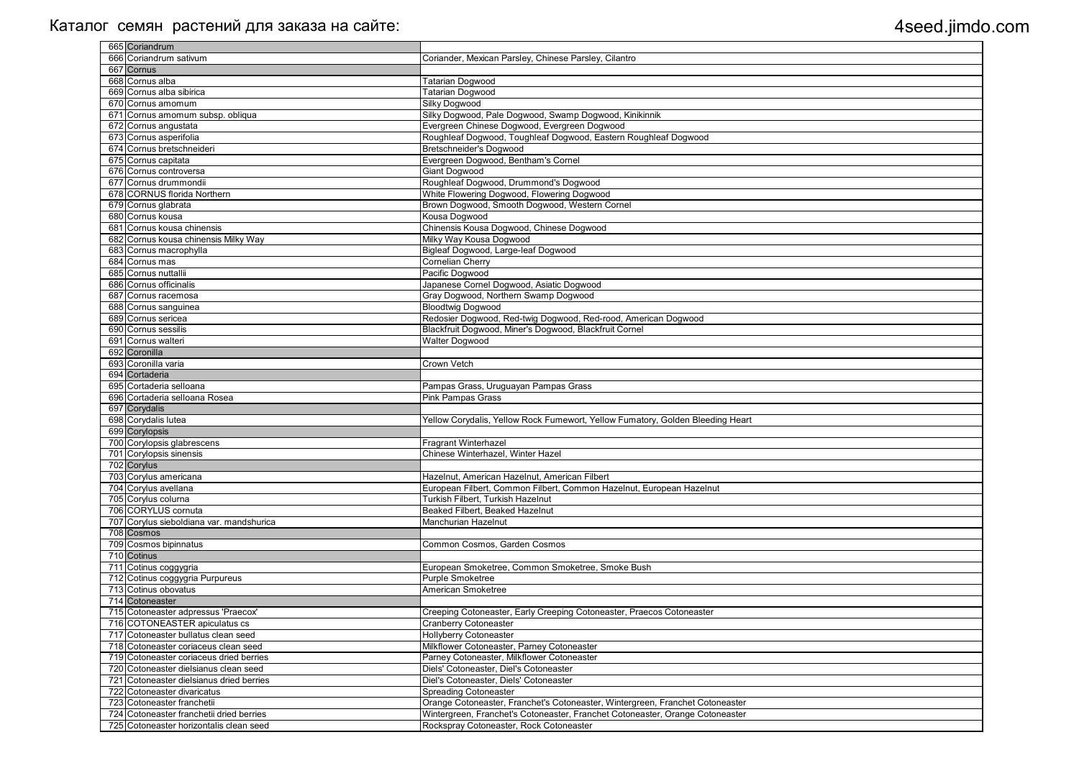|     | 665 Coriandrum                           |                                                                                |
|-----|------------------------------------------|--------------------------------------------------------------------------------|
|     | 666 Coriandrum sativum                   | Coriander, Mexican Parsley, Chinese Parsley, Cilantro                          |
|     | 667 Cornus                               |                                                                                |
|     | 668 Cornus alba                          | <b>Tatarian Dogwood</b>                                                        |
|     | 669 Cornus alba sibirica                 | <b>Tatarian Dogwood</b>                                                        |
|     | 670 Cornus amomum                        | Silky Dogwood                                                                  |
|     | 671 Cornus amomum subsp. obliqua         | Silky Dogwood, Pale Dogwood, Swamp Dogwood, Kinikinnik                         |
|     | 672 Cornus angustata                     | Evergreen Chinese Dogwood, Evergreen Dogwood                                   |
|     | 673 Cornus asperifolia                   | Roughleaf Dogwood, Toughleaf Dogwood, Eastern Roughleaf Dogwood                |
|     | 674 Cornus bretschneideri                | <b>Bretschneider's Dogwood</b>                                                 |
|     | 675 Cornus capitata                      | Evergreen Dogwood, Bentham's Cornel                                            |
|     | 676 Cornus controversa                   | <b>Giant Dogwood</b>                                                           |
|     | 677 Cornus drummondii                    | Roughleaf Dogwood, Drummond's Dogwood                                          |
|     | 678 CORNUS florida Northern              | White Flowering Dogwood, Flowering Dogwood                                     |
|     |                                          | Brown Dogwood, Smooth Dogwood, Western Cornel                                  |
|     | 679 Cornus glabrata<br>680 Cornus kousa  | Kousa Dogwood                                                                  |
|     | 681 Cornus kousa chinensis               |                                                                                |
|     |                                          | Chinensis Kousa Dogwood, Chinese Dogwood                                       |
|     | 682 Cornus kousa chinensis Milky Way     | Milky Way Kousa Dogwood                                                        |
|     | 683 Cornus macrophylla                   | Bigleaf Dogwood, Large-leaf Dogwood                                            |
|     | 684 Cornus mas                           | Cornelian Cherry                                                               |
|     | 685 Cornus nuttallii                     | Pacific Dogwood                                                                |
|     | 686 Cornus officinalis                   | Japanese Cornel Dogwood, Asiatic Dogwood                                       |
| 687 | Cornus racemosa                          | Gray Dogwood, Northern Swamp Dogwood                                           |
|     | 688 Cornus sanguinea                     | <b>Bloodtwig Dogwood</b>                                                       |
|     | 689 Cornus sericea                       | Redosier Dogwood, Red-twig Dogwood, Red-rood, American Dogwood                 |
|     | 690 Cornus sessilis                      | Blackfruit Dogwood, Miner's Dogwood, Blackfruit Cornel                         |
|     | 691 Cornus walteri                       | <b>Walter Dogwood</b>                                                          |
|     | 692 Coronilla                            |                                                                                |
|     | 693 Coronilla varia                      | <b>Crown Vetch</b>                                                             |
|     | 694 Cortaderia                           |                                                                                |
|     | 695 Cortaderia selloana                  | Pampas Grass, Uruguayan Pampas Grass                                           |
|     | 696 Cortaderia selloana Rosea            | <b>Pink Pampas Grass</b>                                                       |
|     | 697 Corydalis                            |                                                                                |
|     | 698 Corydalis lutea                      | Yellow Corydalis, Yellow Rock Fumewort, Yellow Fumatory, Golden Bleeding Heart |
|     | 699 Corylopsis                           |                                                                                |
|     | 700 Corylopsis glabrescens               | <b>Fragrant Winterhazel</b>                                                    |
|     | 701 Corylopsis sinensis                  | Chinese Winterhazel, Winter Hazel                                              |
|     | 702 Corylus                              |                                                                                |
|     | 703 Corylus americana                    | Hazelnut, American Hazelnut, American Filbert                                  |
|     | 704 Corylus avellana                     | European Filbert, Common Filbert, Common Hazelnut, European Hazelnut           |
|     | 705 Corylus colurna                      | Turkish Filbert, Turkish Hazelnut                                              |
|     | 706 CORYLUS cornuta                      | Beaked Filbert, Beaked Hazelnut                                                |
|     | 707 Corylus sieboldiana var. mandshurica | Manchurian Hazelnut                                                            |
|     | 708 Cosmos                               |                                                                                |
|     |                                          |                                                                                |
|     | 709 Cosmos bipinnatus                    | Common Cosmos, Garden Cosmos                                                   |
|     | 710 Cotinus                              |                                                                                |
|     | 711 Cotinus coggygria                    | European Smoketree, Common Smoketree, Smoke Bush                               |
|     | 712 Cotinus coggygria Purpureus          | <b>Purple Smoketree</b>                                                        |
|     | 713 Cotinus obovatus                     | American Smoketree                                                             |
|     | 714 Cotoneaster                          |                                                                                |
|     | 715 Cotoneaster adpressus 'Praecox'      | Creeping Cotoneaster, Early Creeping Cotoneaster, Praecos Cotoneaster          |
|     | 716 COTONEASTER apiculatus cs            | <b>Cranberry Cotoneaster</b>                                                   |
|     | 717 Cotoneaster bullatus clean seed      | <b>Hollyberry Cotoneaster</b>                                                  |
|     | 718 Cotoneaster coriaceus clean seed     | Milkflower Cotoneaster, Parney Cotoneaster                                     |
|     | 719 Cotoneaster coriaceus dried berries  | Parney Cotoneaster, Milkflower Cotoneaster                                     |
|     | 720 Cotoneaster dielsianus clean seed    | Diels' Cotoneaster, Diel's Cotoneaster                                         |
|     | 721 Cotoneaster dielsianus dried berries | Diel's Cotoneaster, Diels' Cotoneaster                                         |
|     | 722 Cotoneaster divaricatus              | <b>Spreading Cotoneaster</b>                                                   |
|     | 723 Cotoneaster franchetii               | Orange Cotoneaster, Franchet's Cotoneaster, Wintergreen, Franchet Cotoneaster  |
|     | 724 Cotoneaster franchetii dried berries | Wintergreen, Franchet's Cotoneaster, Franchet Cotoneaster, Orange Cotoneaster  |
|     | 725 Cotoneaster horizontalis clean seed  | Rockspray Cotoneaster, Rock Cotoneaster                                        |
|     |                                          |                                                                                |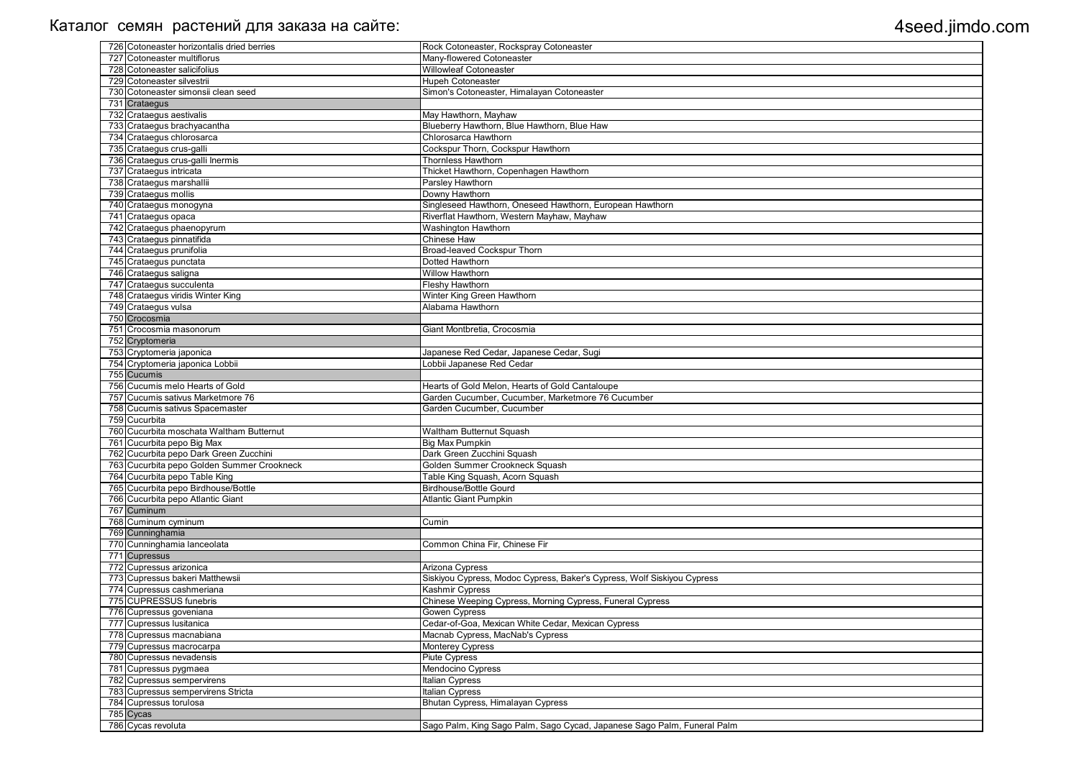| 726 Cotoneaster horizontalis dried berries                                           | Rock Cotoneaster, Rockspray Cotoneaster                                 |
|--------------------------------------------------------------------------------------|-------------------------------------------------------------------------|
| 727 Cotoneaster multiflorus                                                          | Many-flowered Cotoneaster                                               |
| 728 Cotoneaster salicifolius                                                         | <b>Willowleaf Cotoneaster</b>                                           |
| 729 Cotoneaster silvestrii                                                           | <b>Hupeh Cotoneaster</b>                                                |
| 730 Cotoneaster simonsii clean seed                                                  | Simon's Cotoneaster, Himalayan Cotoneaster                              |
| 731 Crataegus                                                                        |                                                                         |
| 732 Crataegus aestivalis                                                             | May Hawthorn, Mayhaw                                                    |
| 733 Crataegus brachyacantha                                                          | Blueberry Hawthorn, Blue Hawthorn, Blue Haw                             |
| 734 Crataegus chlorosarca                                                            | Chlorosarca Hawthorn                                                    |
| 735 Crataegus crus-galli                                                             | Cockspur Thorn, Cockspur Hawthorn                                       |
| 736 Crataegus crus-galli Inermis                                                     | <b>Thornless Hawthorn</b>                                               |
| 737 Crataegus intricata                                                              | Thicket Hawthorn, Copenhagen Hawthorn                                   |
| 738 Crataegus marshallii                                                             | Parsley Hawthorn                                                        |
| 739 Crataegus mollis                                                                 | Downy Hawthorn                                                          |
| 740 Crataegus monogyna                                                               | Singleseed Hawthorn, Oneseed Hawthorn, European Hawthorn                |
| 741 Crataegus opaca                                                                  | Riverflat Hawthorn, Western Mayhaw, Mayhaw                              |
| 742 Crataegus phaenopyrum                                                            | Washington Hawthorn                                                     |
| 743 Crataegus pinnatifida                                                            | <b>Chinese Haw</b>                                                      |
| 744 Crataegus prunifolia                                                             | <b>Broad-leaved Cockspur Thorn</b>                                      |
| 745 Crataegus punctata                                                               | Dotted Hawthorn                                                         |
| 746 Crataegus saligna                                                                | <b>Willow Hawthorn</b>                                                  |
| 747 Crataegus succulenta                                                             | Fleshy Hawthorn                                                         |
| 748 Crataegus viridis Winter King                                                    | Winter King Green Hawthorn                                              |
| 749 Crataegus vulsa                                                                  | Alabama Hawthorn                                                        |
| 750 Crocosmia                                                                        |                                                                         |
| 751 Crocosmia masonorum                                                              | Giant Montbretia, Crocosmia                                             |
| 752 Cryptomeria                                                                      |                                                                         |
| 753 Cryptomeria japonica                                                             | Japanese Red Cedar, Japanese Cedar, Sugi                                |
|                                                                                      | obbii Japanese Red Cedar                                                |
| 754 Cryptomeria japonica Lobbii<br>755 Cucumis                                       |                                                                         |
| 756 Cucumis melo Hearts of Gold                                                      | Hearts of Gold Melon, Hearts of Gold Cantaloupe                         |
| 757 Cucumis sativus Marketmore 76                                                    | Garden Cucumber, Cucumber, Marketmore 76 Cucumber                       |
|                                                                                      | Garden Cucumber, Cucumber                                               |
| 758 Cucumis sativus Spacemaster<br>759 Cucurbita                                     |                                                                         |
| 760 Cucurbita moschata Waltham Butternut                                             |                                                                         |
| 761 Cucurbita pepo Big Max                                                           | Waltham Butternut Squash<br>Big Max Pumpkin                             |
|                                                                                      |                                                                         |
| 762 Cucurbita pepo Dark Green Zucchini<br>763 Cucurbita pepo Golden Summer Crookneck | Dark Green Zucchini Squash                                              |
|                                                                                      | Golden Summer Crookneck Squash                                          |
| 764 Cucurbita pepo Table King                                                        | Table King Squash, Acorn Squash                                         |
| 765 Cucurbita pepo Birdhouse/Bottle<br>766 Cucurbita pepo Atlantic Giant             | <b>Birdhouse/Bottle Gourd</b>                                           |
|                                                                                      | <b>Atlantic Giant Pumpkin</b>                                           |
| 767 Cuminum                                                                          |                                                                         |
| 768 Cuminum cyminum                                                                  | Cumin                                                                   |
| 769 Cunninghamia                                                                     | Common China Fir, Chinese Fir                                           |
| 770 Cunninghamia lanceolata                                                          |                                                                         |
| 771 Cupressus                                                                        |                                                                         |
| 772 Cupressus arizonica                                                              | Arizona Cypress                                                         |
| 773 Cupressus bakeri Matthewsii                                                      | Siskiyou Cypress, Modoc Cypress, Baker's Cypress, Wolf Siskiyou Cypress |
| 774 Cupressus cashmeriana                                                            | Kashmir Cypress                                                         |
| 775 CUPRESSUS funebris                                                               | Chinese Weeping Cypress, Morning Cypress, Funeral Cypress               |
| 776 Cupressus goveniana                                                              | Gowen Cypress                                                           |
| 777 Cupressus Iusitanica                                                             | Cedar-of-Goa, Mexican White Cedar, Mexican Cypress                      |
| 778 Cupressus macnabiana                                                             | Macnab Cypress, MacNab's Cypress                                        |
| 779 Cupressus macrocarpa                                                             | <b>Monterey Cypress</b>                                                 |
| 780 Cupressus nevadensis                                                             | <b>Piute Cypress</b>                                                    |
| 781 Cupressus pygmaea                                                                | Mendocino Cypress                                                       |
| 782 Cupressus sempervirens                                                           | Italian Cypress                                                         |
| 783 Cupressus sempervirens Stricta                                                   | Italian Cypress                                                         |
| 784 Cupressus torulosa                                                               | Bhutan Cypress, Himalayan Cypress                                       |
| 785 Cycas                                                                            |                                                                         |
| 786 Cycas revoluta                                                                   | Sago Palm, King Sago Palm, Sago Cycad, Japanese Sago Palm, Funeral Palm |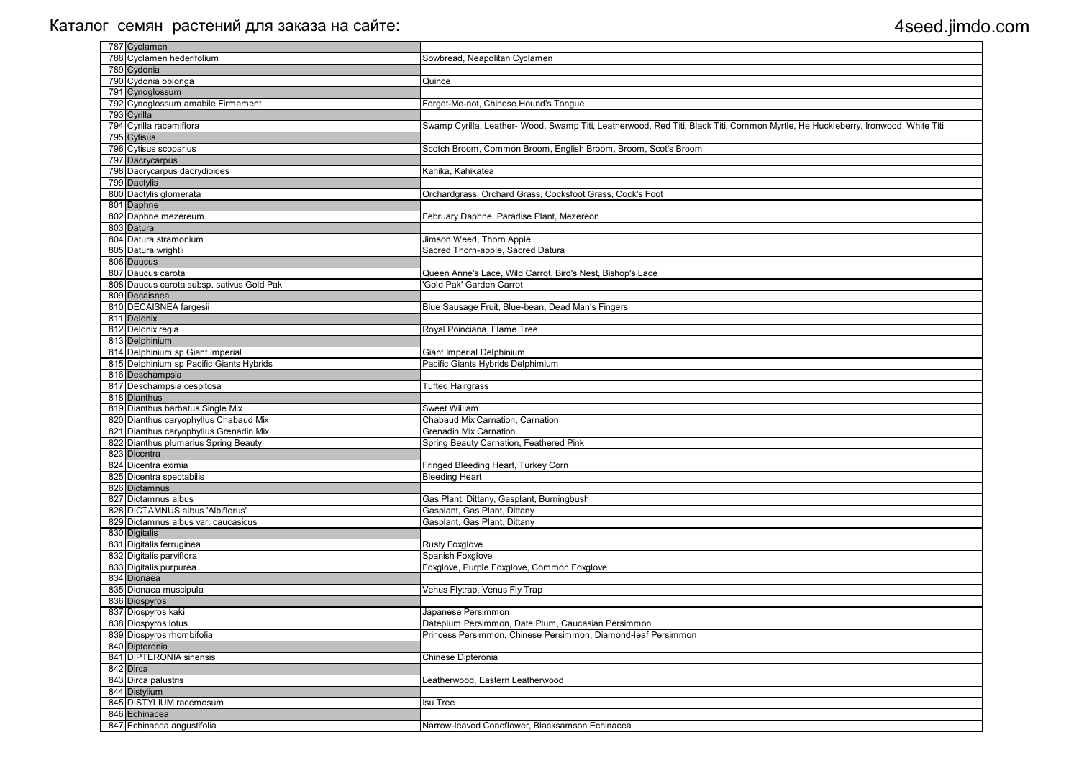|     | 787 Cyclamen                              |                                                                                                                                  |
|-----|-------------------------------------------|----------------------------------------------------------------------------------------------------------------------------------|
|     | 788 Cyclamen hederifolium                 | Sowbread, Neapolitan Cyclamen                                                                                                    |
|     | 789 Cydonia                               |                                                                                                                                  |
|     | 790 Cydonia oblonga                       | Quince                                                                                                                           |
|     | 791 Cynoglossum                           |                                                                                                                                  |
|     | 792 Cynoglossum amabile Firmament         | Forget-Me-not, Chinese Hound's Tongue                                                                                            |
|     | 793 Cyrilla                               |                                                                                                                                  |
|     | 794 Cyrilla racemiflora                   | Swamp Cyrilla, Leather- Wood, Swamp Titi, Leatherwood, Red Titi, Black Titi, Common Myrtle, He Huckleberry, Ironwood, White Titi |
|     | 795 Cytisus                               |                                                                                                                                  |
|     | 796 Cytisus scoparius                     | Scotch Broom, Common Broom, English Broom, Broom, Scot's Broom                                                                   |
|     | 797 Dacrycarpus                           |                                                                                                                                  |
|     | 798 Dacrycarpus dacrydioides              | Kahika, Kahikatea                                                                                                                |
|     | 799 Dactylis                              |                                                                                                                                  |
|     | 800 Dactylis glomerata                    | Orchardgrass, Orchard Grass, Cocksfoot Grass, Cock's Foot                                                                        |
|     | 801 Daphne                                |                                                                                                                                  |
|     | 802 Daphne mezereum                       |                                                                                                                                  |
|     |                                           | February Daphne, Paradise Plant, Mezereon                                                                                        |
|     | 803 Datura                                |                                                                                                                                  |
|     | 804 Datura stramonium                     | Jimson Weed, Thorn Apple                                                                                                         |
|     | 805 Datura wrightii                       | Sacred Thorn-apple, Sacred Datura                                                                                                |
|     | 806 Daucus                                |                                                                                                                                  |
| 807 | Daucus carota                             | Queen Anne's Lace, Wild Carrot, Bird's Nest, Bishop's Lace                                                                       |
|     | 808 Daucus carota subsp. sativus Gold Pak | 'Gold Pak' Garden Carrot                                                                                                         |
|     | 809 Decaisnea                             |                                                                                                                                  |
|     | 810 DECAISNEA fargesii                    | Blue Sausage Fruit, Blue-bean, Dead Man's Fingers                                                                                |
|     | 811 Delonix                               |                                                                                                                                  |
|     | 812 Delonix regia                         | Royal Poinciana, Flame Tree                                                                                                      |
|     | 813 Delphinium                            |                                                                                                                                  |
|     | 814 Delphinium sp Giant Imperial          | <b>Giant Imperial Delphinium</b>                                                                                                 |
|     | 815 Delphinium sp Pacific Giants Hybrids  | Pacific Giants Hybrids Delphimium                                                                                                |
|     | 816 Deschampsia                           |                                                                                                                                  |
|     | 817 Deschampsia cespitosa                 | <b>Tufted Hairgrass</b>                                                                                                          |
|     | 818 Dianthus                              |                                                                                                                                  |
|     | 819 Dianthus barbatus Single Mix          | <b>Sweet William</b>                                                                                                             |
|     | 820 Dianthus caryophyllus Chabaud Mix     | Chabaud Mix Carnation, Carnation                                                                                                 |
|     | 821 Dianthus caryophyllus Grenadin Mix    | <b>Grenadin Mix Carnation</b>                                                                                                    |
|     |                                           |                                                                                                                                  |
|     | 822 Dianthus plumarius Spring Beauty      | Spring Beauty Carnation, Feathered Pink                                                                                          |
|     | 823 Dicentra                              |                                                                                                                                  |
|     | 824 Dicentra eximia                       | Fringed Bleeding Heart, Turkey Corn                                                                                              |
|     | 825 Dicentra spectabilis                  | <b>Bleeding Heart</b>                                                                                                            |
|     | 826 Dictamnus                             |                                                                                                                                  |
|     | 827 Dictamnus albus                       | Gas Plant, Dittany, Gasplant, Burningbush                                                                                        |
|     | 828 DICTAMNUS albus 'Albiflorus'          | Gasplant, Gas Plant, Dittany                                                                                                     |
|     | 829 Dictamnus albus var. caucasicus       | Gasplant, Gas Plant, Dittany                                                                                                     |
|     | 830 Digitalis                             |                                                                                                                                  |
|     | 831 Digitalis ferruginea                  | Rusty Foxglove                                                                                                                   |
|     | 832 Digitalis parviflora                  | Spanish Foxglove                                                                                                                 |
|     | 833 Digitalis purpurea                    | Foxglove, Purple Foxglove, Common Foxglove                                                                                       |
|     | 834 Dionaea                               |                                                                                                                                  |
|     | 835 Dionaea muscipula                     | Venus Flytrap, Venus Fly Trap                                                                                                    |
|     | 836 Diospyros                             |                                                                                                                                  |
|     | 837 Diospyros kaki                        | Japanese Persimmon                                                                                                               |
|     | 838 Diospyros lotus                       | Dateplum Persimmon, Date Plum, Caucasian Persimmon                                                                               |
|     | 839 Diospyros rhombifolia                 | Princess Persimmon, Chinese Persimmon, Diamond-leaf Persimmon                                                                    |
|     | 840 Dipteronia                            |                                                                                                                                  |
|     | 841 DIPTERONIA sinensis                   |                                                                                                                                  |
|     |                                           | Chinese Dipteronia                                                                                                               |
|     | 842 Dirca                                 |                                                                                                                                  |
|     | 843 Dirca palustris                       | Leatherwood, Eastern Leatherwood                                                                                                 |
|     | 844 Distylium                             |                                                                                                                                  |
|     | 845 DISTYLIUM racemosum                   | <b>Isu Tree</b>                                                                                                                  |
|     | 846 Echinacea                             |                                                                                                                                  |
|     | 847 Echinacea angustifolia                | Narrow-leaved Coneflower, Blacksamson Echinacea                                                                                  |

| Huckleberry, Ironwood, White Titi |
|-----------------------------------|
|                                   |
|                                   |
|                                   |
|                                   |
|                                   |
|                                   |
|                                   |
|                                   |
|                                   |
|                                   |
|                                   |
|                                   |
|                                   |
|                                   |
|                                   |
|                                   |
|                                   |
|                                   |
|                                   |
|                                   |
|                                   |
|                                   |
|                                   |
|                                   |
|                                   |
|                                   |
|                                   |
|                                   |
|                                   |
|                                   |
|                                   |
|                                   |
|                                   |
|                                   |
|                                   |
|                                   |
|                                   |
|                                   |
|                                   |
|                                   |
|                                   |
|                                   |
|                                   |
|                                   |
|                                   |
|                                   |
|                                   |
|                                   |
|                                   |
|                                   |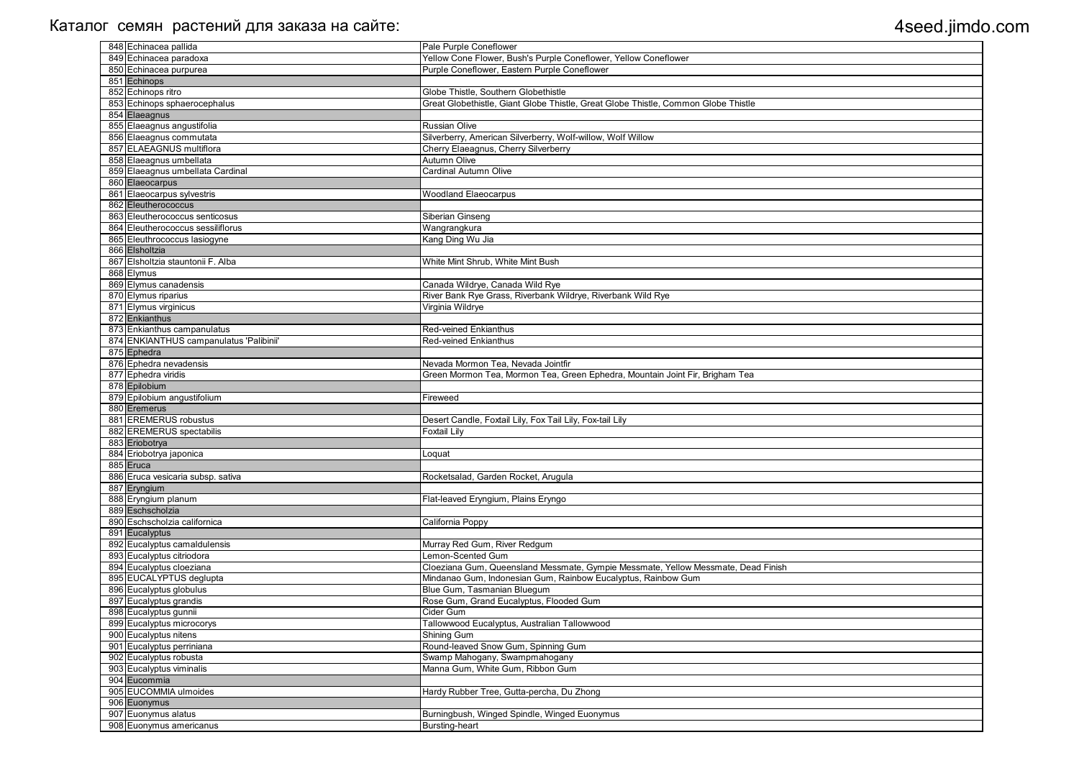| 848 Echinacea pallida                   | Pale Purple Coneflower                                                             |
|-----------------------------------------|------------------------------------------------------------------------------------|
| 849 Echinacea paradoxa                  | Yellow Cone Flower, Bush's Purple Coneflower, Yellow Coneflower                    |
| 850 Echinacea purpurea                  | Purple Coneflower, Eastern Purple Coneflower                                       |
| 851 Echinops                            |                                                                                    |
| 852 Echinops ritro                      | Globe Thistle, Southern Globethistle                                               |
| 853 Echinops sphaerocephalus            | Great Globethistle, Giant Globe Thistle, Great Globe Thistle, Common Globe Thistle |
| 854 Elaeagnus                           |                                                                                    |
| 855 Elaeagnus angustifolia              | <b>Russian Olive</b>                                                               |
| 856 Elaeagnus commutata                 | Silverberry, American Silverberry, Wolf-willow, Wolf Willow                        |
| 857 ELAEAGNUS multiflora                | Cherry Elaeagnus, Cherry Silverberry                                               |
| 858 Elaeagnus umbellata                 | <b>Autumn Olive</b>                                                                |
| 859 Elaeagnus umbellata Cardinal        | <b>Cardinal Autumn Olive</b>                                                       |
| 860 Elaeocarpus                         |                                                                                    |
| 861 Elaeocarpus sylvestris              | <b>Woodland Elaeocarpus</b>                                                        |
| 862 Eleutherococcus                     |                                                                                    |
| 863 Eleutherococcus senticosus          | Siberian Ginseng                                                                   |
| 864 Eleutherococcus sessiliflorus       | Wangrangkura                                                                       |
| 865 Eleuthrococcus lasiogyne            |                                                                                    |
| 866 Elsholtzia                          | Kang Ding Wu Jia                                                                   |
| 867 Elsholtzia stauntonii F. Alba       |                                                                                    |
|                                         | White Mint Shrub, White Mint Bush                                                  |
| 868 Elymus                              |                                                                                    |
| 869 Elymus canadensis                   | Canada Wildrye, Canada Wild Rye                                                    |
| 870 Elymus riparius                     | River Bank Rye Grass, Riverbank Wildrye, Riverbank Wild Rye                        |
| 871 Elymus virginicus                   | Virginia Wildrye                                                                   |
| 872 Enkianthus                          |                                                                                    |
| 873 Enkianthus campanulatus             | <b>Red-veined Enkianthus</b>                                                       |
| 874 ENKIANTHUS campanulatus 'Palibinii' | <b>Red-veined Enkianthus</b>                                                       |
| 875 Ephedra                             |                                                                                    |
| 876 Ephedra nevadensis                  | Nevada Mormon Tea, Nevada Jointfir                                                 |
| 877 Ephedra viridis                     | Green Mormon Tea, Mormon Tea, Green Ephedra, Mountain Joint Fir, Brigham Tea       |
| 878 Epilobium                           |                                                                                    |
| 879 Epilobium angustifolium             | Fireweed                                                                           |
| 880 Eremerus                            |                                                                                    |
| 881 EREMERUS robustus                   | Desert Candle, Foxtail Lily, Fox Tail Lily, Fox-tail Lily                          |
| 882 EREMERUS spectabilis                | <b>Foxtail Lily</b>                                                                |
| 883 Eriobotrya                          |                                                                                    |
| 884 Eriobotrya japonica                 | Loquat                                                                             |
| 885 Eruca                               |                                                                                    |
| 886 Eruca vesicaria subsp. sativa       | Rocketsalad, Garden Rocket, Arugula                                                |
| 887 Eryngium                            |                                                                                    |
| 888 Eryngium planum                     | Flat-leaved Eryngium, Plains Eryngo                                                |
| 889 Eschscholzia                        |                                                                                    |
| 890 Eschscholzia californica            | California Poppy                                                                   |
| 891 Eucalyptus                          |                                                                                    |
| 892 Eucalyptus camaldulensis            | Murray Red Gum, River Redgum                                                       |
| 893 Eucalyptus citriodora               | Lemon-Scented Gum                                                                  |
| 894 Eucalyptus cloeziana                | Cloeziana Gum, Queensland Messmate, Gympie Messmate, Yellow Messmate, Dead Finish  |
| 895 EUCALYPTUS deglupta                 | Mindanao Gum, Indonesian Gum, Rainbow Eucalyptus, Rainbow Gum                      |
| 896 Eucalyptus globulus                 | Blue Gum, Tasmanian Bluegum                                                        |
| 897 Eucalyptus grandis                  | Rose Gum, Grand Eucalyptus, Flooded Gum                                            |
| 898 Eucalyptus gunnii                   | Cider Gum                                                                          |
| 899 Eucalyptus microcorys               | Tallowwood Eucalyptus, Australian Tallowwood                                       |
| 900 Eucalyptus nitens                   | Shining Gum                                                                        |
| 901 Eucalyptus perriniana               | Round-leaved Snow Gum, Spinning Gum                                                |
| 902 Eucalyptus robusta                  | Swamp Mahogany, Swampmahogany                                                      |
| 903 Eucalyptus viminalis                | Manna Gum, White Gum, Ribbon Gum                                                   |
| 904 Eucommia                            |                                                                                    |
| 905 EUCOMMIA ulmoides                   | Hardy Rubber Tree, Gutta-percha, Du Zhong                                          |
| 906 Euonymus                            |                                                                                    |
| 907 Euonymus alatus                     | Burningbush, Winged Spindle, Winged Euonymus                                       |
| 908 Euonymus americanus                 | <b>Bursting-heart</b>                                                              |
|                                         |                                                                                    |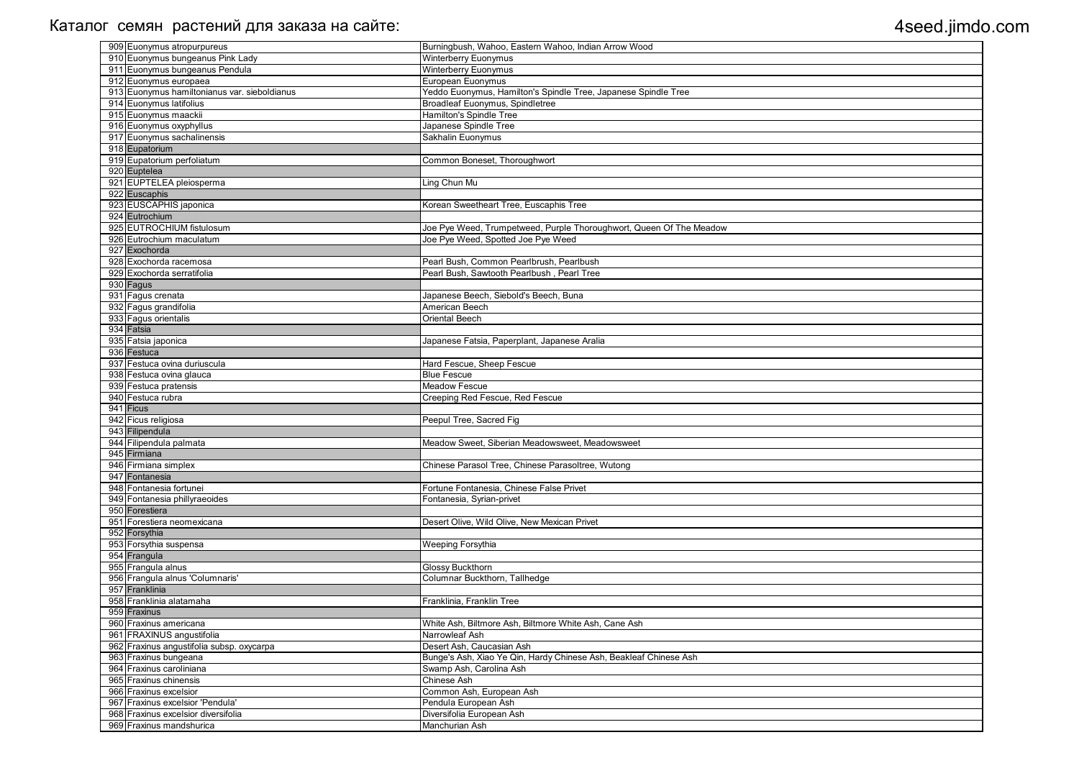| 909 Euonymus atropurpureus                   | Burningbush, Wahoo, Eastern Wahoo, Indian Arrow Wood                |
|----------------------------------------------|---------------------------------------------------------------------|
| 910 Euonymus bungeanus Pink Lady             | <b>Winterberry Euonymus</b>                                         |
| 911 Euonymus bungeanus Pendula               | <b>Winterberry Euonymus</b>                                         |
| 912 Euonymus europaea                        | European Euonymus                                                   |
| 913 Euonymus hamiltonianus var. sieboldianus | Yeddo Euonymus, Hamilton's Spindle Tree, Japanese Spindle Tree      |
| 914 Euonymus latifolius                      | Broadleaf Euonymus, Spindletree                                     |
| 915 Euonymus maackii                         | <b>Hamilton's Spindle Tree</b>                                      |
| 916 Euonymus oxyphyllus                      | Japanese Spindle Tree                                               |
| 917 Euonymus sachalinensis                   | Sakhalin Euonymus                                                   |
| 918 Eupatorium                               |                                                                     |
| 919 Eupatorium perfoliatum                   | Common Boneset, Thoroughwort                                        |
| 920 Euptelea                                 |                                                                     |
| 921 EUPTELEA pleiosperma                     | Ling Chun Mu                                                        |
| 922 Euscaphis                                |                                                                     |
| 923 EUSCAPHIS japonica                       | Korean Sweetheart Tree, Euscaphis Tree                              |
| 924 Eutrochium                               |                                                                     |
| 925 EUTROCHIUM fistulosum                    | Joe Pye Weed, Trumpetweed, Purple Thoroughwort, Queen Of The Meadow |
| 926 Eutrochium maculatum                     | Joe Pye Weed, Spotted Joe Pye Weed                                  |
| 927 Exochorda                                |                                                                     |
| 928 Exochorda racemosa                       | Pearl Bush, Common Pearlbrush, Pearlbush                            |
| 929 Exochorda serratifolia                   | Pearl Bush, Sawtooth Pearlbush, Pearl Tree                          |
| 930 Fagus                                    |                                                                     |
| 931 Fagus crenata                            | Japanese Beech, Siebold's Beech, Buna                               |
| 932 Fagus grandifolia                        | American Beech                                                      |
| 933 Fagus orientalis                         | Oriental Beech                                                      |
| 934 Fatsia                                   |                                                                     |
| 935 Fatsia japonica                          | Japanese Fatsia, Paperplant, Japanese Aralia                        |
| 936 Festuca                                  |                                                                     |
| 937 Festuca ovina duriuscula                 | Hard Fescue, Sheep Fescue                                           |
| 938 Festuca ovina glauca                     | <b>Blue Fescue</b>                                                  |
| 939 Festuca pratensis                        | <b>Meadow Fescue</b>                                                |
| 940 Festuca rubra                            | Creeping Red Fescue, Red Fescue                                     |
| 941 Ficus                                    |                                                                     |
| 942 Ficus religiosa                          | Peepul Tree, Sacred Fig                                             |
| 943 Filipendula                              |                                                                     |
| 944 Filipendula palmata                      | Meadow Sweet, Siberian Meadowsweet, Meadowsweet                     |
| 945 Firmiana                                 |                                                                     |
| 946 Firmiana simplex                         | Chinese Parasol Tree, Chinese Parasoltree, Wutong                   |
| 947 Fontanesia                               |                                                                     |
| 948 Fontanesia fortunei                      | Fortune Fontanesia, Chinese False Privet                            |
| 949 Fontanesia phillyraeoides                | Fontanesia, Syrian-privet                                           |
| 950 Forestiera                               |                                                                     |
| 951 Forestiera neomexicana                   | Desert Olive, Wild Olive, New Mexican Privet                        |
| 952 Forsythia                                |                                                                     |
| 953 Forsythia suspensa                       | <b>Weeping Forsythia</b>                                            |
| 954 Frangula                                 |                                                                     |
| 955 Frangula alnus                           | Glossy Buckthorn                                                    |
| 956 Frangula alnus 'Columnaris'              | Columnar Buckthorn, Tallhedge                                       |
| 957 Franklinia                               |                                                                     |
| 958 Franklinia alatamaha                     | Franklinia, Franklin Tree                                           |
| 959 Fraxinus                                 |                                                                     |
| 960 Fraxinus americana                       | White Ash, Biltmore Ash, Biltmore White Ash, Cane Ash               |
| 961 FRAXINUS angustifolia                    | Narrowleaf Ash                                                      |
| 962 Fraxinus angustifolia subsp. oxycarpa    | Desert Ash, Caucasian Ash                                           |
| 963 Fraxinus bungeana                        | Bunge's Ash, Xiao Ye Qin, Hardy Chinese Ash, Beakleaf Chinese Ash   |
| 964 Fraxinus caroliniana                     | Swamp Ash, Carolina Ash                                             |
| 965 Fraxinus chinensis                       | Chinese Ash                                                         |
| 966 Fraxinus excelsior                       | Common Ash, European Ash                                            |
| 967 Fraxinus excelsior 'Pendula'             | Pendula European Ash                                                |
| 968 Fraxinus excelsior diversifolia          | Diversifolia European Ash                                           |
| 969 Fraxinus mandshurica                     | Manchurian Ash                                                      |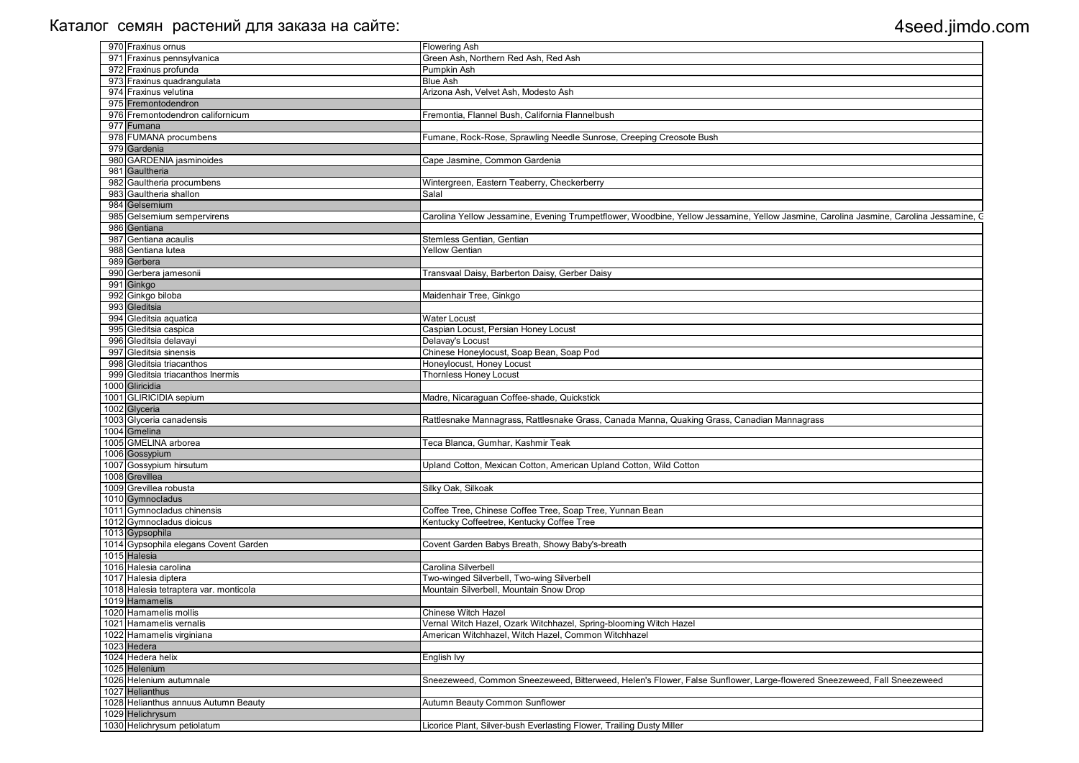| 970 Fraxinus ornus                     | <b>Flowering Ash</b>                                                                                                                  |
|----------------------------------------|---------------------------------------------------------------------------------------------------------------------------------------|
| 971 Fraxinus pennsylvanica             | Green Ash, Northern Red Ash, Red Ash                                                                                                  |
| 972 Fraxinus profunda                  | Pumpkin Ash                                                                                                                           |
| 973 Fraxinus quadrangulata             | <b>Blue Ash</b>                                                                                                                       |
| 974 Fraxinus velutina                  | Arizona Ash, Velvet Ash, Modesto Ash                                                                                                  |
| 975 Fremontodendron                    |                                                                                                                                       |
| 976 Fremontodendron californicum       | Fremontia, Flannel Bush, California Flannelbush                                                                                       |
| 977 Fumana                             |                                                                                                                                       |
| 978 FUMANA procumbens                  | Fumane, Rock-Rose, Sprawling Needle Sunrose, Creeping Creosote Bush                                                                   |
| 979 Gardenia                           |                                                                                                                                       |
| 980 GARDENIA jasminoides               | Cape Jasmine, Common Gardenia                                                                                                         |
| 981 Gaultheria                         |                                                                                                                                       |
| 982 Gaultheria procumbens              | Wintergreen, Eastern Teaberry, Checkerberry                                                                                           |
| 983 Gaultheria shallon                 | Salal                                                                                                                                 |
| 984 Gelsemium                          |                                                                                                                                       |
| 985 Gelsemium sempervirens             |                                                                                                                                       |
| 986 Gentiana                           | Carolina Yellow Jessamine, Evening Trumpetflower, Woodbine, Yellow Jessamine, Yellow Jasmine, Carolina Jasmine, Carolina Jessamine, C |
|                                        |                                                                                                                                       |
| 987 Gentiana acaulis                   | Stemless Gentian, Gentian                                                                                                             |
| 988 Gentiana lutea                     | <b>Yellow Gentian</b>                                                                                                                 |
| 989 Gerbera                            |                                                                                                                                       |
| 990 Gerbera jamesonii                  | Transvaal Daisy, Barberton Daisy, Gerber Daisy                                                                                        |
| 991 Ginkgo                             |                                                                                                                                       |
| 992 Ginkgo biloba                      | Maidenhair Tree, Ginkgo                                                                                                               |
| 993 Gleditsia                          |                                                                                                                                       |
| 994 Gleditsia aquatica                 | <b>Water Locust</b>                                                                                                                   |
| 995 Gleditsia caspica                  | Caspian Locust, Persian Honey Locust                                                                                                  |
| 996 Gleditsia delavayi                 | Delavay's Locust                                                                                                                      |
| 997 Gleditsia sinensis                 | Chinese Honeylocust, Soap Bean, Soap Pod                                                                                              |
| 998 Gleditsia triacanthos              | Honeylocust, Honey Locust                                                                                                             |
| 999 Gleditsia triacanthos Inermis      | <b>Thornless Honey Locust</b>                                                                                                         |
| 1000 Gliricidia                        |                                                                                                                                       |
| 1001 GLIRICIDIA sepium                 | Madre, Nicaraguan Coffee-shade, Quickstick                                                                                            |
| 1002 Glyceria                          |                                                                                                                                       |
| 1003 Glyceria canadensis               | Rattlesnake Mannagrass, Rattlesnake Grass, Canada Manna, Quaking Grass, Canadian Mannagrass                                           |
| 1004 Gmelina                           |                                                                                                                                       |
| 1005 GMELINA arborea                   | Teca Blanca, Gumhar, Kashmir Teak                                                                                                     |
| 1006 Gossypium                         |                                                                                                                                       |
|                                        |                                                                                                                                       |
| 1007 Gossypium hirsutum                | Upland Cotton, Mexican Cotton, American Upland Cotton, Wild Cotton                                                                    |
| 1008 Grevillea                         |                                                                                                                                       |
| 1009 Grevillea robusta                 | Silky Oak, Silkoak                                                                                                                    |
| 1010 Gymnocladus                       |                                                                                                                                       |
| 1011 Gymnocladus chinensis             | Coffee Tree, Chinese Coffee Tree, Soap Tree, Yunnan Bean                                                                              |
| 1012 Gymnocladus dioicus               | Kentucky Coffeetree, Kentucky Coffee Tree                                                                                             |
| 1013 Gypsophila                        |                                                                                                                                       |
| 1014 Gypsophila elegans Covent Garden  | Covent Garden Babys Breath, Showy Baby's-breath                                                                                       |
| 1015 Halesia                           |                                                                                                                                       |
| 1016 Halesia carolina                  | Carolina Silverbell                                                                                                                   |
| 1017 Halesia diptera                   | Two-winged Silverbell, Two-wing Silverbell                                                                                            |
| 1018 Halesia tetraptera var. monticola | Mountain Silverbell, Mountain Snow Drop                                                                                               |
| 1019 Hamamelis                         |                                                                                                                                       |
| 1020 Hamamelis mollis                  | Chinese Witch Hazel                                                                                                                   |
| 1021 Hamamelis vernalis                | Vernal Witch Hazel, Ozark Witchhazel, Spring-blooming Witch Hazel                                                                     |
| 1022 Hamamelis virginiana              | American Witchhazel, Witch Hazel, Common Witchhazel                                                                                   |
| 1023 Hedera                            |                                                                                                                                       |
| 1024 Hedera helix                      | English Ivy                                                                                                                           |
| 1025 Helenium                          |                                                                                                                                       |
|                                        |                                                                                                                                       |
| 1026 Helenium autumnale                | Sneezeweed, Common Sneezeweed, Bitterweed, Helen's Flower, False Sunflower, Large-flowered Sneezeweed, Fall Sneezeweed                |
| 1027 Helianthus                        |                                                                                                                                       |
| 1028 Helianthus annuus Autumn Beauty   | Autumn Beauty Common Sunflower                                                                                                        |
| 1029 Helichrysum                       |                                                                                                                                       |
| 1030 Helichrysum petiolatum            | Licorice Plant, Silver-bush Everlasting Flower, Trailing Dusty Miller                                                                 |

| , Carolina Jasmine, Carolina Jessamine, C |
|-------------------------------------------|
|                                           |
|                                           |
|                                           |
|                                           |
|                                           |
|                                           |
|                                           |
|                                           |
|                                           |
|                                           |
|                                           |
|                                           |
|                                           |
|                                           |
|                                           |
|                                           |
| SS                                        |
|                                           |
|                                           |
|                                           |
|                                           |
|                                           |
|                                           |
|                                           |
|                                           |
|                                           |
|                                           |
|                                           |
|                                           |
|                                           |
|                                           |
|                                           |
|                                           |
|                                           |
|                                           |
|                                           |
|                                           |
| Sneezeweed, Fall Sneezeweed               |
|                                           |
|                                           |
|                                           |
|                                           |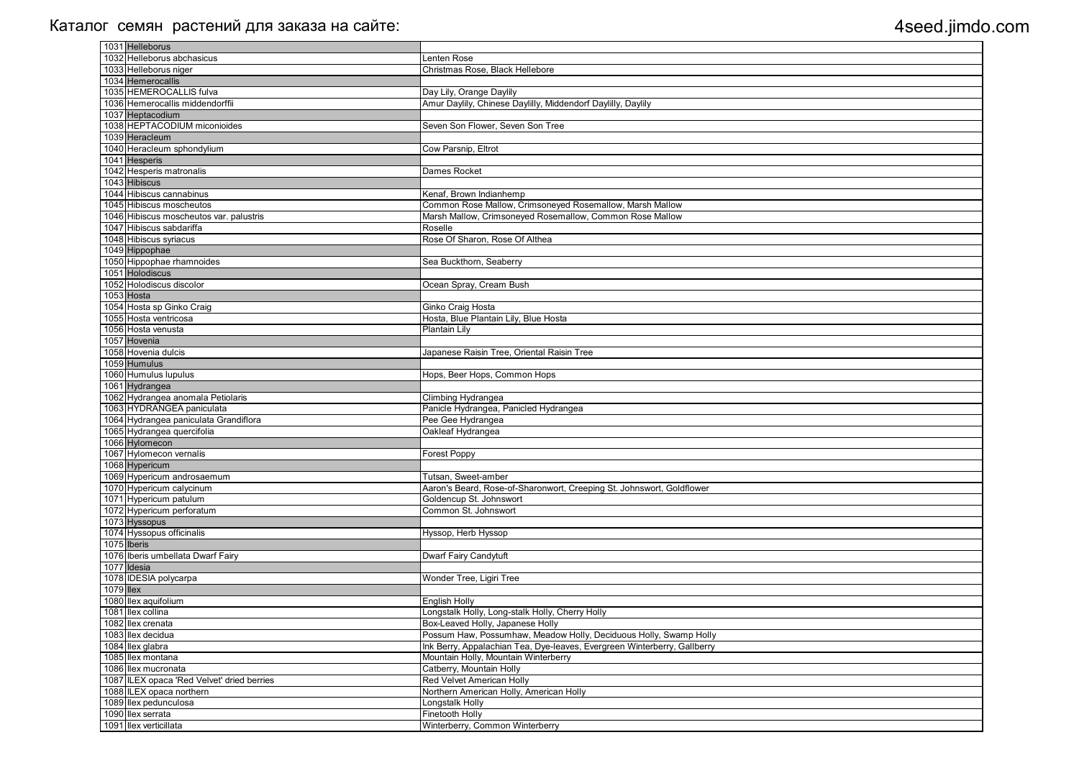|           | 1031 Helleborus                            |                                                                          |
|-----------|--------------------------------------------|--------------------------------------------------------------------------|
|           | 1032 Helleborus abchasicus                 | Lenten Rose                                                              |
|           | 1033 Helleborus niger                      | Christmas Rose, Black Hellebore                                          |
|           | 1034 Hemerocallis                          |                                                                          |
|           | 1035 HEMEROCALLIS fulva                    | Day Lily, Orange Daylily                                                 |
|           | 1036 Hemerocallis middendorffii            | Amur Daylily, Chinese Daylilly, Middendorf Daylilly, Daylily             |
|           | 1037 Heptacodium                           |                                                                          |
|           | 1038 HEPTACODIUM miconioides               | Seven Son Flower, Seven Son Tree                                         |
|           | 1039 Heracleum                             |                                                                          |
|           | 1040 Heracleum sphondylium                 | Cow Parsnip, Eltrot                                                      |
|           | 1041 Hesperis                              |                                                                          |
|           | 1042 Hesperis matronalis                   | Dames Rocket                                                             |
|           | 1043 Hibiscus                              |                                                                          |
|           | 1044 Hibiscus cannabinus                   | Kenaf, Brown Indianhemp                                                  |
|           | 1045 Hibiscus moscheutos                   | Common Rose Mallow, Crimsoneyed Rosemallow, Marsh Mallow                 |
|           | 1046 Hibiscus moscheutos var. palustris    | Marsh Mallow, Crimsoneyed Rosemallow, Common Rose Mallow                 |
|           | 1047 Hibiscus sabdariffa                   | Roselle                                                                  |
|           | 1048 Hibiscus syriacus                     | Rose Of Sharon, Rose Of Althea                                           |
|           | 1049 Hippophae                             |                                                                          |
|           | 1050 Hippophae rhamnoides                  | Sea Buckthorn, Seaberry                                                  |
|           | 1051 Holodiscus                            |                                                                          |
|           | 1052 Holodiscus discolor                   | Ocean Spray, Cream Bush                                                  |
|           | 1053 Hosta                                 |                                                                          |
|           | 1054 Hosta sp Ginko Craig                  | Ginko Craig Hosta                                                        |
|           | 1055 Hosta ventricosa                      | Hosta, Blue Plantain Lily, Blue Hosta                                    |
|           | 1056 Hosta venusta                         | Plantain Lily                                                            |
|           | 1057 Hovenia                               |                                                                          |
|           | 1058 Hovenia dulcis                        | Japanese Raisin Tree, Oriental Raisin Tree                               |
|           | 1059 Humulus                               |                                                                          |
|           | 1060 Humulus lupulus                       | Hops, Beer Hops, Common Hops                                             |
|           | 1061 Hydrangea                             |                                                                          |
|           | 1062 Hydrangea anomala Petiolaris          | Climbing Hydrangea                                                       |
|           | 1063 HYDRANGEA paniculata                  | Panicle Hydrangea, Panicled Hydrangea                                    |
|           | 1064 Hydrangea paniculata Grandiflora      | Pee Gee Hydrangea                                                        |
|           | 1065 Hydrangea quercifolia                 | Oakleaf Hydrangea                                                        |
|           | 1066 Hylomecon                             |                                                                          |
|           | 1067 Hylomecon vernalis                    | <b>Forest Poppy</b>                                                      |
|           | 1068 Hypericum                             |                                                                          |
|           | 1069 Hypericum androsaemum                 | Tutsan, Sweet-amber                                                      |
|           | 1070 Hypericum calycinum                   | Aaron's Beard, Rose-of-Sharonwort, Creeping St. Johnswort, Goldflower    |
|           | 1071 Hypericum patulum                     | Goldencup St. Johnswort                                                  |
|           | 1072 Hypericum perforatum                  | Common St. Johnswort                                                     |
|           | 1073 Hyssopus                              |                                                                          |
|           | 1074 Hyssopus officinalis                  | Hyssop, Herb Hyssop                                                      |
|           | 1075 Iberis                                |                                                                          |
|           | 1076 Iberis umbellata Dwarf Fairy          | Dwarf Fairy Candytuft                                                    |
|           | 1077 Idesia                                |                                                                          |
|           | 1078 IDESIA polycarpa                      | Wonder Tree, Ligiri Tree                                                 |
| 1079 Ilex |                                            |                                                                          |
|           | 1080 Ilex aquifolium                       | <b>English Holly</b>                                                     |
|           | 1081 Ilex collina                          | Longstalk Holly, Long-stalk Holly, Cherry Holly                          |
|           | 1082 Ilex crenata                          | Box-Leaved Holly, Japanese Holly                                         |
|           | 1083 llex decidua                          | Possum Haw, Possumhaw, Meadow Holly, Deciduous Holly, Swamp Holly        |
|           | 1084 Ilex glabra                           | Ink Berry, Appalachian Tea, Dye-leaves, Evergreen Winterberry, Gallberry |
|           | 1085 Ilex montana                          | Mountain Holly, Mountain Winterberry                                     |
|           | 1086 llex mucronata                        | Catberry, Mountain Holly                                                 |
|           | 1087 ILEX opaca 'Red Velvet' dried berries | Red Velvet American Holly                                                |
|           | 1088 ILEX opaca northern                   | Northern American Holly, American Holly                                  |
|           | 1089 llex pedunculosa                      | Longstalk Holly                                                          |
|           | 1090 llex serrata                          | Finetooth Holly                                                          |
|           | 1091 Ilex verticillata                     | Winterberry, Common Winterberry                                          |
|           |                                            |                                                                          |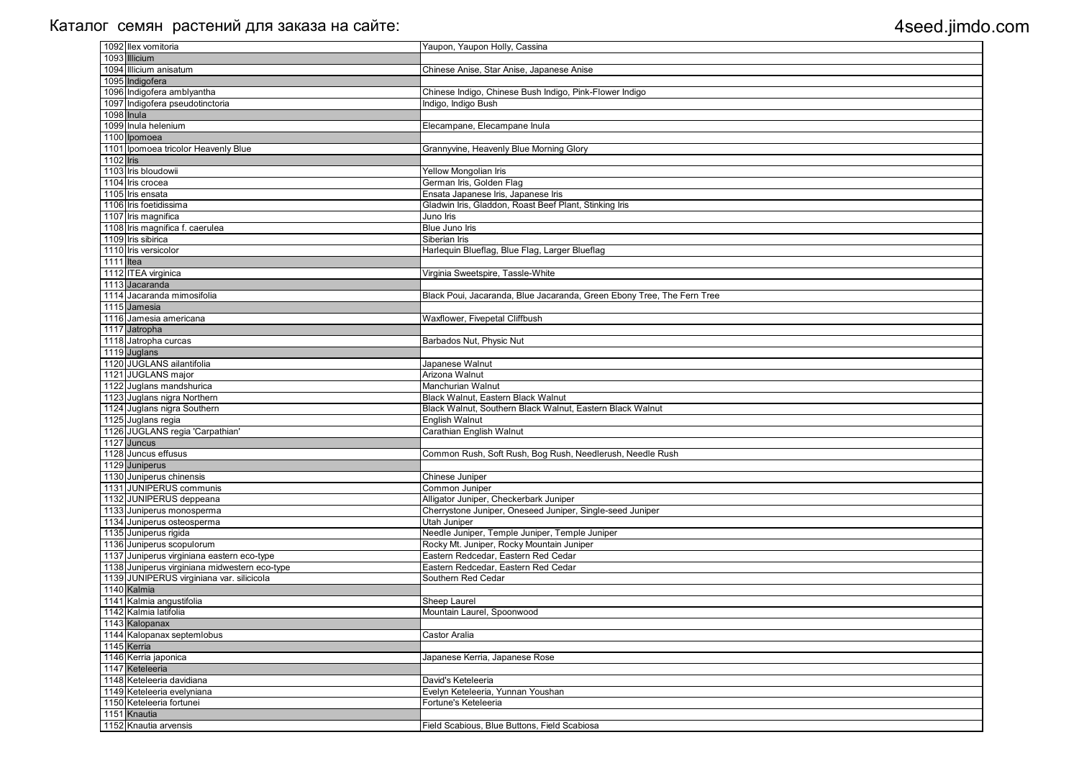|           | 1092 Ilex vomitoria                           | Yaupon, Yaupon Holly, Cassina                                          |
|-----------|-----------------------------------------------|------------------------------------------------------------------------|
|           | 1093 Illicium                                 |                                                                        |
|           | 1094 Illicium anisatum                        | Chinese Anise, Star Anise, Japanese Anise                              |
|           | 1095 Indigofera                               |                                                                        |
|           | 1096 Indigofera amblyantha                    | Chinese Indigo, Chinese Bush Indigo, Pink-Flower Indigo                |
|           | 1097 Indigofera pseudotinctoria               | Indigo, Indigo Bush                                                    |
|           | 1098 Inula                                    |                                                                        |
|           | 1099 Inula helenium                           |                                                                        |
|           |                                               | Elecampane, Elecampane Inula                                           |
|           | 1100 Ipomoea                                  |                                                                        |
|           | 1101 Ipomoea tricolor Heavenly Blue           | Grannyvine, Heavenly Blue Morning Glory                                |
| 1102 lris |                                               |                                                                        |
|           | 1103 Iris bloudowii                           | Yellow Mongolian Iris                                                  |
|           | 1104 Iris crocea                              | German Iris, Golden Flag                                               |
|           | 1105 Iris ensata                              | Ensata Japanese Iris, Japanese Iris                                    |
|           | 1106 Iris foetidissima                        | Gladwin Iris, Gladdon, Roast Beef Plant, Stinking Iris                 |
|           | 1107 Iris magnifica                           | Juno Iris                                                              |
|           | 1108 Iris magnifica f. caerulea               | Blue Juno Iris                                                         |
|           | 1109 Iris sibirica                            | Siberian Iris                                                          |
|           |                                               |                                                                        |
|           | 1110 Iris versicolor                          | Harlequin Blueflag, Blue Flag, Larger Blueflag                         |
|           | 1111 Itea                                     |                                                                        |
|           | 1112 ITEA virginica                           | Virginia Sweetspire, Tassle-White                                      |
|           | 1113 Jacaranda                                |                                                                        |
|           | 1114 Jacaranda mimosifolia                    | Black Poui, Jacaranda, Blue Jacaranda, Green Ebony Tree, The Fern Tree |
|           | 1115 Jamesia                                  |                                                                        |
|           | 1116 Jamesia americana                        | Waxflower, Fivepetal Cliffbush                                         |
|           | 1117 Jatropha                                 |                                                                        |
|           | 1118 Jatropha curcas                          | Barbados Nut, Physic Nut                                               |
|           | 1119 Juglans                                  |                                                                        |
|           | 1120 JUGLANS ailantifolia                     |                                                                        |
|           |                                               | Japanese Walnut                                                        |
|           | 1121 JUGLANS major                            | Arizona Walnut                                                         |
|           | 1122 Juglans mandshurica                      | Manchurian Walnut                                                      |
|           | 1123 Juglans nigra Northern                   | Black Walnut, Eastern Black Walnut                                     |
|           | 1124 Juglans nigra Southern                   | Black Walnut, Southern Black Walnut, Eastern Black Walnut              |
|           | 1125 Juglans regia                            | <b>English Walnut</b>                                                  |
|           | 1126 JUGLANS regia 'Carpathian'               | Carathian English Walnut                                               |
|           | 1127 Juncus                                   |                                                                        |
|           | 1128 Juncus effusus                           | Common Rush, Soft Rush, Bog Rush, Needlerush, Needle Rush              |
|           | 1129 Juniperus                                |                                                                        |
|           | 1130 Juniperus chinensis                      | Chinese Juniper                                                        |
|           | 1131 JUNIPERUS communis                       |                                                                        |
|           |                                               | Common Juniper                                                         |
|           | 1132 JUNIPERUS deppeana                       | Alligator Juniper, Checkerbark Juniper                                 |
|           | 1133 Juniperus monosperma                     | Cherrystone Juniper, Oneseed Juniper, Single-seed Juniper              |
|           | 1134 Juniperus osteosperma                    | <b>Utah Juniper</b>                                                    |
|           | 1135 Juniperus rigida                         | Needle Juniper, Temple Juniper, Temple Juniper                         |
|           | 1136 Juniperus scopulorum                     | Rocky Mt. Juniper, Rocky Mountain Juniper                              |
|           | 1137 Juniperus virginiana eastern eco-type    | Eastern Redcedar, Eastern Red Cedar                                    |
|           | 1138 Juniperus virginiana midwestern eco-type | Eastern Redcedar, Eastern Red Cedar                                    |
|           | 1139 JUNIPERUS virginiana var. silicicola     | Southern Red Cedar                                                     |
|           | 1140 Kalmia                                   |                                                                        |
|           | 1141 Kalmia angustifolia                      | Sheep Laurel                                                           |
|           | 1142 Kalmia latifolia                         | Mountain Laurel, Spoonwood                                             |
|           |                                               |                                                                        |
|           | 1143 Kalopanax                                |                                                                        |
|           | 1144 Kalopanax septemlobus                    | Castor Aralia                                                          |
|           | 1145 Kerria                                   |                                                                        |
|           | 1146 Kerria japonica                          | Japanese Kerria, Japanese Rose                                         |
|           | 1147 Keteleeria                               |                                                                        |
|           | 1148 Keteleeria davidiana                     | David's Keteleeria                                                     |
|           | 1149 Keteleeria evelyniana                    | Evelyn Keteleeria, Yunnan Youshan                                      |
|           | 1150 Keteleeria fortunei                      | Fortune's Keteleeria                                                   |
|           | 1151 Knautia                                  |                                                                        |
|           | 1152 Knautia arvensis                         | Field Scabious, Blue Buttons, Field Scabiosa                           |
|           |                                               |                                                                        |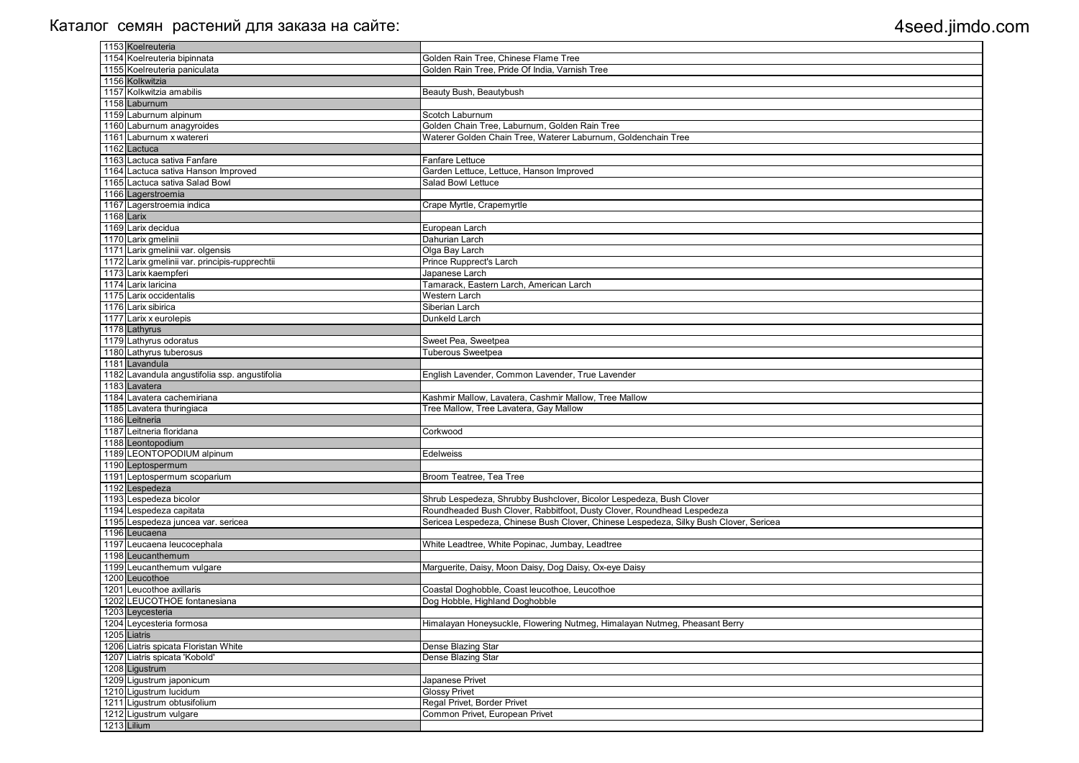| 1153 Koelreuteria                              |                                                                                       |
|------------------------------------------------|---------------------------------------------------------------------------------------|
| 1154 Koelreuteria bipinnata                    | Golden Rain Tree, Chinese Flame Tree                                                  |
| 1155 Koelreuteria paniculata                   | Golden Rain Tree, Pride Of India, Varnish Tree                                        |
| 1156 Kolkwitzia                                |                                                                                       |
| 1157 Kolkwitzia amabilis                       | Beauty Bush, Beautybush                                                               |
| 1158 Laburnum                                  |                                                                                       |
| 1159 Laburnum alpinum                          | Scotch Laburnum                                                                       |
| 1160 Laburnum anagyroides                      | Golden Chain Tree, Laburnum, Golden Rain Tree                                         |
| 1161 Laburnum x watereri                       | Waterer Golden Chain Tree, Waterer Laburnum, Goldenchain Tree                         |
| 1162 Lactuca                                   |                                                                                       |
| 1163 Lactuca sativa Fanfare                    | <b>Fanfare Lettuce</b>                                                                |
| 1164 Lactuca sativa Hanson Improved            | Garden Lettuce, Lettuce, Hanson Improved                                              |
| 1165 Lactuca sativa Salad Bowl                 | Salad Bowl Lettuce                                                                    |
| 1166 Lagerstroemia                             |                                                                                       |
| 1167 Lagerstroemia indica                      | Crape Myrtle, Crapemyrtle                                                             |
| 1168 Larix                                     |                                                                                       |
| 1169 Larix decidua                             | European Larch                                                                        |
| 1170 Larix gmelinii                            | Dahurian Larch                                                                        |
| 1171 Larix gmelinii var. olgensis              | Olga Bay Larch                                                                        |
| 1172 Larix gmelinii var. principis-rupprechtii | Prince Rupprect's Larch                                                               |
| 1173 Larix kaempferi                           | Japanese Larch                                                                        |
| 1174 Larix laricina                            | Tamarack, Eastern Larch, American Larch                                               |
| 1175 Larix occidentalis                        | <b>Western Larch</b>                                                                  |
| 1176 Larix sibirica                            | Siberian Larch                                                                        |
| 1177 Larix x eurolepis                         | Dunkeld Larch                                                                         |
| 1178 Lathyrus                                  |                                                                                       |
| 1179 Lathyrus odoratus                         | Sweet Pea, Sweetpea                                                                   |
| 1180 Lathyrus tuberosus                        | <b>Tuberous Sweetpea</b>                                                              |
| 1181 Lavandula                                 |                                                                                       |
| 1182 Lavandula angustifolia ssp. angustifolia  | English Lavender, Common Lavender, True Lavender                                      |
| 1183 Lavatera                                  |                                                                                       |
| 1184 Lavatera cachemiriana                     | Kashmir Mallow, Lavatera, Cashmir Mallow, Tree Mallow                                 |
| 1185 Lavatera thuringiaca                      | Tree Mallow, Tree Lavatera, Gay Mallow                                                |
| 1186 Leitneria                                 |                                                                                       |
| 1187 Leitneria floridana                       | Corkwood                                                                              |
| 1188 Leontopodium                              |                                                                                       |
| 1189 LEONTOPODIUM alpinum                      | <b>Edelweiss</b>                                                                      |
| 1190 Leptospermum                              |                                                                                       |
| 1191 Leptospermum scoparium                    | Broom Teatree, Tea Tree                                                               |
| 1192 Lespedeza                                 |                                                                                       |
| 1193 Lespedeza bicolor                         | Shrub Lespedeza, Shrubby Bushclover, Bicolor Lespedeza, Bush Clover                   |
| 1194 Lespedeza capitata                        | Roundheaded Bush Clover, Rabbitfoot, Dusty Clover, Roundhead Lespedeza                |
| 1195 Lespedeza juncea var. sericea             | Sericea Lespedeza, Chinese Bush Clover, Chinese Lespedeza, Silky Bush Clover, Sericea |
| 1196 Leucaena                                  |                                                                                       |
| 1197 Leucaena leucocephala                     | White Leadtree, White Popinac, Jumbay, Leadtree                                       |
| 1198 Leucanthemum                              |                                                                                       |
| 1199 Leucanthemum vulgare                      | Marguerite, Daisy, Moon Daisy, Dog Daisy, Ox-eye Daisy                                |
| 1200 Leucothoe                                 |                                                                                       |
| 1201 Leucothoe axillaris                       | Coastal Doghobble, Coast leucothoe, Leucothoe                                         |
| 1202 LEUCOTHOE fontanesiana                    | Dog Hobble, Highland Doghobble                                                        |
| 1203 Leycesteria                               |                                                                                       |
| 1204 Leycesteria formosa                       | Himalayan Honeysuckle, Flowering Nutmeg, Himalayan Nutmeg, Pheasant Berry             |
| 1205 Liatris                                   |                                                                                       |
| 1206 Liatris spicata Floristan White           | Dense Blazing Star                                                                    |
| 1207 Liatris spicata 'Kobold'                  | Dense Blazing Star                                                                    |
| 1208 Ligustrum                                 |                                                                                       |
| 1209 Ligustrum japonicum                       | Japanese Privet                                                                       |
| 1210 Ligustrum lucidum                         | <b>Glossy Privet</b>                                                                  |
| 1211 Ligustrum obtusifolium                    | Regal Privet, Border Privet                                                           |
| 1212 Ligustrum vulgare                         | Common Privet, European Privet                                                        |
| 1213 Lilium                                    |                                                                                       |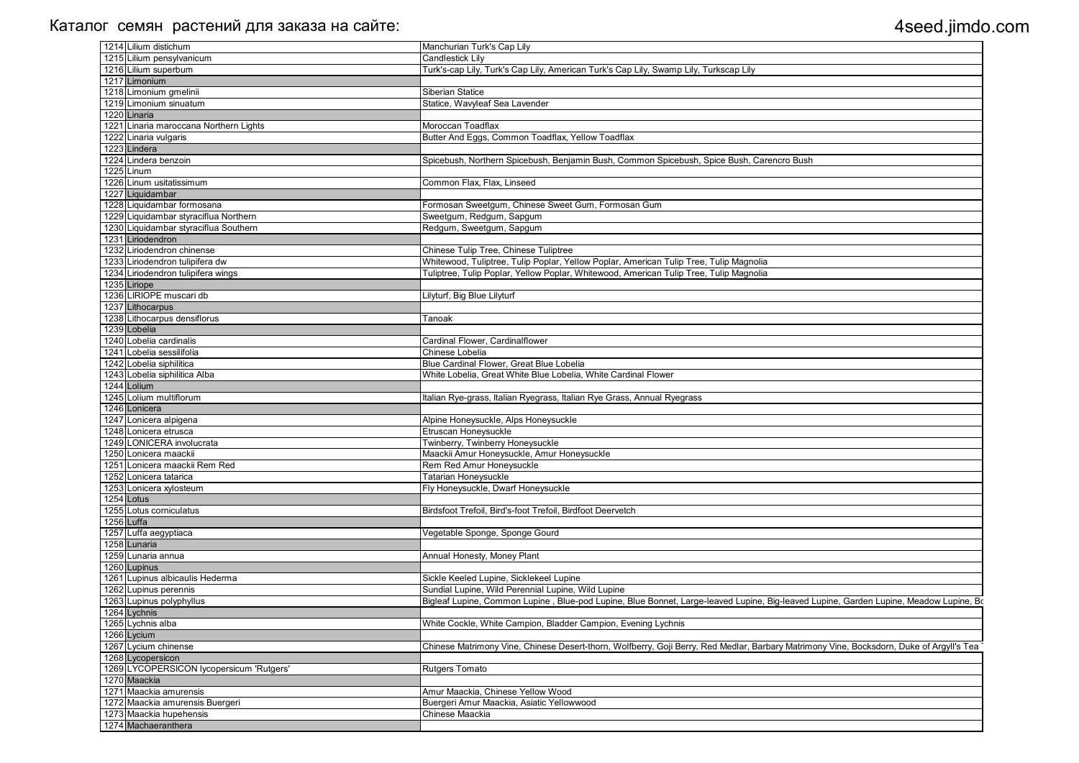| 1214 Lilium distichum                    | Manchurian Turk's Cap Lily                                                                                                               |
|------------------------------------------|------------------------------------------------------------------------------------------------------------------------------------------|
| 1215 Lilium pensylvanicum                | <b>Candlestick Lilv</b>                                                                                                                  |
| 1216 Lilium superbum                     | Turk's-cap Lily, Turk's Cap Lily, American Turk's Cap Lily, Swamp Lily, Turkscap Lily                                                    |
| 1217 Limonium                            |                                                                                                                                          |
| 1218 Limonium gmelinii                   | Siberian Statice                                                                                                                         |
| 1219 Limonium sinuatum                   | Statice, Wavyleaf Sea Lavender                                                                                                           |
| 1220 Linaria                             |                                                                                                                                          |
| 1221 Linaria maroccana Northern Lights   | Moroccan Toadflax                                                                                                                        |
| 1222 Linaria vulgaris                    | Butter And Eggs, Common Toadflax, Yellow Toadflax                                                                                        |
| 1223 Lindera                             |                                                                                                                                          |
| 1224 Lindera benzoin                     | Spicebush, Northern Spicebush, Benjamin Bush, Common Spicebush, Spice Bush, Carencro Bush                                                |
| 1225 Linum                               |                                                                                                                                          |
| 1226 Linum usitatissimum                 | Common Flax, Flax, Linseed                                                                                                               |
| 1227 Liquidambar                         |                                                                                                                                          |
| 1228 Liquidambar formosana               | Formosan Sweetgum, Chinese Sweet Gum, Formosan Gum                                                                                       |
| 1229 Liquidambar styraciflua Northern    | Sweetgum, Redgum, Sapgum                                                                                                                 |
| 1230 Liquidambar styraciflua Southern    | Redgum, Sweetgum, Sapgum                                                                                                                 |
| 1231 Liriodendron                        |                                                                                                                                          |
| 1232 Liriodendron chinense               | Chinese Tulip Tree, Chinese Tuliptree                                                                                                    |
| 1233 Liriodendron tulipifera dw          | Whitewood, Tuliptree, Tulip Poplar, Yellow Poplar, American Tulip Tree, Tulip Magnolia                                                   |
| 1234 Liriodendron tulipifera wings       | Tuliptree, Tulip Poplar, Yellow Poplar, Whitewood, American Tulip Tree, Tulip Magnolia                                                   |
| 1235 Liriope                             |                                                                                                                                          |
| 1236 LIRIOPE muscari db                  | Lilyturf, Big Blue Lilyturf                                                                                                              |
| 1237 Lithocarpus                         |                                                                                                                                          |
| 1238 Lithocarpus densiflorus             | Tanoak                                                                                                                                   |
| 1239 Lobelia                             |                                                                                                                                          |
| 1240 Lobelia cardinalis                  | Cardinal Flower, Cardinalflower                                                                                                          |
| 1241 Lobelia sessilifolia                | Chinese Lobelia                                                                                                                          |
| 1242 Lobelia siphilitica                 | Blue Cardinal Flower, Great Blue Lobelia                                                                                                 |
| 1243 Lobelia siphilitica Alba            | White Lobelia, Great White Blue Lobelia, White Cardinal Flower                                                                           |
| 1244 Lolium                              |                                                                                                                                          |
| 1245 Lolium multiflorum                  | Italian Rye-grass, Italian Ryegrass, Italian Rye Grass, Annual Ryegrass                                                                  |
| 1246 Lonicera                            |                                                                                                                                          |
| 1247 Lonicera alpigena                   | Alpine Honeysuckle, Alps Honeysuckle                                                                                                     |
| 1248 Lonicera etrusca                    | Etruscan Honeysuckle                                                                                                                     |
|                                          |                                                                                                                                          |
| 1249 LONICERA involucrata                | Twinberry, Twinberry Honeysuckle                                                                                                         |
| 1250 Lonicera maackii                    | Maackii Amur Honeysuckle, Amur Honeysuckle                                                                                               |
| 1251 Lonicera maackii Rem Red            | Rem Red Amur Honeysuckle                                                                                                                 |
| 1252 Lonicera tatarica                   | Tatarian Honeysuckle                                                                                                                     |
| 1253 Lonicera xylosteum                  | Fly Honeysuckle, Dwarf Honeysuckle                                                                                                       |
| 1254 Lotus                               |                                                                                                                                          |
| 1255 Lotus corniculatus                  | Birdsfoot Trefoil, Bird's-foot Trefoil, Birdfoot Deervetch                                                                               |
| 1256 Luffa                               |                                                                                                                                          |
| 1257 Luffa aegyptiaca                    | Vegetable Sponge, Sponge Gourd                                                                                                           |
| 1258 Lunaria                             |                                                                                                                                          |
| 1259 Lunaria annua                       | Annual Honesty, Money Plant                                                                                                              |
| 1260 Lupinus                             |                                                                                                                                          |
| 1261 Lupinus albicaulis Hederma          | Sickle Keeled Lupine, Sicklekeel Lupine                                                                                                  |
| 1262 Lupinus perennis                    | Sundial Lupine, Wild Perennial Lupine, Wild Lupine                                                                                       |
| 1263 Lupinus polyphyllus                 | Bigleaf Lupine, Common Lupine, Blue-pod Lupine, Blue Bonnet, Large-leaved Lupine, Big-leaved Lupine, Garden Lupine, Meadow Lupine, Bo    |
| 1264 Lychnis                             |                                                                                                                                          |
| 1265 Lychnis alba                        | White Cockle, White Campion, Bladder Campion, Evening Lychnis                                                                            |
| 1266 Lycium                              |                                                                                                                                          |
| 1267 Lycium chinense                     | Chinese Matrimony Vine, Chinese Desert-thorn, Wolfberry, Goji Berry, Red Medlar, Barbary Matrimony Vine, Bocksdorn, Duke of Argyll's Tea |
| 1268 Lycopersicon                        |                                                                                                                                          |
| 1269 LYCOPERSICON lycopersicum 'Rutgers' | <b>Rutgers Tomato</b>                                                                                                                    |
| 1270 Maackia                             |                                                                                                                                          |
| 1271 Maackia amurensis                   | Amur Maackia, Chinese Yellow Wood                                                                                                        |
| 1272 Maackia amurensis Buergeri          | Buergeri Amur Maackia, Asiatic Yellowwood                                                                                                |
| 1273 Maackia hupehensis                  | Chinese Maackia                                                                                                                          |
| 1274 Machaeranthera                      |                                                                                                                                          |
|                                          |                                                                                                                                          |

| upine, Garden Lupine, Meadow Lupine, Bo   |
|-------------------------------------------|
|                                           |
|                                           |
|                                           |
| ony Vine, Bocksdorn, Duke of Argyll's Tea |
|                                           |
|                                           |
|                                           |
|                                           |
|                                           |
|                                           |
|                                           |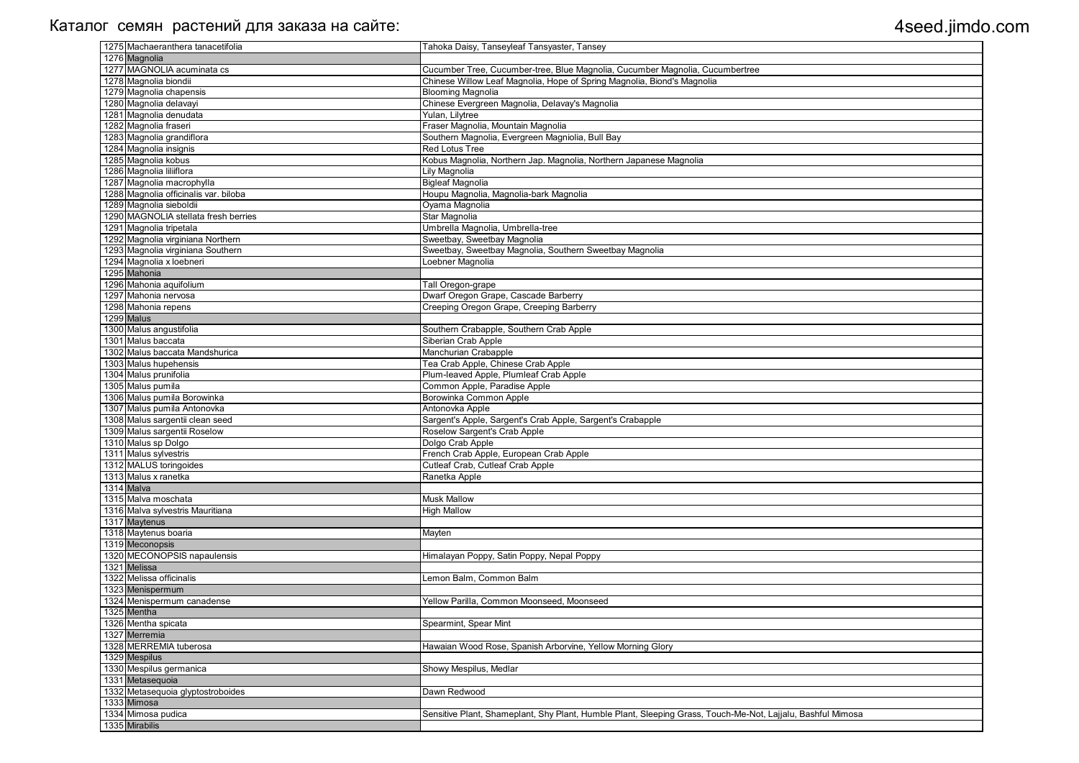| 1275 Machaeranthera tanacetifolia         | Tahoka Daisy, Tanseyleaf Tansyaster, Tansey                                                                 |
|-------------------------------------------|-------------------------------------------------------------------------------------------------------------|
| 1276 Magnolia                             |                                                                                                             |
| 1277 MAGNOLIA acuminata cs                | Cucumber Tree, Cucumber-tree, Blue Magnolia, Cucumber Magnolia, Cucumbertree                                |
| 1278 Magnolia biondii                     | Chinese Willow Leaf Magnolia, Hope of Spring Magnolia, Biond's Magnolia                                     |
| 1279 Magnolia chapensis                   | <b>Blooming Magnolia</b>                                                                                    |
| 1280 Magnolia delavayi                    | Chinese Evergreen Magnolia, Delavay's Magnolia                                                              |
| 1281 Magnolia denudata                    | Yulan, Lilytree                                                                                             |
| 1282 Magnolia fraseri                     | Fraser Magnolia, Mountain Magnolia                                                                          |
| 1283 Magnolia grandiflora                 | Southern Magnolia, Evergreen Magniolia, Bull Bay                                                            |
| 1284 Magnolia insignis                    | <b>Red Lotus Tree</b>                                                                                       |
| 1285 Magnolia kobus                       | Kobus Magnolia, Northern Jap. Magnolia, Northern Japanese Magnolia                                          |
| 1286 Magnolia liliiflora                  | Lily Magnolia                                                                                               |
| 1287 Magnolia macrophylla                 | <b>Bigleaf Magnolia</b>                                                                                     |
| 1288 Magnolia officinalis var. biloba     | Houpu Magnolia, Magnolia-bark Magnolia                                                                      |
| 1289 Magnolia sieboldii                   | Oyama Magnolia                                                                                              |
| 1290 MAGNOLIA stellata fresh berries      | Star Magnolia                                                                                               |
| 1291 Magnolia tripetala                   | Umbrella Magnolia, Umbrella-tree                                                                            |
| 1292 Magnolia virginiana Northern         | Sweetbay, Sweetbay Magnolia                                                                                 |
| 1293 Magnolia virginiana Southern         | Sweetbay, Sweetbay Magnolia, Southern Sweetbay Magnolia                                                     |
| 1294 Magnolia x loebneri                  | Loebner Magnolia                                                                                            |
| 1295 Mahonia                              |                                                                                                             |
| 1296 Mahonia aquifolium                   | Tall Oregon-grape                                                                                           |
| 1297 Mahonia nervosa                      | Dwarf Oregon Grape, Cascade Barberry                                                                        |
| 1298 Mahonia repens                       | Creeping Oregon Grape, Creeping Barberry                                                                    |
| 1299 Malus                                |                                                                                                             |
| 1300 Malus angustifolia                   | Southern Crabapple, Southern Crab Apple                                                                     |
| 1301 Malus baccata                        | Siberian Crab Apple                                                                                         |
| 1302 Malus baccata Mandshurica            | Manchurian Crabapple                                                                                        |
| 1303 Malus hupehensis                     | Tea Crab Apple, Chinese Crab Apple                                                                          |
| 1304 Malus prunifolia                     | Plum-leaved Apple, Plumleaf Crab Apple                                                                      |
| 1305 Malus pumila                         | Common Apple, Paradise Apple                                                                                |
| 1306 Malus pumila Borowinka               | Borowinka Common Apple                                                                                      |
| 1307 Malus pumila Antonovka               | Antonovka Apple                                                                                             |
| 1308 Malus sargentii clean seed           |                                                                                                             |
| 1309 Malus sargentii Roselow              | Sargent's Apple, Sargent's Crab Apple, Sargent's Crabapple<br>Roselow Sargent's Crab Apple                  |
| 1310 Malus sp Dolgo                       | Dolgo Crab Apple                                                                                            |
| 1311 Malus sylvestris                     | French Crab Apple, European Crab Apple                                                                      |
| 1312 MALUS toringoides                    | Cutleaf Crab, Cutleaf Crab Apple                                                                            |
| 1313 Malus x ranetka                      |                                                                                                             |
| 1314 Malva                                | Ranetka Apple                                                                                               |
| 1315 Malva moschata                       | <b>Musk Mallow</b>                                                                                          |
| 1316 Malva sylvestris Mauritiana          | <b>High Mallow</b>                                                                                          |
| 1317 Maytenus                             |                                                                                                             |
| 1318 Maytenus boaria                      |                                                                                                             |
| 1319 Meconopsis                           | Mayten                                                                                                      |
| 1320 MECONOPSIS napaulensis               |                                                                                                             |
| 1321 Melissa                              | Himalayan Poppy, Satin Poppy, Nepal Poppy                                                                   |
| 1322 Melissa officinalis                  | Lemon Balm, Common Balm                                                                                     |
|                                           |                                                                                                             |
| 1323 Menispermum                          |                                                                                                             |
| 1324 Menispermum canadense<br>1325 Mentha | Yellow Parilla, Common Moonseed, Moonseed                                                                   |
|                                           |                                                                                                             |
| 1326 Mentha spicata                       | Spearmint, Spear Mint                                                                                       |
| 1327 Merremia                             |                                                                                                             |
| 1328 MERREMIA tuberosa                    | Hawaian Wood Rose, Spanish Arborvine, Yellow Morning Glory                                                  |
| 1329 Mespilus                             |                                                                                                             |
| 1330 Mespilus germanica                   | Showy Mespilus, Medlar                                                                                      |
| 1331 Metasequoia                          |                                                                                                             |
| 1332 Metasequoia glyptostroboides         | Dawn Redwood                                                                                                |
| 1333 Mimosa                               |                                                                                                             |
| 1334 Mimosa pudica                        | Sensitive Plant, Shameplant, Shy Plant, Humble Plant, Sleeping Grass, Touch-Me-Not, Lajjalu, Bashful Mimosa |
| 1335 Mirabilis                            |                                                                                                             |

| hful Mimosa |
|-------------|
|             |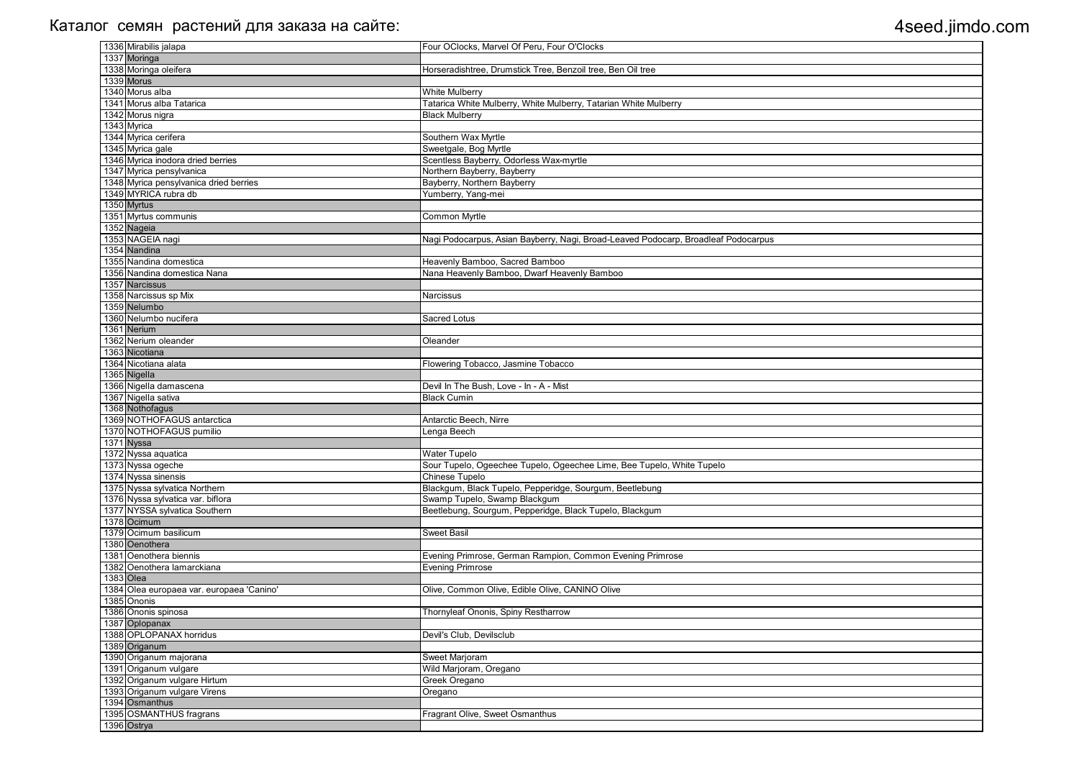| 1336 Mirabilis jalapa                     | Four OClocks, Marvel Of Peru, Four O'Clocks                                        |
|-------------------------------------------|------------------------------------------------------------------------------------|
| 1337 Moringa                              |                                                                                    |
| 1338 Moringa oleifera                     | Horseradishtree, Drumstick Tree, Benzoil tree, Ben Oil tree                        |
| 1339 Morus                                |                                                                                    |
| 1340 Morus alba                           | White Mulberry                                                                     |
| 1341 Morus alba Tatarica                  | Tatarica White Mulberry, White Mulberry, Tatarian White Mulberry                   |
| 1342 Morus nigra                          | <b>Black Mulberry</b>                                                              |
| 1343 Myrica                               |                                                                                    |
| 1344 Myrica cerifera                      | Southern Wax Myrtle                                                                |
| 1345 Myrica gale                          | Sweetgale, Bog Myrtle                                                              |
| 1346 Myrica inodora dried berries         | Scentless Bayberry, Odorless Wax-myrtle                                            |
| 1347 Myrica pensylvanica                  | Northern Bayberry, Bayberry                                                        |
| 1348 Myrica pensylvanica dried berries    | Bayberry, Northern Bayberry                                                        |
| 1349 MYRICA rubra db                      | Yumberry, Yang-mei                                                                 |
| 1350 Myrtus                               |                                                                                    |
| 1351 Myrtus communis                      | <b>Common Myrtle</b>                                                               |
| 1352 Nageia                               |                                                                                    |
| 1353 NAGEIA nagi                          | Nagi Podocarpus, Asian Bayberry, Nagi, Broad-Leaved Podocarp, Broadleaf Podocarpus |
| 1354 Nandina                              |                                                                                    |
| 1355 Nandina domestica                    | Heavenly Bamboo, Sacred Bamboo                                                     |
| 1356 Nandina domestica Nana               | Nana Heavenly Bamboo, Dwarf Heavenly Bamboo                                        |
| 1357 Narcissus                            |                                                                                    |
| 1358 Narcissus sp Mix                     | Narcissus                                                                          |
| 1359 Nelumbo                              |                                                                                    |
| 1360 Nelumbo nucifera                     | <b>Sacred Lotus</b>                                                                |
| 1361 Nerium                               |                                                                                    |
| 1362 Nerium oleander                      |                                                                                    |
|                                           | Oleander                                                                           |
| 1363 Nicotiana                            |                                                                                    |
| 1364 Nicotiana alata                      | Flowering Tobacco, Jasmine Tobacco                                                 |
| 1365 Nigella                              |                                                                                    |
| 1366 Nigella damascena                    | Devil In The Bush, Love - In - A - Mist                                            |
| 1367 Nigella sativa                       | <b>Black Cumin</b>                                                                 |
| 1368 Nothofagus                           |                                                                                    |
| 1369 NOTHOFAGUS antarctica                | Antarctic Beech, Nirre                                                             |
| 1370 NOTHOFAGUS pumilio                   | Lenga Beech                                                                        |
| 1371 Nyssa                                |                                                                                    |
| 1372 Nyssa aquatica                       | <b>Water Tupelo</b>                                                                |
| 1373 Nyssa ogeche                         | Sour Tupelo, Ogeechee Tupelo, Ogeechee Lime, Bee Tupelo, White Tupelo              |
| 1374 Nyssa sinensis                       | <b>Chinese Tupelo</b>                                                              |
| 1375 Nyssa sylvatica Northern             | Blackgum, Black Tupelo, Pepperidge, Sourgum, Beetlebung                            |
| 1376 Nyssa sylvatica var. biflora         | Swamp Tupelo, Swamp Blackgum                                                       |
| 1377 NYSSA sylvatica Southern             | Beetlebung, Sourgum, Pepperidge, Black Tupelo, Blackgum                            |
| 1378 Ocimum                               |                                                                                    |
| 1379 Ocimum basilicum                     | <b>Sweet Basil</b>                                                                 |
| 1380 Oenothera                            |                                                                                    |
| 1381 Oenothera biennis                    | Evening Primrose, German Rampion, Common Evening Primrose                          |
| 1382 Oenothera lamarckiana                | <b>Evening Primrose</b>                                                            |
| 1383 Olea                                 |                                                                                    |
| 1384 Olea europaea var. europaea 'Canino' | Olive, Common Olive, Edible Olive, CANINO Olive                                    |
| 1385 Ononis                               |                                                                                    |
| 1386 Ononis spinosa                       | Thornyleaf Ononis, Spiny Restharrow                                                |
| 1387 Oplopanax                            |                                                                                    |
| 1388 OPLOPANAX horridus                   | Devil's Club, Devilsclub                                                           |
| 1389 Origanum                             |                                                                                    |
| 1390 Origanum majorana                    | Sweet Marjoram                                                                     |
| 1391 Origanum vulgare                     | Wild Marjoram, Oregano                                                             |
| 1392 Origanum vulgare Hirtum              | Greek Oregano                                                                      |
| 1393 Origanum vulgare Virens              | Oregano                                                                            |
| 1394 Osmanthus                            |                                                                                    |
| 1395 OSMANTHUS fragrans                   | Fragrant Olive, Sweet Osmanthus                                                    |
| 1396 Ostrya                               |                                                                                    |
|                                           |                                                                                    |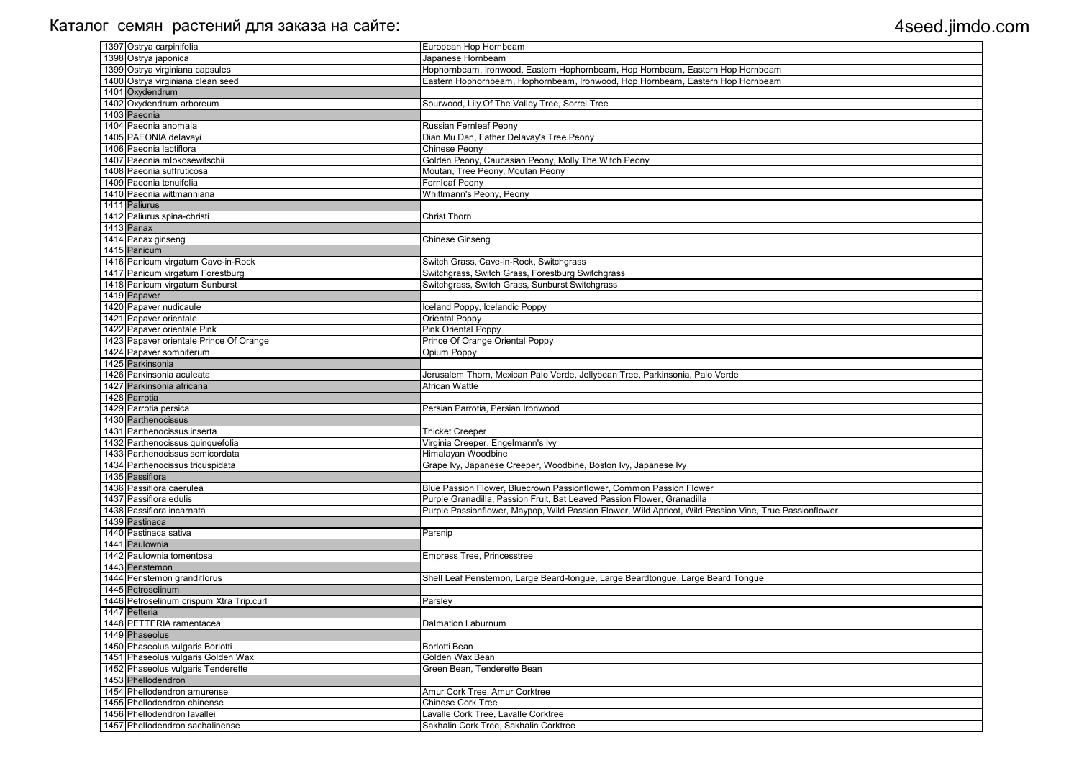| 1397 Ostrya carpinifolia                      | European Hop Hornbeam                                                                                  |
|-----------------------------------------------|--------------------------------------------------------------------------------------------------------|
| 1398 Ostrya japonica                          | Japanese Hornbeam                                                                                      |
| 1399 Ostrya virginiana capsules               | Hophornbeam, Ironwood, Eastern Hophornbeam, Hop Hornbeam, Eastern Hop Hornbeam                         |
| 1400 Ostrya virginiana clean seed             | Eastern Hophornbeam, Hophornbeam, Ironwood, Hop Hornbeam, Eastern Hop Hornbeam                         |
| 1401 Oxydendrum                               |                                                                                                        |
| 1402 Oxydendrum arboreum                      | Sourwood, Lily Of The Valley Tree, Sorrel Tree                                                         |
| 1403 Paeonia                                  |                                                                                                        |
| 1404 Paeonia anomala                          | <b>Russian Fernleaf Peony</b>                                                                          |
| 1405 PAEONIA delavayi                         | Dian Mu Dan, Father Delavay's Tree Peony                                                               |
| 1406 Paeonia lactiflora                       | Chinese Peony                                                                                          |
| 1407 Paeonia mlokosewitschii                  | Golden Peony, Caucasian Peony, Molly The Witch Peony                                                   |
| 1408 Paeonia suffruticosa                     | Moutan, Tree Peony, Moutan Peony                                                                       |
| 1409 Paeonia tenuifolia                       | <b>Fernleaf Peony</b>                                                                                  |
| 1410 Paeonia wittmanniana                     | Whittmann's Peony, Peony                                                                               |
| 1411 Paliurus                                 |                                                                                                        |
| 1412 Paliurus spina-christi                   | <b>Christ Thorn</b>                                                                                    |
| $1413$ Panax                                  |                                                                                                        |
| 1414 Panax ginseng                            | <b>Chinese Ginseng</b>                                                                                 |
| 1415 Panicum                                  |                                                                                                        |
| 1416 Panicum virgatum Cave-in-Rock            | Switch Grass, Cave-in-Rock, Switchgrass                                                                |
| 1417 Panicum virgatum Forestburg              | Switchgrass, Switch Grass, Forestburg Switchgrass                                                      |
| 1418 Panicum virgatum Sunburst                | Switchgrass, Switch Grass, Sunburst Switchgrass                                                        |
| 1419 Papaver                                  |                                                                                                        |
| 1420 Papaver nudicaule                        | Iceland Poppy, Icelandic Poppy                                                                         |
| 1421 Papaver orientale                        | <b>Oriental Poppy</b>                                                                                  |
| 1422 Papaver orientale Pink                   | <b>Pink Oriental Poppy</b>                                                                             |
| 1423 Papaver orientale Prince Of Orange       | Prince Of Orange Oriental Poppy                                                                        |
| 1424 Papaver somniferum                       | Opium Poppy                                                                                            |
| 1425 Parkinsonia                              |                                                                                                        |
| 1426 Parkinsonia aculeata                     | Jerusalem Thorn, Mexican Palo Verde, Jellybean Tree, Parkinsonia, Palo Verde                           |
| 1427 Parkinsonia africana                     | African Wattle                                                                                         |
| 1428 Parrotia                                 |                                                                                                        |
| 1429 Parrotia persica                         | Persian Parrotia, Persian Ironwood                                                                     |
| 1430 Parthenocissus                           |                                                                                                        |
| 1431 Parthenocissus inserta                   | <b>Thicket Creeper</b>                                                                                 |
| 1432 Parthenocissus quinquefolia              | Virginia Creeper, Engelmann's lvy                                                                      |
| 1433 Parthenocissus semicordata               | Himalayan Woodbine                                                                                     |
| 1434 Parthenocissus tricuspidata              | Grape Ivy, Japanese Creeper, Woodbine, Boston Ivy, Japanese Ivy                                        |
| 1435 Passiflora                               |                                                                                                        |
| 1436 Passiflora caerulea                      | Blue Passion Flower, Bluecrown Passionflower, Common Passion Flower                                    |
| 1437 Passiflora edulis                        | Purple Granadilla, Passion Fruit, Bat Leaved Passion Flower, Granadilla                                |
| 1438 Passiflora incarnata                     |                                                                                                        |
| 1439 Pastinaca                                | Purple Passionflower, Maypop, Wild Passion Flower, Wild Apricot, Wild Passion Vine, True Passionflower |
| 1440 Pastinaca sativa                         |                                                                                                        |
| 1441 Paulownia                                | Parsnip                                                                                                |
| 1442 Paulownia tomentosa                      | <b>Empress Tree, Princesstree</b>                                                                      |
|                                               |                                                                                                        |
| 1443 Penstemon<br>1444 Penstemon grandiflorus |                                                                                                        |
| 1445 Petroselinum                             | Shell Leaf Penstemon, Large Beard-tongue, Large Beardtongue, Large Beard Tongue                        |
|                                               |                                                                                                        |
| 1446 Petroselinum crispum Xtra Trip.curl      | Parsley                                                                                                |
| 1447 Petteria<br>1448 PETTERIA ramentacea     |                                                                                                        |
|                                               | <b>Dalmation Laburnum</b>                                                                              |
| 1449 Phaseolus                                |                                                                                                        |
| 1450 Phaseolus vulgaris Borlotti              | Borlotti Bean                                                                                          |
| 1451 Phaseolus vulgaris Golden Wax            | Golden Wax Bean                                                                                        |
| 1452 Phaseolus vulgaris Tenderette            | Green Bean, Tenderette Bean                                                                            |
| 1453 Phellodendron                            |                                                                                                        |
| 1454 Phellodendron amurense                   | Amur Cork Tree, Amur Corktree                                                                          |
| 1455 Phellodendron chinense                   | <b>Chinese Cork Tree</b>                                                                               |
| 1456 Phellodendron lavallei                   | Lavalle Cork Tree, Lavalle Corktree                                                                    |
| 1457 Phellodendron sachalinense               | Sakhalin Cork Tree, Sakhalin Corktree                                                                  |

| lower |
|-------|
|       |
|       |
|       |
|       |
|       |
|       |
|       |
|       |
|       |
|       |
|       |
|       |
|       |
|       |
|       |
|       |
|       |
|       |
|       |
|       |
|       |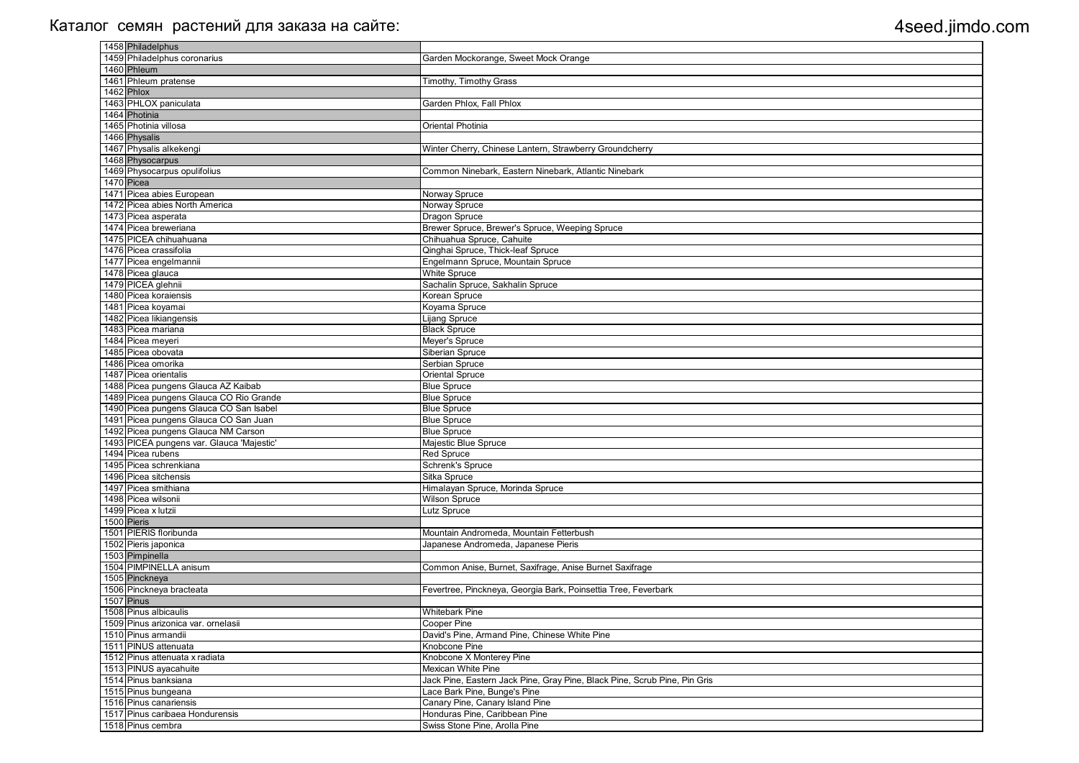| 1458 Philadelphus                         |                                                                           |
|-------------------------------------------|---------------------------------------------------------------------------|
| 1459 Philadelphus coronarius              | Garden Mockorange, Sweet Mock Orange                                      |
| 1460 Phleum                               |                                                                           |
| 1461 Phleum pratense                      | <b>Timothy, Timothy Grass</b>                                             |
| 1462 Phlox                                |                                                                           |
| 1463 PHLOX paniculata                     | Garden Phlox, Fall Phlox                                                  |
| 1464 Photinia                             |                                                                           |
| 1465 Photinia villosa                     | Oriental Photinia                                                         |
| 1466 Physalis                             |                                                                           |
| 1467 Physalis alkekengi                   | Winter Cherry, Chinese Lantern, Strawberry Groundcherry                   |
| 1468 Physocarpus                          |                                                                           |
| 1469 Physocarpus opulifolius              | Common Ninebark, Eastern Ninebark, Atlantic Ninebark                      |
| 1470 Picea                                |                                                                           |
| 1471 Picea abies European                 | Norway Spruce                                                             |
| 1472 Picea abies North America            | Norway Spruce                                                             |
| 1473 Picea asperata                       | Dragon Spruce                                                             |
| 1474 Picea breweriana                     | Brewer Spruce, Brewer's Spruce, Weeping Spruce                            |
| 1475 PICEA chihuahuana                    | Chihuahua Spruce, Cahuite                                                 |
| 1476 Picea crassifolia                    | Qinghai Spruce, Thick-leaf Spruce                                         |
| 1477 Picea engelmannii                    | Engelmann Spruce, Mountain Spruce                                         |
| 1478 Picea glauca                         | <b>White Spruce</b>                                                       |
| 1479 PICEA glehnii                        | Sachalin Spruce, Sakhalin Spruce                                          |
| 1480 Picea koraiensis                     | Korean Spruce                                                             |
| 1481 Picea koyamai                        | Koyama Spruce                                                             |
| 1482 Picea likiangensis                   | Lijang Spruce                                                             |
| 1483 Picea mariana                        | <b>Black Spruce</b>                                                       |
| 1484 Picea meyeri                         | Meyer's Spruce                                                            |
| 1485 Picea obovata                        | Siberian Spruce                                                           |
| 1486 Picea omorika                        | Serbian Spruce                                                            |
| 1487 Picea orientalis                     | <b>Oriental Spruce</b>                                                    |
| 1488 Picea pungens Glauca AZ Kaibab       | <b>Blue Spruce</b>                                                        |
| 1489 Picea pungens Glauca CO Rio Grande   | <b>Blue Spruce</b>                                                        |
| 1490 Picea pungens Glauca CO San Isabel   | <b>Blue Spruce</b>                                                        |
| 1491 Picea pungens Glauca CO San Juan     | <b>Blue Spruce</b>                                                        |
| 1492 Picea pungens Glauca NM Carson       | <b>Blue Spruce</b>                                                        |
| 1493 PICEA pungens var. Glauca 'Majestic' | Majestic Blue Spruce                                                      |
| 1494 Picea rubens                         | <b>Red Spruce</b>                                                         |
| 1495 Picea schrenkiana                    | Schrenk's Spruce                                                          |
| 1496 Picea sitchensis                     | Sitka Spruce                                                              |
| 1497 Picea smithiana                      | Himalayan Spruce, Morinda Spruce                                          |
| 1498 Picea wilsonii                       | <b>Wilson Spruce</b>                                                      |
| 1499 Picea x lutzii                       | Lutz Spruce                                                               |
| 1500 Pieris                               |                                                                           |
| 1501 PIERIS floribunda                    | Mountain Andromeda, Mountain Fetterbush                                   |
| 1502 Pieris japonica                      | Japanese Andromeda, Japanese Pieris                                       |
| 1503 Pimpinella                           |                                                                           |
| 1504 PIMPINELLA anisum                    | Common Anise, Burnet, Saxifrage, Anise Burnet Saxifrage                   |
| 1505 Pinckneya                            |                                                                           |
| 1506 Pinckneya bracteata                  | Fevertree, Pinckneya, Georgia Bark, Poinsettia Tree, Feverbark            |
| 1507 Pinus                                |                                                                           |
| 1508 Pinus albicaulis                     | <b>Whitebark Pine</b>                                                     |
| 1509 Pinus arizonica var. ornelasii       | Cooper Pine                                                               |
| 1510 Pinus armandii                       | David's Pine, Armand Pine, Chinese White Pine                             |
| 1511 PINUS attenuata                      | Knobcone Pine                                                             |
| 1512 Pinus attenuata x radiata            | Knobcone X Monterey Pine                                                  |
| 1513 PINUS ayacahuite                     | <b>Mexican White Pine</b>                                                 |
| 1514 Pinus banksiana                      | Jack Pine, Eastern Jack Pine, Gray Pine, Black Pine, Scrub Pine, Pin Gris |
| 1515 Pinus bungeana                       | Lace Bark Pine, Bunge's Pine                                              |
| 1516 Pinus canariensis                    | Canary Pine, Canary Island Pine                                           |
| 1517 Pinus caribaea Hondurensis           | Honduras Pine, Caribbean Pine                                             |
| 1518 Pinus cembra                         | Swiss Stone Pine, Arolla Pine                                             |
|                                           |                                                                           |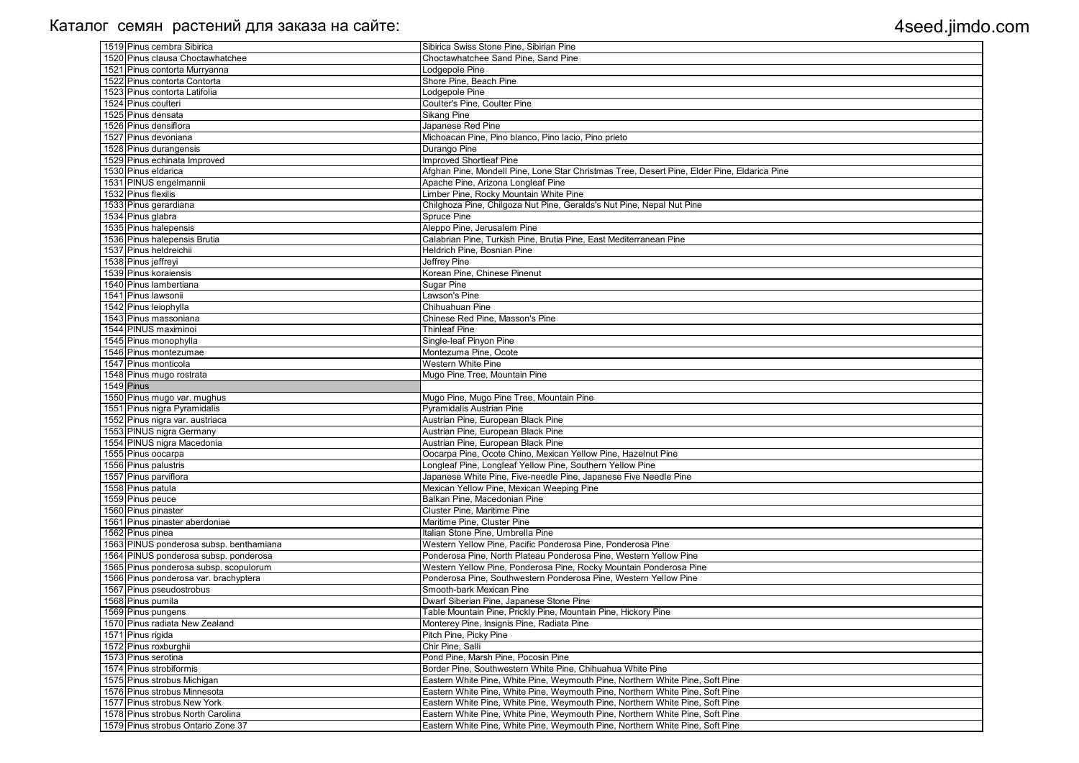| 1519 Pinus cembra Sibirica                                              | Sibirica Swiss Stone Pine, Sibirian Pine                                                                                                                       |
|-------------------------------------------------------------------------|----------------------------------------------------------------------------------------------------------------------------------------------------------------|
| 1520 Pinus clausa Choctawhatchee                                        | Choctawhatchee Sand Pine, Sand Pine                                                                                                                            |
| 1521 Pinus contorta Murryanna                                           | Lodgepole Pine                                                                                                                                                 |
| 1522 Pinus contorta Contorta                                            | Shore Pine, Beach Pine                                                                                                                                         |
| 1523 Pinus contorta Latifolia                                           | Lodgepole Pine                                                                                                                                                 |
| 1524 Pinus coulteri                                                     | Coulter's Pine, Coulter Pine                                                                                                                                   |
| 1525 Pinus densata                                                      | <b>Sikang Pine</b>                                                                                                                                             |
| 1526 Pinus densiflora                                                   | Japanese Red Pine                                                                                                                                              |
| 1527 Pinus devoniana                                                    | Michoacan Pine, Pino blanco, Pino lacio, Pino prieto                                                                                                           |
| 1528 Pinus durangensis                                                  | Durango Pine                                                                                                                                                   |
| 1529 Pinus echinata Improved                                            | <b>Improved Shortleaf Pine</b>                                                                                                                                 |
| 1530 Pinus eldarica                                                     | Afghan Pine, Mondell Pine, Lone Star Christmas Tree, Desert Pine, Elder Pine, Eldarica Pine                                                                    |
| 1531 PINUS engelmannii                                                  | Apache Pine, Arizona Longleaf Pine                                                                                                                             |
| 1532 Pinus flexilis                                                     | Limber Pine, Rocky Mountain White Pine                                                                                                                         |
| 1533 Pinus gerardiana                                                   | Chilghoza Pine, Chilgoza Nut Pine, Geralds's Nut Pine, Nepal Nut Pine                                                                                          |
| 1534 Pinus glabra                                                       | Spruce Pine                                                                                                                                                    |
| 1535 Pinus halepensis                                                   | Aleppo Pine, Jerusalem Pine                                                                                                                                    |
| 1536 Pinus halepensis Brutia                                            | Calabrian Pine, Turkish Pine, Brutia Pine, East Mediterranean Pine                                                                                             |
| 1537 Pinus heldreichii                                                  | Heldrich Pine, Bosnian Pine                                                                                                                                    |
| 1538 Pinus jeffreyi                                                     | <b>Jeffrey Pine</b>                                                                                                                                            |
| 1539 Pinus koraiensis                                                   | Korean Pine, Chinese Pinenut                                                                                                                                   |
| 1540 Pinus lambertiana                                                  | <b>Sugar Pine</b>                                                                                                                                              |
| 1541 Pinus lawsonii                                                     | Lawson's Pine                                                                                                                                                  |
| 1542 Pinus leiophylla                                                   | Chihuahuan Pine                                                                                                                                                |
| 1543 Pinus massoniana                                                   | Chinese Red Pine, Masson's Pine                                                                                                                                |
| 1544 PINUS maximinoi                                                    | <b>Thinleaf Pine</b>                                                                                                                                           |
| 1545 Pinus monophylla                                                   | Single-leaf Pinyon Pine                                                                                                                                        |
| 1546 Pinus montezumae                                                   | Montezuma Pine, Ocote                                                                                                                                          |
| 1547 Pinus monticola                                                    | Western White Pine                                                                                                                                             |
| 1548 Pinus mugo rostrata                                                | Mugo Pine Tree, Mountain Pine                                                                                                                                  |
|                                                                         |                                                                                                                                                                |
|                                                                         |                                                                                                                                                                |
| 1549 Pinus                                                              |                                                                                                                                                                |
| 1550 Pinus mugo var. mughus                                             | Mugo Pine, Mugo Pine Tree, Mountain Pine                                                                                                                       |
| 1551 Pinus nigra Pyramidalis                                            | <b>Pyramidalis Austrian Pine</b>                                                                                                                               |
| 1552 Pinus nigra var. austriaca                                         | Austrian Pine, European Black Pine                                                                                                                             |
| 1553 PINUS nigra Germany                                                | Austrian Pine, European Black Pine                                                                                                                             |
| 1554 PINUS nigra Macedonia                                              | Austrian Pine, European Black Pine                                                                                                                             |
| 1555 Pinus oocarpa                                                      | Oocarpa Pine, Ocote Chino, Mexican Yellow Pine, Hazelnut Pine                                                                                                  |
| 1556 Pinus palustris                                                    | Longleaf Pine, Longleaf Yellow Pine, Southern Yellow Pine                                                                                                      |
| 1557 Pinus parviflora                                                   | Japanese White Pine, Five-needle Pine, Japanese Five Needle Pine                                                                                               |
| 1558 Pinus patula                                                       | Mexican Yellow Pine, Mexican Weeping Pine                                                                                                                      |
| 1559 Pinus peuce                                                        | Balkan Pine, Macedonian Pine                                                                                                                                   |
| 1560 Pinus pinaster                                                     | Cluster Pine, Maritime Pine                                                                                                                                    |
| 1561 Pinus pinaster aberdoniae                                          | Maritime Pine, Cluster Pine                                                                                                                                    |
| 1562 Pinus pinea                                                        | Italian Stone Pine, Umbrella Pine                                                                                                                              |
| 1563 PINUS ponderosa subsp. benthamiana                                 | Western Yellow Pine, Pacific Ponderosa Pine, Ponderosa Pine                                                                                                    |
| 1564 PINUS ponderosa subsp. ponderosa                                   | Ponderosa Pine, North Plateau Ponderosa Pine, Western Yellow Pine                                                                                              |
| 1565 Pinus ponderosa subsp. scopulorum                                  | Western Yellow Pine, Ponderosa Pine, Rocky Mountain Ponderosa Pine                                                                                             |
| 1566 Pinus ponderosa var. brachyptera                                   | Ponderosa Pine, Southwestern Ponderosa Pine, Western Yellow Pine                                                                                               |
| 1567 Pinus pseudostrobus                                                | Smooth-bark Mexican Pine                                                                                                                                       |
| 1568 Pinus pumila                                                       | Dwarf Siberian Pine, Japanese Stone Pine                                                                                                                       |
| 1569 Pinus pungens                                                      | Table Mountain Pine, Prickly Pine, Mountain Pine, Hickory Pine                                                                                                 |
| 1570 Pinus radiata New Zealand                                          | Monterey Pine, Insignis Pine, Radiata Pine                                                                                                                     |
| 1571 Pinus rigida                                                       | Pitch Pine, Picky Pine                                                                                                                                         |
| 1572 Pinus roxburghii                                                   | Chir Pine, Salli                                                                                                                                               |
| 1573 Pinus serotina                                                     | Pond Pine, Marsh Pine, Pocosin Pine                                                                                                                            |
| 1574 Pinus strobiformis                                                 | Border Pine, Southwestern White Pine, Chihuahua White Pine                                                                                                     |
| 1575 Pinus strobus Michigan                                             | Eastern White Pine, White Pine, Weymouth Pine, Northern White Pine, Soft Pine                                                                                  |
| 1576 Pinus strobus Minnesota                                            | Eastern White Pine, White Pine, Weymouth Pine, Northern White Pine, Soft Pine                                                                                  |
| 1577 Pinus strobus New York                                             | Eastern White Pine, White Pine, Weymouth Pine, Northern White Pine, Soft Pine                                                                                  |
| 1578 Pinus strobus North Carolina<br>1579 Pinus strobus Ontario Zone 37 | Eastern White Pine, White Pine, Weymouth Pine, Northern White Pine, Soft Pine<br>Eastern White Pine, White Pine, Weymouth Pine, Northern White Pine, Soft Pine |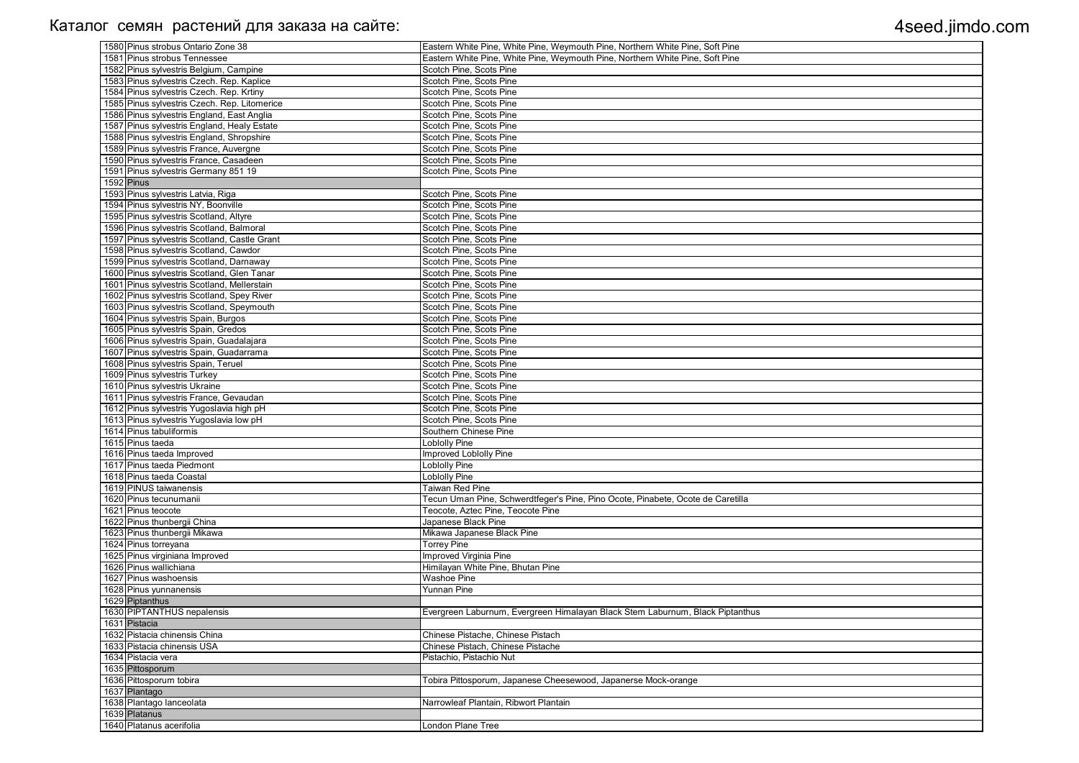| 1580 Pinus strobus Ontario Zone 38           | Eastern White Pine, White Pine, Weymouth Pine, Northern White Pine, Soft Pine   |
|----------------------------------------------|---------------------------------------------------------------------------------|
| 1581 Pinus strobus Tennessee                 | Eastern White Pine, White Pine, Weymouth Pine, Northern White Pine, Soft Pine   |
| 1582 Pinus sylvestris Belgium, Campine       | Scotch Pine, Scots Pine                                                         |
| 1583 Pinus sylvestris Czech. Rep. Kaplice    | Scotch Pine, Scots Pine                                                         |
| 1584 Pinus sylvestris Czech. Rep. Krtiny     | Scotch Pine, Scots Pine                                                         |
| 1585 Pinus sylvestris Czech. Rep. Litomerice | Scotch Pine, Scots Pine                                                         |
| 1586 Pinus sylvestris England, East Anglia   | Scotch Pine, Scots Pine                                                         |
| 1587 Pinus sylvestris England, Healy Estate  | Scotch Pine, Scots Pine                                                         |
| 1588 Pinus sylvestris England, Shropshire    | Scotch Pine, Scots Pine                                                         |
| 1589 Pinus sylvestris France, Auvergne       | Scotch Pine, Scots Pine                                                         |
| 1590 Pinus sylvestris France, Casadeen       | Scotch Pine, Scots Pine                                                         |
| 1591 Pinus sylvestris Germany 851 19         | Scotch Pine, Scots Pine                                                         |
| $1592$ Pinus                                 |                                                                                 |
| 1593 Pinus sylvestris Latvia, Riga           | Scotch Pine, Scots Pine                                                         |
| 1594 Pinus sylvestris NY, Boonville          | Scotch Pine, Scots Pine                                                         |
| 1595 Pinus sylvestris Scotland, Altyre       | Scotch Pine, Scots Pine                                                         |
| 1596 Pinus sylvestris Scotland, Balmoral     | Scotch Pine, Scots Pine                                                         |
| 1597 Pinus sylvestris Scotland, Castle Grant | Scotch Pine, Scots Pine                                                         |
| 1598 Pinus sylvestris Scotland, Cawdor       | Scotch Pine, Scots Pine                                                         |
| 1599 Pinus sylvestris Scotland, Darnaway     | Scotch Pine, Scots Pine                                                         |
| 1600 Pinus sylvestris Scotland, Glen Tanar   | Scotch Pine, Scots Pine                                                         |
| 1601 Pinus sylvestris Scotland, Mellerstain  | Scotch Pine, Scots Pine                                                         |
| 1602 Pinus sylvestris Scotland, Spey River   | Scotch Pine, Scots Pine                                                         |
| 1603 Pinus sylvestris Scotland, Speymouth    | Scotch Pine, Scots Pine                                                         |
| 1604 Pinus sylvestris Spain, Burgos          | Scotch Pine, Scots Pine                                                         |
| 1605 Pinus sylvestris Spain, Gredos          | Scotch Pine, Scots Pine                                                         |
| 1606 Pinus sylvestris Spain, Guadalajara     | Scotch Pine, Scots Pine                                                         |
| 1607 Pinus sylvestris Spain, Guadarrama      | Scotch Pine, Scots Pine                                                         |
| 1608 Pinus sylvestris Spain, Teruel          | Scotch Pine, Scots Pine                                                         |
| 1609 Pinus sylvestris Turkey                 | Scotch Pine, Scots Pine                                                         |
| 1610 Pinus sylvestris Ukraine                | Scotch Pine, Scots Pine                                                         |
| 1611 Pinus sylvestris France, Gevaudan       | Scotch Pine, Scots Pine                                                         |
| 1612 Pinus sylvestris Yugoslavia high pH     | Scotch Pine, Scots Pine                                                         |
| 1613 Pinus sylvestris Yugoslavia low pH      | Scotch Pine, Scots Pine                                                         |
| 1614 Pinus tabuliformis                      | Southern Chinese Pine                                                           |
| 1615 Pinus taeda                             | Loblolly Pine                                                                   |
| 1616 Pinus taeda Improved                    | Improved Loblolly Pine                                                          |
| 1617 Pinus taeda Piedmont                    | <b>Loblolly Pine</b>                                                            |
| 1618 Pinus taeda Coastal                     | Loblolly Pine                                                                   |
| 1619 PINUS taiwanensis                       | Taiwan Red Pine                                                                 |
| 1620 Pinus tecunumanii                       | Tecun Uman Pine, Schwerdtfeger's Pine, Pino Ocote, Pinabete, Ocote de Caretilla |
| 1621 Pinus teocote                           | Teocote, Aztec Pine, Teocote Pine                                               |
| 1622 Pinus thunbergii China                  | Japanese Black Pine                                                             |
| 1623 Pinus thunbergii Mikawa                 | Mikawa Japanese Black Pine                                                      |
| 1624 Pinus torreyana                         | <b>Torrey Pine</b>                                                              |
| 1625 Pinus virginiana Improved               | Improved Virginia Pine                                                          |
| 1626 Pinus wallichiana                       | Himilayan White Pine, Bhutan Pine                                               |
| 1627 Pinus washoensis                        | <b>Washoe Pine</b>                                                              |
| 1628 Pinus yunnanensis                       | <b>Yunnan Pine</b>                                                              |
| 1629 Piptanthus                              |                                                                                 |
| 1630 PIPTANTHUS nepalensis                   | Evergreen Laburnum, Evergreen Himalayan Black Stem Laburnum, Black Piptanthus   |
| 1631 Pistacia                                |                                                                                 |
| 1632 Pistacia chinensis China                | Chinese Pistache, Chinese Pistach                                               |
| 1633 Pistacia chinensis USA                  | Chinese Pistach, Chinese Pistache                                               |
| 1634 Pistacia vera                           | Pistachio, Pistachio Nut                                                        |
| 1635 Pittosporum                             |                                                                                 |
| 1636 Pittosporum tobira                      | Tobira Pittosporum, Japanese Cheesewood, Japanerse Mock-orange                  |
| 1637 Plantago                                |                                                                                 |
| 1638 Plantago lanceolata                     | Narrowleaf Plantain, Ribwort Plantain                                           |
| 1639 Platanus                                |                                                                                 |
|                                              |                                                                                 |
| 1640 Platanus acerifolia                     | London Plane Tree                                                               |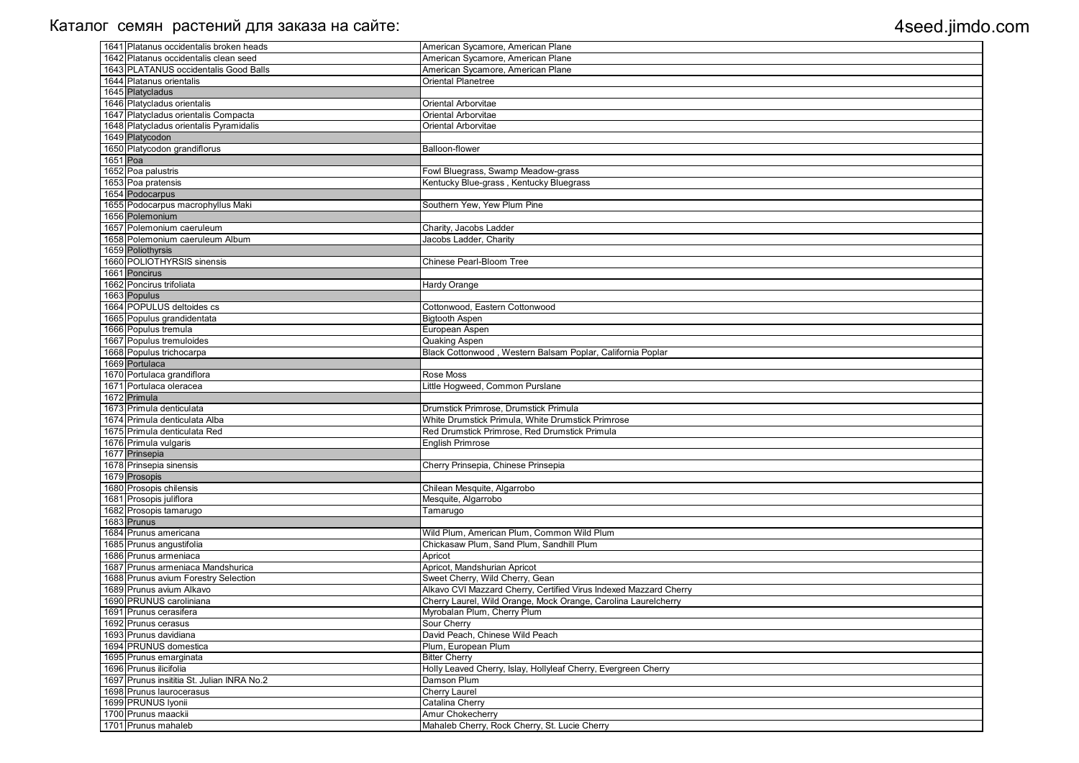|          | 1641 Platanus occidentalis broken heads    | American Sycamore, American Plane                                 |
|----------|--------------------------------------------|-------------------------------------------------------------------|
|          | 1642 Platanus occidentalis clean seed      | American Sycamore, American Plane                                 |
|          | 1643 PLATANUS occidentalis Good Balls      | American Sycamore, American Plane                                 |
|          | 1644 Platanus orientalis                   | Oriental Planetree                                                |
|          | 1645 Platycladus                           |                                                                   |
|          | 1646 Platycladus orientalis                | Oriental Arborvitae                                               |
|          | 1647 Platycladus orientalis Compacta       | Oriental Arborvitae                                               |
|          | 1648 Platycladus orientalis Pyramidalis    | Oriental Arborvitae                                               |
|          | 1649 Platycodon                            |                                                                   |
|          | 1650 Platycodon grandiflorus               | Balloon-flower                                                    |
| 1651 Poa |                                            |                                                                   |
|          | 1652 Poa palustris                         | Fowl Bluegrass, Swamp Meadow-grass                                |
|          | 1653 Poa pratensis                         | Kentucky Blue-grass, Kentucky Bluegrass                           |
|          | 1654 Podocarpus                            |                                                                   |
|          | 1655 Podocarpus macrophyllus Maki          | Southern Yew, Yew Plum Pine                                       |
|          | 1656 Polemonium                            |                                                                   |
|          | 1657 Polemonium caeruleum                  | Charity, Jacobs Ladder                                            |
|          | 1658 Polemonium caeruleum Album            | Jacobs Ladder, Charity                                            |
|          | 1659 Poliothyrsis                          |                                                                   |
|          | 1660 POLIOTHYRSIS sinensis                 | Chinese Pearl-Bloom Tree                                          |
|          | 1661 Poncirus                              |                                                                   |
|          | 1662 Poncirus trifoliata                   | Hardy Orange                                                      |
|          | 1663 Populus                               |                                                                   |
|          | 1664 POPULUS deltoides cs                  | Cottonwood, Eastern Cottonwood                                    |
|          | 1665 Populus grandidentata                 | <b>Bigtooth Aspen</b>                                             |
|          | 1666 Populus tremula                       | European Aspen                                                    |
|          | 1667 Populus tremuloides                   | Quaking Aspen                                                     |
|          | 1668 Populus trichocarpa<br>1669 Portulaca | Black Cottonwood, Western Balsam Poplar, California Poplar        |
|          | 1670 Portulaca grandiflora                 | Rose Moss                                                         |
|          | 1671 Portulaca oleracea                    | Little Hogweed, Common Purslane                                   |
|          | 1672 Primula                               |                                                                   |
|          | 1673 Primula denticulata                   | Drumstick Primrose, Drumstick Primula                             |
|          | 1674 Primula denticulata Alba              | White Drumstick Primula, White Drumstick Primrose                 |
|          | 1675 Primula denticulata Red               | Red Drumstick Primrose, Red Drumstick Primula                     |
|          | 1676 Primula vulgaris                      | <b>English Primrose</b>                                           |
|          | 1677 Prinsepia                             |                                                                   |
|          | 1678 Prinsepia sinensis                    | Cherry Prinsepia, Chinese Prinsepia                               |
|          | 1679 Prosopis                              |                                                                   |
|          | 1680 Prosopis chilensis                    | Chilean Mesquite, Algarrobo                                       |
|          | 1681 Prosopis juliflora                    | Mesquite, Algarrobo                                               |
|          | 1682 Prosopis tamarugo                     | Tamarugo                                                          |
|          | 1683 Prunus                                |                                                                   |
|          | 1684 Prunus americana                      | Wild Plum, American Plum, Common Wild Plum                        |
|          | 1685 Prunus angustifolia                   | Chickasaw Plum, Sand Plum, Sandhill Plum                          |
|          | 1686 Prunus armeniaca                      | Apricot                                                           |
|          | 1687 Prunus armeniaca Mandshurica          | Apricot, Mandshurian Apricot                                      |
|          | 1688 Prunus avium Forestry Selection       | Sweet Cherry, Wild Cherry, Gean                                   |
|          | 1689 Prunus avium Alkavo                   | Alkavo CVI Mazzard Cherry, Certified Virus Indexed Mazzard Cherry |
|          | 1690 PRUNUS caroliniana                    | Cherry Laurel, Wild Orange, Mock Orange, Carolina Laurelcherry    |
|          | 1691 Prunus cerasifera                     | Myrobalan Plum, Cherry Plum                                       |
|          | 1692 Prunus cerasus                        | Sour Cherry                                                       |
|          | 1693 Prunus davidiana                      | David Peach, Chinese Wild Peach                                   |
|          | 1694 PRUNUS domestica                      | Plum, European Plum                                               |
|          | 1695 Prunus emarginata                     | <b>Bitter Cherry</b>                                              |
|          | 1696 Prunus ilicifolia                     | Holly Leaved Cherry, Islay, Hollyleaf Cherry, Evergreen Cherry    |
|          | 1697 Prunus insititia St. Julian INRA No.2 | Damson Plum                                                       |
|          | 1698 Prunus laurocerasus                   | <b>Cherry Laurel</b>                                              |
|          | 1699 PRUNUS Iyonii                         | Catalina Cherry                                                   |
|          | 1700 Prunus maackii                        | <b>Amur Chokecherry</b>                                           |
|          | 1701 Prunus mahaleb                        | Mahaleb Cherry, Rock Cherry, St. Lucie Cherry                     |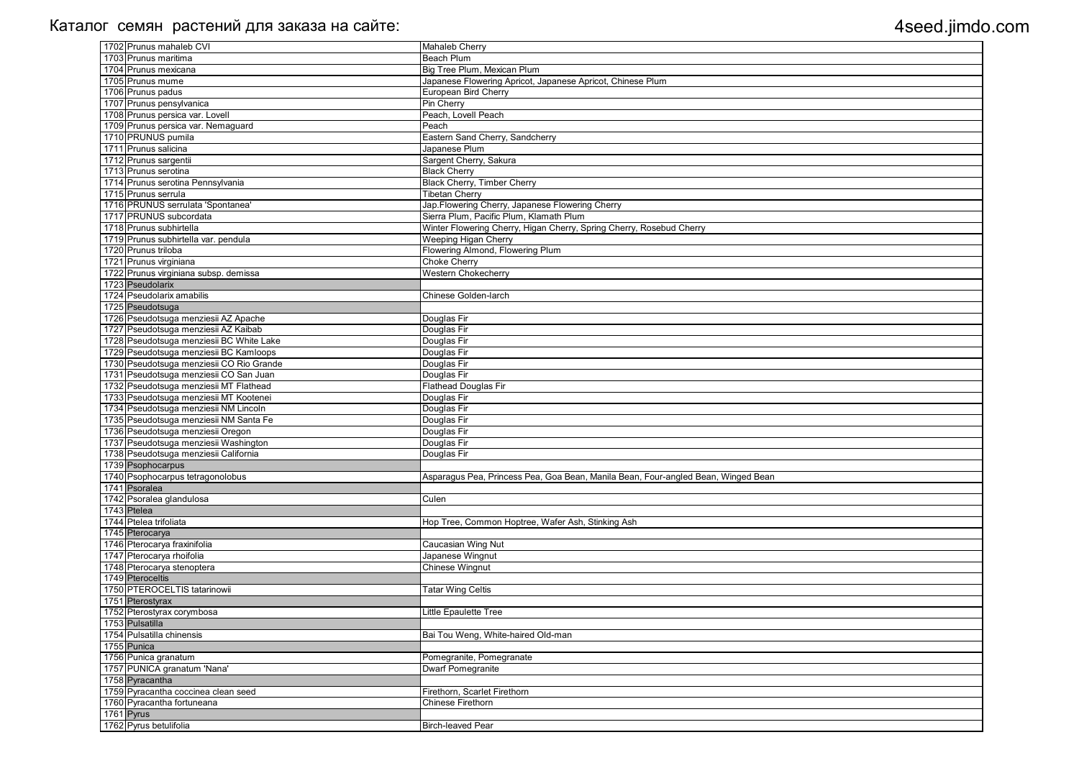| <b>Mahaleb Cherry</b>                                                             |
|-----------------------------------------------------------------------------------|
|                                                                                   |
| <b>Beach Plum</b>                                                                 |
| Big Tree Plum, Mexican Plum                                                       |
| Japanese Flowering Apricot, Japanese Apricot, Chinese Plum                        |
| European Bird Cherry                                                              |
| Pin Cherry                                                                        |
| Peach, Lovell Peach                                                               |
| Peach                                                                             |
| Eastern Sand Cherry, Sandcherry                                                   |
| Japanese Plum                                                                     |
| Sargent Cherry, Sakura                                                            |
| <b>Black Cherry</b>                                                               |
| <b>Black Cherry, Timber Cherry</b>                                                |
|                                                                                   |
| <b>Tibetan Cherry</b>                                                             |
| Jap. Flowering Cherry, Japanese Flowering Cherry                                  |
| Sierra Plum, Pacific Plum, Klamath Plum                                           |
| Winter Flowering Cherry, Higan Cherry, Spring Cherry, Rosebud Cherry              |
| Weeping Higan Cherry                                                              |
| Flowering Almond, Flowering Plum                                                  |
| <b>Choke Cherry</b>                                                               |
| <b>Western Chokecherry</b>                                                        |
|                                                                                   |
| Chinese Golden-larch                                                              |
|                                                                                   |
| Douglas Fir                                                                       |
| Douglas Fir                                                                       |
|                                                                                   |
| Douglas Fir                                                                       |
| Douglas Fir                                                                       |
| Douglas Fir                                                                       |
| Douglas Fir                                                                       |
| <b>Flathead Douglas Fir</b>                                                       |
| Douglas Fir                                                                       |
| Douglas Fir                                                                       |
| Douglas Fir                                                                       |
| Douglas Fir                                                                       |
| Douglas Fir                                                                       |
| Douglas Fir                                                                       |
|                                                                                   |
| Asparagus Pea, Princess Pea, Goa Bean, Manila Bean, Four-angled Bean, Winged Bean |
|                                                                                   |
|                                                                                   |
|                                                                                   |
| Culen                                                                             |
|                                                                                   |
| Hop Tree, Common Hoptree, Wafer Ash, Stinking Ash                                 |
|                                                                                   |
| Caucasian Wing Nut                                                                |
| Japanese Wingnut                                                                  |
| Chinese Wingnut                                                                   |
|                                                                                   |
|                                                                                   |
| <b>Tatar Wing Celtis</b>                                                          |
|                                                                                   |
| Little Epaulette Tree                                                             |
|                                                                                   |
| Bai Tou Weng, White-haired Old-man                                                |
|                                                                                   |
| Pomegranite, Pomegranate                                                          |
| <b>Dwarf Pomegranite</b>                                                          |
|                                                                                   |
| Firethorn, Scarlet Firethorn                                                      |
| <b>Chinese Firethorn</b>                                                          |
|                                                                                   |
|                                                                                   |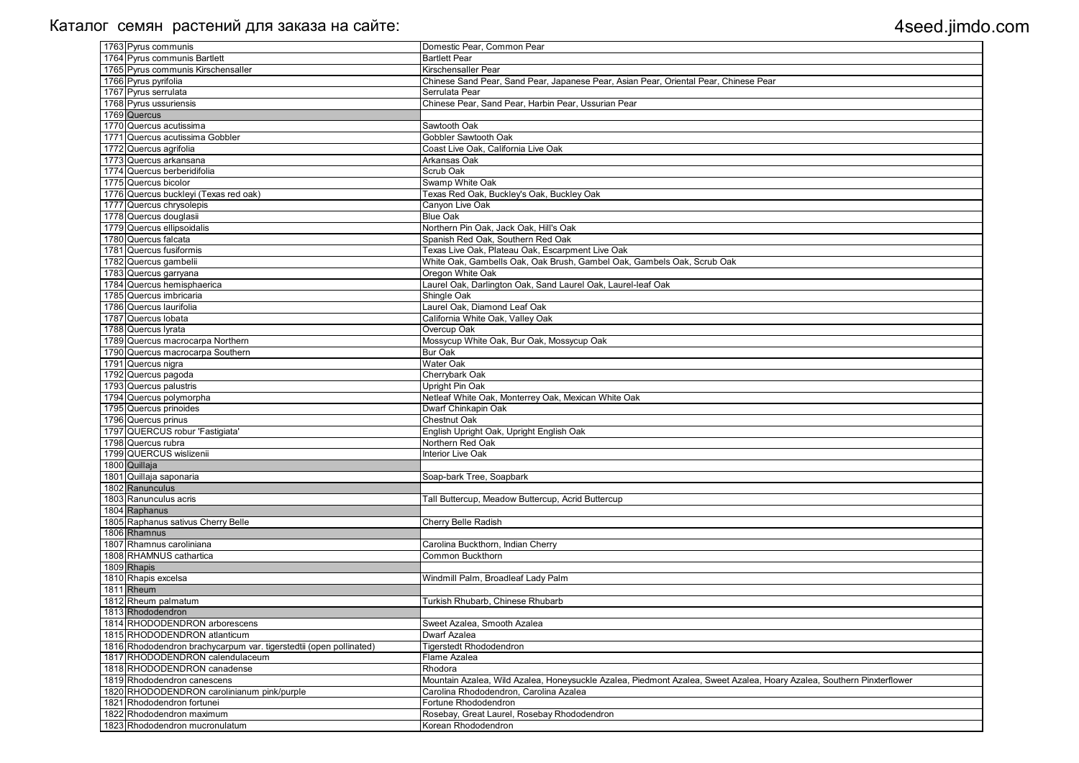| 1763 Pyrus communis                                                | Domestic Pear, Common Pear                                                                                            |
|--------------------------------------------------------------------|-----------------------------------------------------------------------------------------------------------------------|
| 1764 Pyrus communis Bartlett                                       | <b>Bartlett Pear</b>                                                                                                  |
| 1765 Pyrus communis Kirschensaller                                 | Kirschensaller Pear                                                                                                   |
| 1766 Pyrus pyrifolia                                               | Chinese Sand Pear, Sand Pear, Japanese Pear, Asian Pear, Oriental Pear, Chinese Pear                                  |
| 1767 Pyrus serrulata                                               | Serrulata Pear                                                                                                        |
| 1768 Pyrus ussuriensis                                             | Chinese Pear, Sand Pear, Harbin Pear, Ussurian Pear                                                                   |
| 1769 Quercus                                                       |                                                                                                                       |
| 1770 Quercus acutissima                                            | Sawtooth Oak                                                                                                          |
| 1771 Quercus acutissima Gobbler                                    | <b>Gobbler Sawtooth Oak</b>                                                                                           |
| 1772 Quercus agrifolia                                             | Coast Live Oak, California Live Oak                                                                                   |
| 1773 Quercus arkansana                                             | Arkansas Oak                                                                                                          |
| 1774 Quercus berberidifolia                                        | Scrub Oak                                                                                                             |
| 1775 Quercus bicolor                                               | Swamp White Oak                                                                                                       |
| 1776 Quercus buckleyi (Texas red oak)                              | Texas Red Oak, Buckley's Oak, Buckley Oak                                                                             |
| 1777 Quercus chrysolepis                                           | Canyon Live Oak                                                                                                       |
| 1778 Quercus douglasii                                             | <b>Blue Oak</b>                                                                                                       |
| 1779 Quercus ellipsoidalis                                         | Northern Pin Oak, Jack Oak, Hill's Oak                                                                                |
| 1780 Quercus falcata                                               | Spanish Red Oak, Southern Red Oak                                                                                     |
| 1781 Quercus fusiformis                                            | Texas Live Oak, Plateau Oak, Escarpment Live Oak                                                                      |
| 1782 Quercus gambelii                                              | White Oak, Gambells Oak, Oak Brush, Gambel Oak, Gambels Oak, Scrub Oak                                                |
| 1783 Quercus garryana                                              | Oregon White Oak                                                                                                      |
| 1784 Quercus hemisphaerica                                         | Laurel Oak, Darlington Oak, Sand Laurel Oak, Laurel-leaf Oak                                                          |
| 1785 Quercus imbricaria                                            | Shingle Oak                                                                                                           |
| 1786 Quercus laurifolia                                            | Laurel Oak, Diamond Leaf Oak                                                                                          |
| 1787 Quercus Iobata                                                | California White Oak, Valley Oak                                                                                      |
| 1788 Quercus Iyrata                                                | Overcup Oak                                                                                                           |
| 1789 Quercus macrocarpa Northern                                   | Mossycup White Oak, Bur Oak, Mossycup Oak                                                                             |
| 1790 Quercus macrocarpa Southern                                   | <b>Bur Oak</b>                                                                                                        |
| 1791 Quercus nigra                                                 | <b>Water Oak</b>                                                                                                      |
| 1792 Quercus pagoda                                                | Cherrybark Oak                                                                                                        |
| 1793 Quercus palustris                                             | Upright Pin Oak                                                                                                       |
| 1794 Quercus polymorpha                                            | Netleaf White Oak, Monterrey Oak, Mexican White Oak                                                                   |
| 1795 Quercus prinoides                                             | Dwarf Chinkapin Oak                                                                                                   |
| 1796 Quercus prinus                                                | <b>Chestnut Oak</b>                                                                                                   |
| 1797 QUERCUS robur 'Fastigiata'                                    | English Upright Oak, Upright English Oak                                                                              |
| 1798 Quercus rubra                                                 | Northern Red Oak                                                                                                      |
| 1799 QUERCUS wislizenii                                            | Interior Live Oak                                                                                                     |
| 1800 Quillaja                                                      |                                                                                                                       |
| 1801 Quillaja saponaria                                            | Soap-bark Tree, Soapbark                                                                                              |
| 1802 Ranunculus                                                    |                                                                                                                       |
| 1803 Ranunculus acris                                              | Tall Buttercup, Meadow Buttercup, Acrid Buttercup                                                                     |
| 1804 Raphanus                                                      |                                                                                                                       |
| 1805 Raphanus sativus Cherry Belle                                 | <b>Cherry Belle Radish</b>                                                                                            |
| 1806 Rhamnus                                                       |                                                                                                                       |
| 1807 Rhamnus caroliniana                                           | Carolina Buckthorn, Indian Cherry                                                                                     |
| 1808 RHAMNUS cathartica                                            | <b>Common Buckthorn</b>                                                                                               |
| 1809 Rhapis                                                        |                                                                                                                       |
| 1810 Rhapis excelsa                                                | Windmill Palm, Broadleaf Lady Palm                                                                                    |
| 1811 Rheum                                                         |                                                                                                                       |
| 1812 Rheum palmatum                                                | Turkish Rhubarb, Chinese Rhubarb                                                                                      |
| 1813 Rhododendron                                                  |                                                                                                                       |
| 1814 RHODODENDRON arborescens                                      | Sweet Azalea, Smooth Azalea                                                                                           |
| 1815 RHODODENDRON atlanticum                                       | <b>Dwarf Azalea</b>                                                                                                   |
| 1816 Rhododendron brachycarpum var. tigerstedtii (open pollinated) | <b>Tigerstedt Rhododendron</b>                                                                                        |
| 1817 RHODODENDRON calendulaceum                                    | Flame Azalea                                                                                                          |
| 1818 RHODODENDRON canadense                                        | Rhodora                                                                                                               |
| 1819 Rhododendron canescens                                        | Mountain Azalea, Wild Azalea, Honeysuckle Azalea, Piedmont Azalea, Sweet Azalea, Hoary Azalea, Southern Pinxterflower |
| 1820 RHODODENDRON carolinianum pink/purple                         | Carolina Rhododendron, Carolina Azalea                                                                                |
| 1821 Rhododendron fortunei                                         | Fortune Rhododendron                                                                                                  |
| 1822 Rhododendron maximum                                          | Rosebay, Great Laurel, Rosebay Rhododendron                                                                           |
| 1823 Rhododendron mucronulatum                                     | Korean Rhododendron                                                                                                   |
|                                                                    |                                                                                                                       |

| a, Southern Pinxterflower |  |
|---------------------------|--|
|                           |  |
|                           |  |
|                           |  |
|                           |  |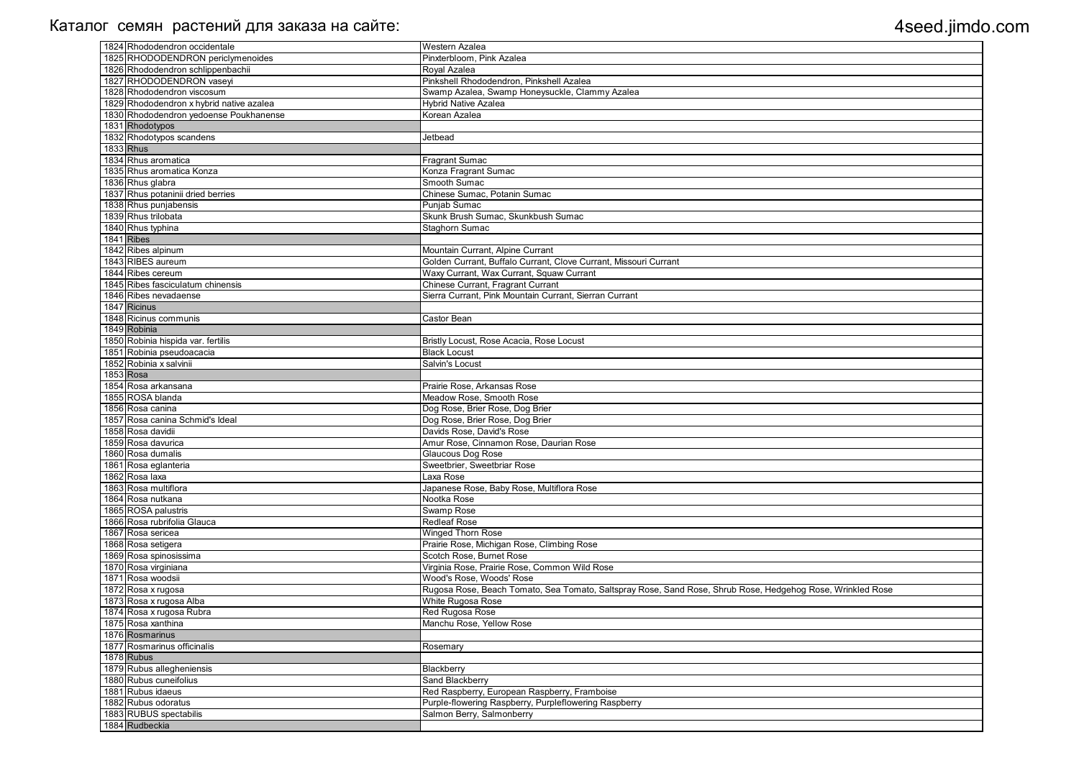| 1824 Rhododendron occidentale            | <b>Western Azalea</b>                                                                                      |
|------------------------------------------|------------------------------------------------------------------------------------------------------------|
| 1825 RHODODENDRON periclymenoides        | Pinxterbloom, Pink Azalea                                                                                  |
| 1826 Rhododendron schlippenbachii        | Royal Azalea                                                                                               |
| 1827 RHODODENDRON vaseyi                 | Pinkshell Rhododendron, Pinkshell Azalea                                                                   |
| 1828 Rhododendron viscosum               | Swamp Azalea, Swamp Honeysuckle, Clammy Azalea                                                             |
| 1829 Rhododendron x hybrid native azalea | <b>Hybrid Native Azalea</b>                                                                                |
| 1830 Rhododendron yedoense Poukhanense   | Korean Azalea                                                                                              |
| 1831 Rhodotypos                          |                                                                                                            |
| 1832 Rhodotypos scandens                 | Jetbead                                                                                                    |
| <b>1833</b> Rhus                         |                                                                                                            |
| 1834 Rhus aromatica                      | <b>Fragrant Sumac</b>                                                                                      |
| 1835 Rhus aromatica Konza                | Konza Fragrant Sumac                                                                                       |
| 1836 Rhus glabra                         | Smooth Sumac                                                                                               |
| 1837 Rhus potaninii dried berries        | Chinese Sumac, Potanin Sumac                                                                               |
| 1838 Rhus punjabensis                    | Punjab Sumac                                                                                               |
| 1839 Rhus trilobata                      | Skunk Brush Sumac, Skunkbush Sumac                                                                         |
| 1840 Rhus typhina                        | Staghorn Sumac                                                                                             |
| 1841 Ribes                               |                                                                                                            |
| 1842 Ribes alpinum                       | Mountain Currant, Alpine Currant                                                                           |
| 1843 RIBES aureum                        | Golden Currant, Buffalo Currant, Clove Currant, Missouri Currant                                           |
| 1844 Ribes cereum                        | Waxy Currant, Wax Currant, Squaw Currant                                                                   |
| 1845 Ribes fasciculatum chinensis        | Chinese Currant, Fragrant Currant                                                                          |
| 1846 Ribes nevadaense                    | Sierra Currant, Pink Mountain Currant, Sierran Currant                                                     |
| 1847 Ricinus                             |                                                                                                            |
| 1848 Ricinus communis                    | Castor Bean                                                                                                |
| 1849 Robinia                             |                                                                                                            |
| 1850 Robinia hispida var. fertilis       | Bristly Locust, Rose Acacia, Rose Locust                                                                   |
| 1851 Robinia pseudoacacia                | <b>Black Locust</b>                                                                                        |
| 1852 Robinia x salvinii                  | Salvin's Locust                                                                                            |
| 1853 Rosa                                |                                                                                                            |
| 1854 Rosa arkansana                      | Prairie Rose, Arkansas Rose                                                                                |
| 1855 ROSA blanda                         | Meadow Rose, Smooth Rose                                                                                   |
| 1856 Rosa canina                         | Dog Rose, Brier Rose, Dog Brier                                                                            |
| 1857 Rosa canina Schmid's Ideal          | Dog Rose, Brier Rose, Dog Brier                                                                            |
| 1858 Rosa davidii                        | Davids Rose, David's Rose                                                                                  |
| 1859 Rosa davurica                       | Amur Rose, Cinnamon Rose, Daurian Rose                                                                     |
| 1860 Rosa dumalis                        | <b>Glaucous Dog Rose</b>                                                                                   |
| 1861 Rosa eglanteria                     | Sweetbrier, Sweetbriar Rose                                                                                |
| 1862 Rosa laxa                           | Laxa Rose                                                                                                  |
| 1863 Rosa multiflora                     | Japanese Rose, Baby Rose, Multiflora Rose                                                                  |
| 1864 Rosa nutkana                        | Nootka Rose                                                                                                |
| 1865 ROSA palustris                      | Swamp Rose                                                                                                 |
| 1866 Rosa rubrifolia Glauca              | <b>Redleaf Rose</b>                                                                                        |
| 1867 Rosa sericea                        | <b>Winged Thorn Rose</b>                                                                                   |
| 1868 Rosa setigera                       | Prairie Rose, Michigan Rose, Climbing Rose                                                                 |
| 1869 Rosa spinosissima                   | Scotch Rose, Burnet Rose                                                                                   |
| 1870 Rosa virginiana                     | Virginia Rose, Prairie Rose, Common Wild Rose                                                              |
| 1871 Rosa woodsii                        | Wood's Rose, Woods' Rose                                                                                   |
| 1872 Rosa x rugosa                       | Rugosa Rose, Beach Tomato, Sea Tomato, Saltspray Rose, Sand Rose, Shrub Rose, Hedgehog Rose, Wrinkled Rose |
| 1873 Rosa x rugosa Alba                  | White Rugosa Rose                                                                                          |
| 1874 Rosa x rugosa Rubra                 | Red Rugosa Rose                                                                                            |
| 1875 Rosa xanthina                       | Manchu Rose, Yellow Rose                                                                                   |
| 1876 Rosmarinus                          |                                                                                                            |
| 1877 Rosmarinus officinalis              | Rosemary                                                                                                   |
| 1878 Rubus                               |                                                                                                            |
| 1879 Rubus allegheniensis                | Blackberry                                                                                                 |
| 1880 Rubus cuneifolius                   | Sand Blackberry                                                                                            |
| 1881 Rubus idaeus                        | Red Raspberry, European Raspberry, Framboise                                                               |
| 1882 Rubus odoratus                      | Purple-flowering Raspberry, Purpleflowering Raspberry                                                      |
| 1883 RUBUS spectabilis                   | Salmon Berry, Salmonberry                                                                                  |
| 1884 Rudbeckia                           |                                                                                                            |
|                                          |                                                                                                            |

| ose, Wrinkled Rose |
|--------------------|
|                    |
|                    |
|                    |
|                    |
|                    |
|                    |
|                    |
|                    |
|                    |
|                    |
|                    |
|                    |
|                    |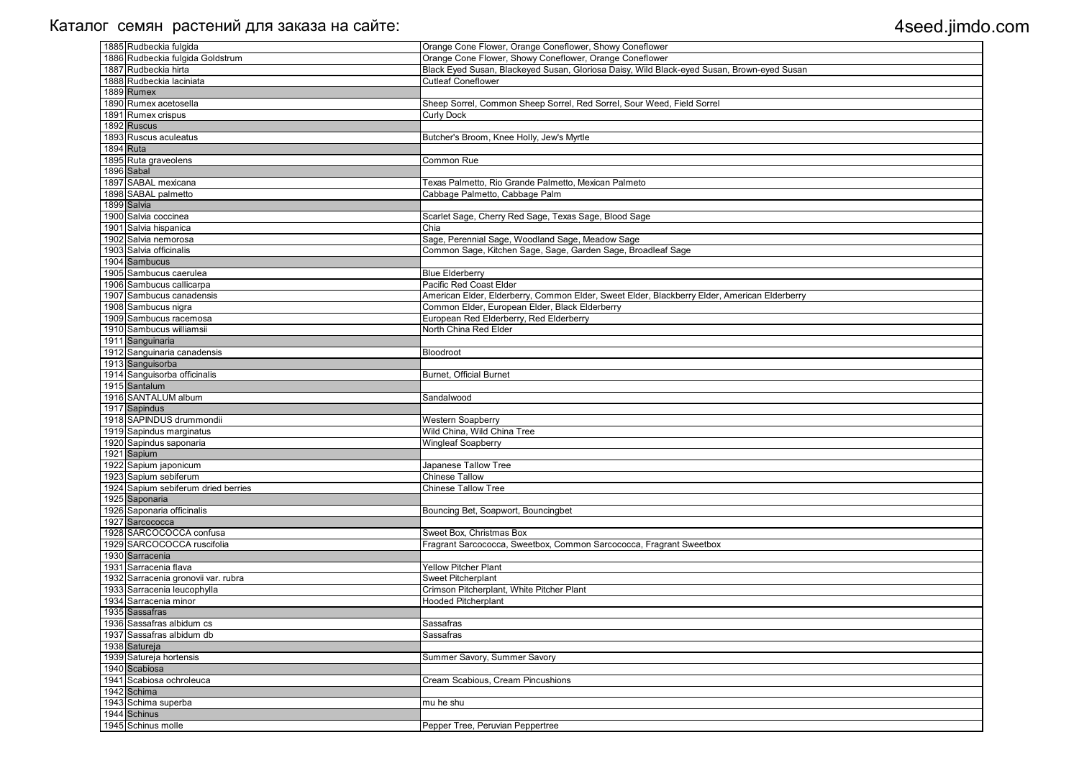| 1885 Rudbeckia fulgida              | Orange Cone Flower, Orange Coneflower, Showy Coneflower                                      |
|-------------------------------------|----------------------------------------------------------------------------------------------|
| 1886 Rudbeckia fulgida Goldstrum    | Orange Cone Flower, Showy Coneflower, Orange Coneflower                                      |
| 1887 Rudbeckia hirta                | Black Eyed Susan, Blackeyed Susan, Gloriosa Daisy, Wild Black-eyed Susan, Brown-eyed Susan   |
| 1888 Rudbeckia laciniata            | <b>Cutleaf Coneflower</b>                                                                    |
| 1889 Rumex                          |                                                                                              |
| 1890 Rumex acetosella               | Sheep Sorrel, Common Sheep Sorrel, Red Sorrel, Sour Weed, Field Sorrel                       |
| 1891 Rumex crispus                  | <b>Curly Dock</b>                                                                            |
| 1892 Ruscus                         |                                                                                              |
| 1893 Ruscus aculeatus               | Butcher's Broom, Knee Holly, Jew's Myrtle                                                    |
| 1894 Ruta                           |                                                                                              |
| 1895 Ruta graveolens                | Common Rue                                                                                   |
| 1896 Sabal                          |                                                                                              |
| 1897 SABAL mexicana                 | Texas Palmetto, Rio Grande Palmetto, Mexican Palmeto                                         |
| 1898 SABAL palmetto                 | Cabbage Palmetto, Cabbage Palm                                                               |
| 1899 Salvia                         |                                                                                              |
| 1900 Salvia coccinea                | Scarlet Sage, Cherry Red Sage, Texas Sage, Blood Sage                                        |
| 1901 Salvia hispanica               | Chia                                                                                         |
| 1902 Salvia nemorosa                | Sage, Perennial Sage, Woodland Sage, Meadow Sage                                             |
| 1903 Salvia officinalis             | Common Sage, Kitchen Sage, Sage, Garden Sage, Broadleaf Sage                                 |
| 1904 Sambucus                       |                                                                                              |
| 1905 Sambucus caerulea              | <b>Blue Elderberry</b>                                                                       |
| 1906 Sambucus callicarpa            | Pacific Red Coast Elder                                                                      |
| 1907 Sambucus canadensis            | American Elder, Elderberry, Common Elder, Sweet Elder, Blackberry Elder, American Elderberry |
| 1908 Sambucus nigra                 | Common Elder, European Elder, Black Elderberry                                               |
| 1909 Sambucus racemosa              | European Red Elderberry, Red Elderberry                                                      |
| 1910 Sambucus williamsii            | North China Red Elder                                                                        |
| 1911 Sanguinaria                    |                                                                                              |
| 1912 Sanguinaria canadensis         | Bloodroot                                                                                    |
| 1913 Sanguisorba                    |                                                                                              |
| 1914 Sanguisorba officinalis        | <b>Burnet, Official Burnet</b>                                                               |
| 1915 Santalum                       |                                                                                              |
| 1916 SANTALUM album                 | Sandalwood                                                                                   |
| 1917 Sapindus                       |                                                                                              |
| 1918 SAPINDUS drummondii            | Western Soapberry                                                                            |
| 1919 Sapindus marginatus            | Wild China, Wild China Tree                                                                  |
| 1920 Sapindus saponaria             | <b>Wingleaf Soapberry</b>                                                                    |
| 1921 Sapium                         |                                                                                              |
| 1922 Sapium japonicum               | Japanese Tallow Tree                                                                         |
| 1923 Sapium sebiferum               | <b>Chinese Tallow</b>                                                                        |
| 1924 Sapium sebiferum dried berries | <b>Chinese Tallow Tree</b>                                                                   |
| 1925 Saponaria                      |                                                                                              |
| 1926 Saponaria officinalis          | Bouncing Bet, Soapwort, Bouncingbet                                                          |
| 1927 Sarcococca                     |                                                                                              |
| 1928 SARCOCOCCA confusa             | Sweet Box, Christmas Box                                                                     |
| 1929 SARCOCOCCA ruscifolia          | Fragrant Sarcococca, Sweetbox, Common Sarcococca, Fragrant Sweetbox                          |
| 1930 Sarracenia                     |                                                                                              |
| 1931 Sarracenia flava               | <b>Yellow Pitcher Plant</b>                                                                  |
| 1932 Sarracenia gronovii var. rubra | <b>Sweet Pitcherplant</b>                                                                    |
| 1933 Sarracenia leucophylla         | Crimson Pitcherplant, White Pitcher Plant                                                    |
| 1934 Sarracenia minor               | <b>Hooded Pitcherplant</b>                                                                   |
| 1935 Sassafras                      |                                                                                              |
| 1936 Sassafras albidum cs           | Sassafras                                                                                    |
| 1937 Sassafras albidum db           | Sassafras                                                                                    |
| 1938 Satureja                       |                                                                                              |
| 1939 Satureja hortensis             | Summer Savory, Summer Savory                                                                 |
| 1940 Scabiosa                       |                                                                                              |
| 1941 Scabiosa ochroleuca            | Cream Scabious, Cream Pincushions                                                            |
| 1942 Schima                         |                                                                                              |
| 1943 Schima superba                 | mu he shu                                                                                    |
| 1944 Schinus                        |                                                                                              |
| 1945 Schinus molle                  | Pepper Tree, Peruvian Peppertree                                                             |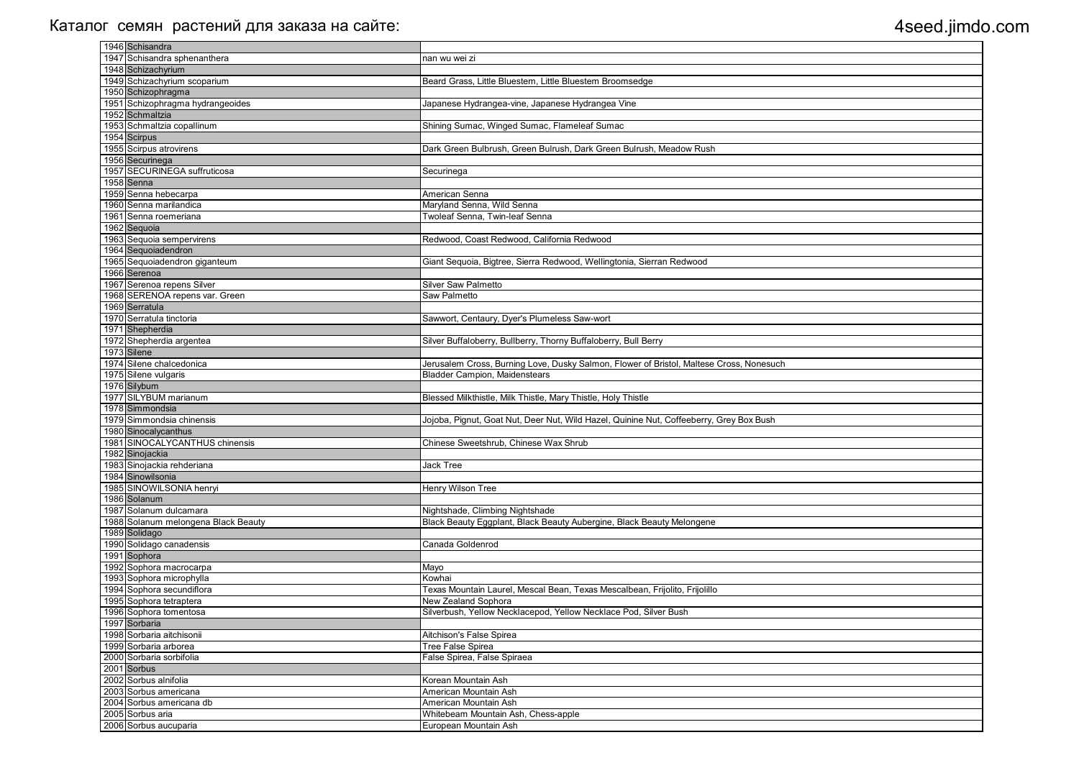| 1946 Schisandra                     |                                                                                         |
|-------------------------------------|-----------------------------------------------------------------------------------------|
| 1947 Schisandra sphenanthera        | nan wu wei zi                                                                           |
| 1948 Schizachyrium                  |                                                                                         |
| 1949 Schizachyrium scoparium        | Beard Grass, Little Bluestem, Little Bluestem Broomsedge                                |
| 1950 Schizophragma                  |                                                                                         |
| 1951 Schizophragma hydrangeoides    | Japanese Hydrangea-vine, Japanese Hydrangea Vine                                        |
| 1952 Schmaltzia                     |                                                                                         |
| 1953 Schmaltzia copallinum          | Shining Sumac, Winged Sumac, Flameleaf Sumac                                            |
| 1954 Scirpus                        |                                                                                         |
| 1955 Scirpus atrovirens             | Dark Green Bulbrush, Green Bulrush, Dark Green Bulrush, Meadow Rush                     |
| 1956 Securinega                     |                                                                                         |
| 1957 SECURINEGA suffruticosa        | Securinega                                                                              |
| 1958 Senna                          |                                                                                         |
| 1959 Senna hebecarpa                | American Senna                                                                          |
| 1960 Senna marilandica              | Maryland Senna, Wild Senna                                                              |
| 1961 Senna roemeriana               | Twoleaf Senna, Twin-leaf Senna                                                          |
| 1962 Sequoia                        |                                                                                         |
| 1963 Sequoia sempervirens           | Redwood, Coast Redwood, California Redwood                                              |
| 1964 Sequoiadendron                 |                                                                                         |
| 1965 Sequoiadendron giganteum       | Giant Sequoia, Bigtree, Sierra Redwood, Wellingtonia, Sierran Redwood                   |
| 1966 Serenoa                        |                                                                                         |
| 1967 Serenoa repens Silver          | <b>Silver Saw Palmetto</b>                                                              |
| 1968 SERENOA repens var. Green      | Saw Palmetto                                                                            |
| 1969 Serratula                      |                                                                                         |
| 1970 Serratula tinctoria            | Sawwort, Centaury, Dyer's Plumeless Saw-wort                                            |
| 1971 Shepherdia                     |                                                                                         |
| 1972 Shepherdia argentea            | Silver Buffaloberry, Bullberry, Thorny Buffaloberry, Bull Berry                         |
| 1973 Silene                         |                                                                                         |
| 1974 Silene chalcedonica            | Jerusalem Cross, Burning Love, Dusky Salmon, Flower of Bristol, Maltese Cross, Nonesuch |
| 1975 Silene vulgaris                | <b>Bladder Campion, Maidenstears</b>                                                    |
| 1976 Silybum                        |                                                                                         |
| 1977 SILYBUM marianum               | Blessed Milkthistle, Milk Thistle, Mary Thistle, Holy Thistle                           |
| 1978 Simmondsia                     |                                                                                         |
| 1979 Simmondsia chinensis           | Jojoba, Pignut, Goat Nut, Deer Nut, Wild Hazel, Quinine Nut, Coffeeberry, Grey Box Bush |
| 1980 Sinocalycanthus                |                                                                                         |
| 1981 SINOCALYCANTHUS chinensis      | Chinese Sweetshrub, Chinese Wax Shrub                                                   |
| 1982 Sinojackia                     |                                                                                         |
| 1983 Sinojackia rehderiana          | <b>Jack Tree</b>                                                                        |
| 1984 Sinowilsonia                   |                                                                                         |
| 1985 SINOWILSONIA henryi            | Henry Wilson Tree                                                                       |
| 1986 Solanum                        |                                                                                         |
| 1987 Solanum dulcamara              | Nightshade, Climbing Nightshade                                                         |
| 1988 Solanum melongena Black Beauty | Black Beauty Eggplant, Black Beauty Aubergine, Black Beauty Melongene                   |
| 1989 Solidago                       |                                                                                         |
| 1990 Solidago canadensis            | Canada Goldenrod                                                                        |
| 1991 Sophora                        |                                                                                         |
| 1992 Sophora macrocarpa             | Mayo                                                                                    |
| 1993 Sophora microphylla            | Kowhai                                                                                  |
| 1994 Sophora secundiflora           | Texas Mountain Laurel, Mescal Bean, Texas Mescalbean, Frijolito, Frijolillo             |
| 1995 Sophora tetraptera             | New Zealand Sophora                                                                     |
| 1996 Sophora tomentosa              | Silverbush, Yellow Necklacepod, Yellow Necklace Pod, Silver Bush                        |
| 1997 Sorbaria                       |                                                                                         |
| 1998 Sorbaria aitchisonii           | Aitchison's False Spirea                                                                |
| 1999 Sorbaria arborea               | Tree False Spirea                                                                       |
| 2000 Sorbaria sorbifolia            | False Spirea, False Spiraea                                                             |
| 2001 Sorbus                         |                                                                                         |
| 2002 Sorbus alnifolia               | Korean Mountain Ash                                                                     |
| 2003 Sorbus americana               | American Mountain Ash                                                                   |
| 2004 Sorbus americana db            | American Mountain Ash                                                                   |
| 2005 Sorbus aria                    | Whitebeam Mountain Ash, Chess-apple                                                     |
| 2006 Sorbus aucuparia               | European Mountain Ash                                                                   |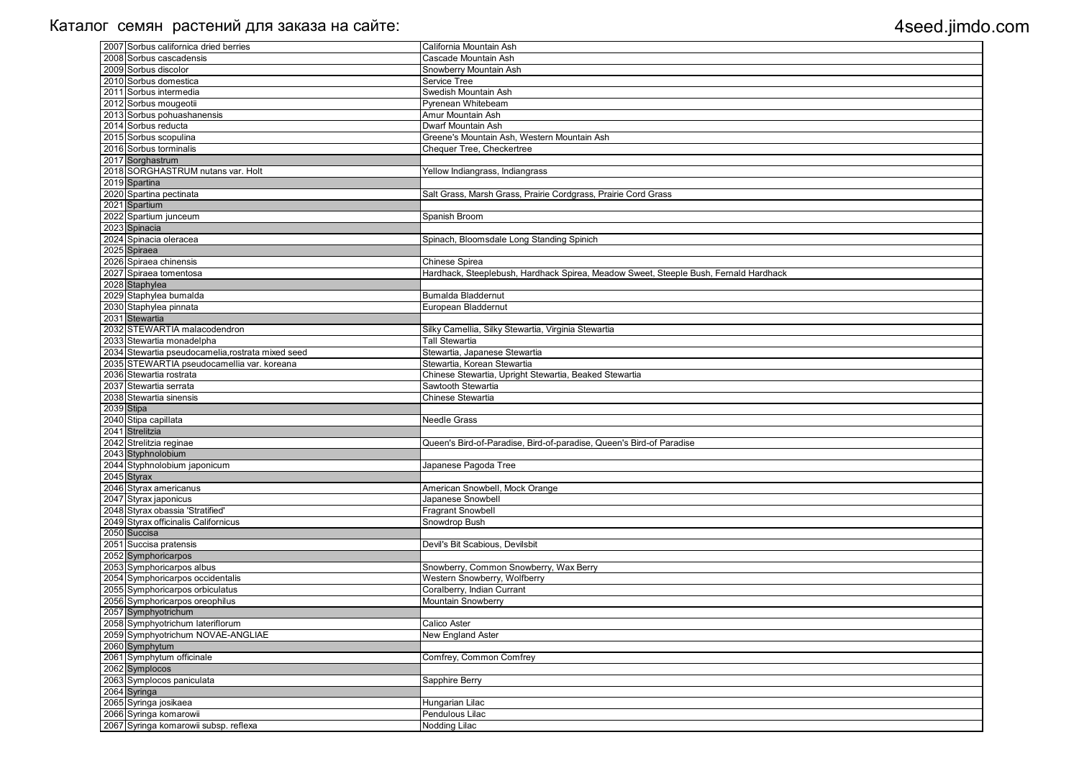| 2007 Sorbus californica dried berries                           | California Mountain Ash                                                              |
|-----------------------------------------------------------------|--------------------------------------------------------------------------------------|
| 2008 Sorbus cascadensis                                         | Cascade Mountain Ash                                                                 |
| 2009 Sorbus discolor                                            | Snowberry Mountain Ash                                                               |
| 2010 Sorbus domestica                                           | Service Tree                                                                         |
| 2011 Sorbus intermedia                                          | Swedish Mountain Ash                                                                 |
| 2012 Sorbus mougeotii                                           | Pyrenean Whitebeam                                                                   |
| 2013 Sorbus pohuashanensis                                      | Amur Mountain Ash                                                                    |
| 2014 Sorbus reducta                                             | Dwarf Mountain Ash                                                                   |
| 2015 Sorbus scopulina                                           | Greene's Mountain Ash, Western Mountain Ash                                          |
| 2016 Sorbus torminalis                                          | Chequer Tree, Checkertree                                                            |
| 2017 Sorghastrum                                                |                                                                                      |
| 2018 SORGHASTRUM nutans var. Holt                               | Yellow Indiangrass, Indiangrass                                                      |
| 2019 Spartina                                                   |                                                                                      |
| 2020 Spartina pectinata                                         | Salt Grass, Marsh Grass, Prairie Cordgrass, Prairie Cord Grass                       |
| 2021 Spartium                                                   |                                                                                      |
| 2022 Spartium junceum                                           | Spanish Broom                                                                        |
| 2023 Spinacia                                                   |                                                                                      |
| 2024 Spinacia oleracea                                          | Spinach, Bloomsdale Long Standing Spinich                                            |
| 2025 Spiraea                                                    |                                                                                      |
| 2026 Spiraea chinensis                                          | Chinese Spirea                                                                       |
| 2027 Spiraea tomentosa                                          | Hardhack, Steeplebush, Hardhack Spirea, Meadow Sweet, Steeple Bush, Fernald Hardhack |
| 2028 Staphylea                                                  |                                                                                      |
| 2029 Staphylea bumalda                                          | <b>Bumalda Bladdernut</b>                                                            |
| 2030 Staphylea pinnata                                          | European Bladdernut                                                                  |
| 2031 Stewartia                                                  |                                                                                      |
| 2032 STEWARTIA malacodendron                                    | Silky Camellia, Silky Stewartia, Virginia Stewartia                                  |
| 2033 Stewartia monadelpha                                       | <b>Tall Stewartia</b>                                                                |
| 2034 Stewartia pseudocamelia, rostrata mixed seed               | Stewartia, Japanese Stewartia                                                        |
| 2035 STEWARTIA pseudocamellia var. koreana                      | Stewartia, Korean Stewartia                                                          |
| 2036 Stewartia rostrata                                         | Chinese Stewartia, Upright Stewartia, Beaked Stewartia                               |
| 2037 Stewartia serrata                                          | Sawtooth Stewartia                                                                   |
| 2038 Stewartia sinensis                                         | Chinese Stewartia                                                                    |
| $2039$ Stipa                                                    |                                                                                      |
| 2040 Stipa capillata                                            | <b>Needle Grass</b>                                                                  |
| 2041 Strelitzia                                                 |                                                                                      |
| 2042 Strelitzia reginae                                         | Queen's Bird-of-Paradise, Bird-of-paradise, Queen's Bird-of Paradise                 |
| 2043 Styphnolobium                                              |                                                                                      |
| 2044 Styphnolobium japonicum                                    | Japanese Pagoda Tree                                                                 |
| 2045 Styrax                                                     |                                                                                      |
| 2046 Styrax americanus                                          | American Snowbell, Mock Orange                                                       |
| 2047 Styrax japonicus                                           |                                                                                      |
| 2048 Styrax obassia 'Stratified'                                | Japanese Snowbell                                                                    |
|                                                                 | <b>Fragrant Snowbell</b>                                                             |
| 2049 Styrax officinalis Californicus                            | Snowdrop Bush                                                                        |
| 2050 Succisa                                                    |                                                                                      |
| 2051 Succisa pratensis                                          | Devil's Bit Scabious, Devilsbit                                                      |
| 2052 Symphoricarpos                                             |                                                                                      |
| 2053 Symphoricarpos albus                                       | Snowberry, Common Snowberry, Wax Berry                                               |
| 2054 Symphoricarpos occidentalis                                | Western Snowberry, Wolfberry                                                         |
| 2055 Symphoricarpos orbiculatus                                 | Coralberry, Indian Currant                                                           |
| 2056 Symphoricarpos oreophilus                                  | Mountain Snowberry                                                                   |
| 2057 Symphyotrichum                                             |                                                                                      |
| 2058 Symphyotrichum lateriflorum                                | Calico Aster                                                                         |
| 2059 Symphyotrichum NOVAE-ANGLIAE                               | New England Aster                                                                    |
| 2060 Symphytum                                                  |                                                                                      |
| 2061 Symphytum officinale                                       | Comfrey, Common Comfrey                                                              |
| 2062 Symplocos                                                  |                                                                                      |
| 2063 Symplocos paniculata                                       | Sapphire Berry                                                                       |
| 2064 Syringa                                                    |                                                                                      |
| 2065 Syringa josikaea                                           | Hungarian Lilac                                                                      |
| 2066 Syringa komarowii<br>2067 Syringa komarowii subsp. reflexa | Pendulous Lilac<br>Nodding Lilac                                                     |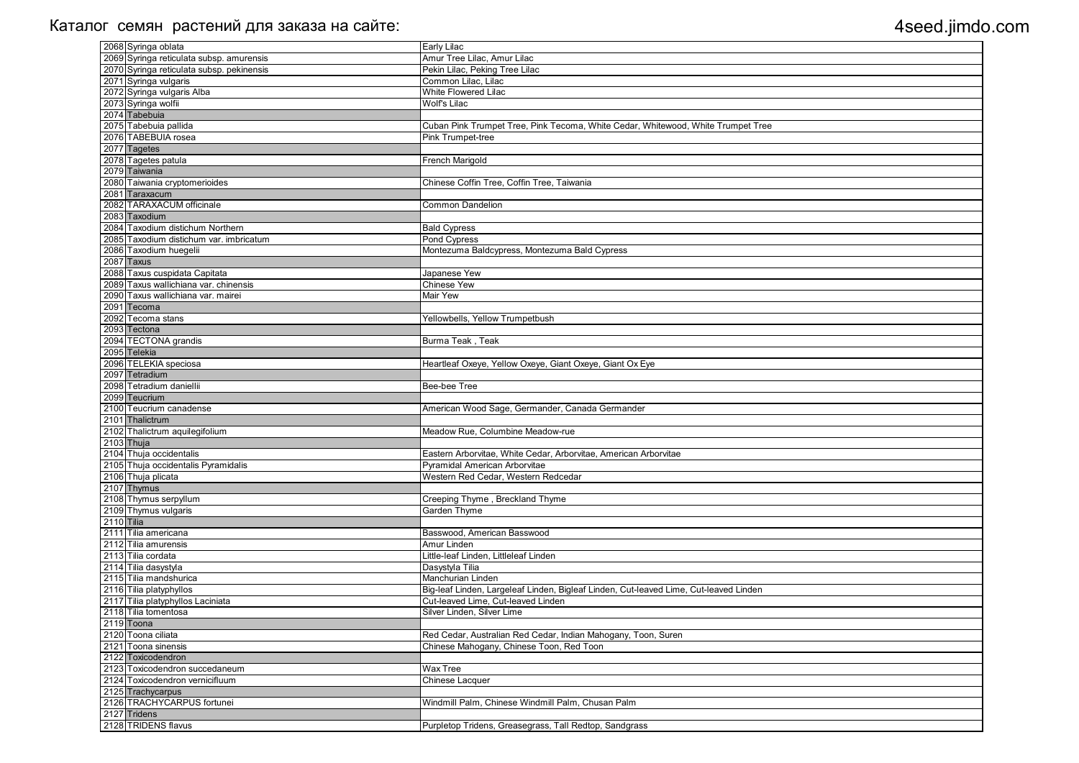|            | 2068 Syringa oblata                                       | <b>Early Lilac</b>                                                                    |
|------------|-----------------------------------------------------------|---------------------------------------------------------------------------------------|
|            | 2069 Syringa reticulata subsp. amurensis                  | Amur Tree Lilac, Amur Lilac                                                           |
|            | 2070 Syringa reticulata subsp. pekinensis                 | Pekin Lilac, Peking Tree Lilac                                                        |
|            | 2071 Syringa vulgaris                                     | Common Lilac, Lilac                                                                   |
|            | 2072 Syringa vulgaris Alba                                | <b>White Flowered Lilac</b>                                                           |
|            | 2073 Syringa wolfii                                       | <b>Wolf's Lilac</b>                                                                   |
|            | 2074 Tabebuia                                             |                                                                                       |
|            | 2075 Tabebuia pallida                                     | Cuban Pink Trumpet Tree, Pink Tecoma, White Cedar, Whitewood, White Trumpet Tree      |
|            | 2076 TABEBUIA rosea                                       | <b>Pink Trumpet-tree</b>                                                              |
|            | 2077 Tagetes                                              |                                                                                       |
|            | 2078 Tagetes patula                                       |                                                                                       |
|            | 2079 Taiwania                                             | French Marigold                                                                       |
|            | 2080 Taiwania cryptomerioides                             |                                                                                       |
|            | 2081 Taraxacum                                            | Chinese Coffin Tree, Coffin Tree, Taiwania                                            |
|            |                                                           |                                                                                       |
|            | 2082 TARAXACUM officinale                                 | <b>Common Dandelion</b>                                                               |
|            | 2083 Taxodium                                             |                                                                                       |
|            | 2084 Taxodium distichum Northern                          | <b>Bald Cypress</b>                                                                   |
|            | 2085 Taxodium distichum var. imbricatum                   | Pond Cypress                                                                          |
|            | 2086 Taxodium huegelii                                    | Montezuma Baldcypress, Montezuma Bald Cypress                                         |
|            | 2087 Taxus                                                |                                                                                       |
|            | 2088 Taxus cuspidata Capitata                             | Japanese Yew                                                                          |
|            | 2089 Taxus wallichiana var. chinensis                     | <b>Chinese Yew</b>                                                                    |
|            | 2090 Taxus wallichiana var. mairei                        | <b>Mair Yew</b>                                                                       |
|            | 2091 Tecoma                                               |                                                                                       |
|            | 2092 Tecoma stans                                         | Yellowbells, Yellow Trumpetbush                                                       |
|            | 2093 Tectona                                              |                                                                                       |
|            | 2094 TECTONA grandis                                      | Burma Teak, Teak                                                                      |
|            | 2095 Telekia                                              |                                                                                       |
|            | 2096 TELEKIA speciosa                                     | Heartleaf Oxeye, Yellow Oxeye, Giant Oxeye, Giant Ox Eye                              |
|            | 2097 Tetradium                                            |                                                                                       |
|            | 2098 Tetradium daniellii                                  | Bee-bee Tree                                                                          |
|            | 2099 Teucrium                                             |                                                                                       |
|            | 2100 Teucrium canadense                                   | American Wood Sage, Germander, Canada Germander                                       |
|            | 2101 Thalictrum                                           |                                                                                       |
|            | 2102 Thalictrum aquilegifolium                            | Meadow Rue, Columbine Meadow-rue                                                      |
|            | 2103 Thuja                                                |                                                                                       |
|            | 2104 Thuja occidentalis                                   | Eastern Arborvitae, White Cedar, Arborvitae, American Arborvitae                      |
|            | 2105 Thuja occidentalis Pyramidalis                       | Pyramidal American Arborvitae                                                         |
|            | 2106 Thuja plicata                                        | Western Red Cedar, Western Redcedar                                                   |
|            | 2107 Thymus                                               |                                                                                       |
|            | 2108 Thymus serpyllum                                     | Creeping Thyme, Breckland Thyme                                                       |
|            | 2109 Thymus vulgaris                                      | Garden Thyme                                                                          |
| 2110 Tilia |                                                           |                                                                                       |
|            | 2111 Tilia americana                                      | Basswood, American Basswood                                                           |
|            | 2112 Tilia amurensis                                      | Amur Linden                                                                           |
|            | 2113 Tilia cordata                                        | Little-leaf Linden, Littleleaf Linden                                                 |
|            | 2114 Tilia dasystyla                                      | Dasystyla Tilia                                                                       |
|            | 2115 Tilia mandshurica                                    | Manchurian Linden                                                                     |
|            | 2116 Tilia platyphyllos                                   | Big-leaf Linden, Largeleaf Linden, Bigleaf Linden, Cut-leaved Lime, Cut-leaved Linden |
|            |                                                           | Cut-leaved Lime, Cut-leaved Linden                                                    |
|            | 2117 Tilia platyphyllos Laciniata<br>2118 Tilia tomentosa |                                                                                       |
|            |                                                           | Silver Linden, Silver Lime                                                            |
|            | 2119 Toona                                                |                                                                                       |
|            | 2120 Toona ciliata                                        | Red Cedar, Australian Red Cedar, Indian Mahogany, Toon, Suren                         |
|            | 2121 Toona sinensis                                       | Chinese Mahogany, Chinese Toon, Red Toon                                              |
|            | 2122 Toxicodendron                                        |                                                                                       |
|            | 2123 Toxicodendron succedaneum                            | <b>Wax Tree</b>                                                                       |
|            | 2124 Toxicodendron vernicifluum                           | <b>Chinese Lacquer</b>                                                                |
|            | 2125 Trachycarpus                                         |                                                                                       |
|            | 2126 TRACHYCARPUS fortunei                                | Windmill Palm, Chinese Windmill Palm, Chusan Palm                                     |
|            | 2127 Tridens                                              |                                                                                       |
|            | 2128 TRIDENS flavus                                       | Purpletop Tridens, Greasegrass, Tall Redtop, Sandgrass                                |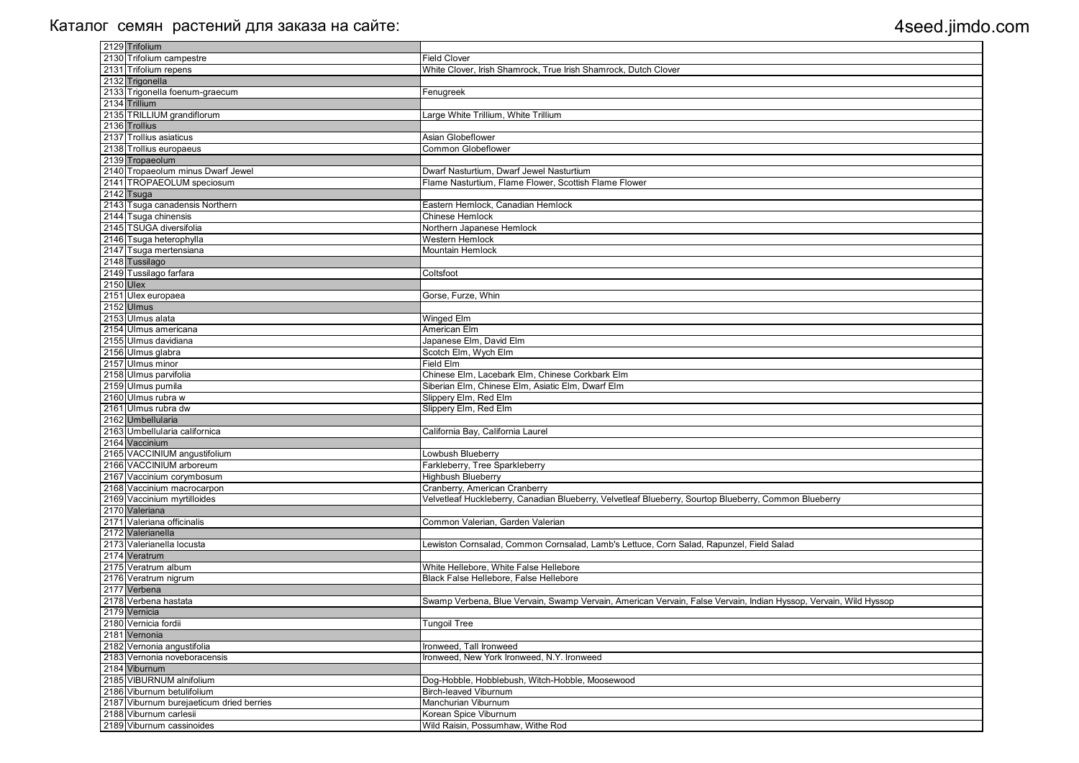| 2129 Trifolium                           |                                                                                                                  |
|------------------------------------------|------------------------------------------------------------------------------------------------------------------|
| 2130 Trifolium campestre                 | <b>Field Clover</b>                                                                                              |
| 2131 Trifolium repens                    | White Clover, Irish Shamrock, True Irish Shamrock, Dutch Clover                                                  |
| 2132 Trigonella                          |                                                                                                                  |
| 2133 Trigonella foenum-graecum           | Fenugreek                                                                                                        |
| 2134 Trillium                            |                                                                                                                  |
| 2135 TRILLIUM grandiflorum               | Large White Trillium, White Trillium                                                                             |
| 2136 Trollius                            |                                                                                                                  |
| 2137 Trollius asiaticus                  | Asian Globeflower                                                                                                |
| 2138 Trollius europaeus                  | <b>Common Globeflower</b>                                                                                        |
| 2139 Tropaeolum                          |                                                                                                                  |
| 2140 Tropaeolum minus Dwarf Jewel        | Dwarf Nasturtium, Dwarf Jewel Nasturtium                                                                         |
| 2141 TROPAEOLUM speciosum                | Flame Nasturtium, Flame Flower, Scottish Flame Flower                                                            |
| 2142 Tsuga                               |                                                                                                                  |
| 2143 Tsuga canadensis Northern           | Eastern Hemlock, Canadian Hemlock                                                                                |
| 2144 Tsuga chinensis                     | Chinese Hemlock                                                                                                  |
| 2145 TSUGA diversifolia                  | Northern Japanese Hemlock                                                                                        |
| 2146 Tsuga heterophylla                  | <b>Western Hemlock</b>                                                                                           |
| 2147 Tsuga mertensiana                   | Mountain Hemlock                                                                                                 |
| 2148 Tussilago                           |                                                                                                                  |
| 2149 Tussilago farfara                   | Coltsfoot                                                                                                        |
| 2150 Ulex                                |                                                                                                                  |
| 2151 Ulex europaea                       | Gorse, Furze, Whin                                                                                               |
| 2152 Ulmus                               |                                                                                                                  |
| 2153 Ulmus alata                         | Winged Elm                                                                                                       |
| 2154 Ulmus americana                     | <b>American Elm</b>                                                                                              |
| 2155 Ulmus davidiana                     | Japanese Elm, David Elm                                                                                          |
| 2156 Ulmus glabra                        | Scotch Elm, Wych Elm                                                                                             |
| 2157 Ulmus minor                         | <b>Field Elm</b>                                                                                                 |
| 2158 Ulmus parvifolia                    | Chinese Elm, Lacebark Elm, Chinese Corkbark Elm                                                                  |
| 2159 Ulmus pumila                        | Siberian Elm, Chinese Elm, Asiatic Elm, Dwarf Elm                                                                |
| 2160 Ulmus rubra w                       | Slippery Elm, Red Elm                                                                                            |
| 2161 Ulmus rubra dw                      | Slippery Elm, Red Elm                                                                                            |
| 2162 Umbellularia                        |                                                                                                                  |
| 2163 Umbellularia californica            | California Bay, California Laurel                                                                                |
| 2164 Vaccinium                           |                                                                                                                  |
| 2165 VACCINIUM angustifolium             | Lowbush Blueberry                                                                                                |
| 2166 VACCINIUM arboreum                  | Farkleberry, Tree Sparkleberry                                                                                   |
| 2167 Vaccinium corymbosum                | Highbush Blueberry                                                                                               |
| 2168 Vaccinium macrocarpon               | Cranberry, American Cranberry                                                                                    |
| 2169 Vaccinium myrtilloides              | Velvetleaf Huckleberry, Canadian Blueberry, Velvetleaf Blueberry, Sourtop Blueberry, Common Blueberry            |
| 2170 Valeriana                           |                                                                                                                  |
| 2171 Valeriana officinalis               | Common Valerian, Garden Valerian                                                                                 |
| 2172 Valerianella                        |                                                                                                                  |
| 2173 Valerianella locusta                | Lewiston Cornsalad, Common Cornsalad, Lamb's Lettuce, Corn Salad, Rapunzel, Field Salad                          |
| 2174 Veratrum                            |                                                                                                                  |
| 2175 Veratrum album                      | White Hellebore, White False Hellebore                                                                           |
| 2176 Veratrum nigrum                     | Black False Hellebore, False Hellebore                                                                           |
| 2177 Verbena                             |                                                                                                                  |
| 2178 Verbena hastata                     | Swamp Verbena, Blue Vervain, Swamp Vervain, American Vervain, False Vervain, Indian Hyssop, Vervain, Wild Hyssop |
| 2179 Vernicia                            |                                                                                                                  |
| 2180 Vernicia fordii                     | <b>Tungoil Tree</b>                                                                                              |
| 2181 Vernonia                            |                                                                                                                  |
| 2182 Vernonia angustifolia               | Ironweed, Tall Ironweed                                                                                          |
| 2183 Vernonia noveboracensis             | Ironweed, New York Ironweed, N.Y. Ironweed                                                                       |
| 2184 Viburnum                            |                                                                                                                  |
| 2185 VIBURNUM alnifolium                 | Dog-Hobble, Hobblebush, Witch-Hobble, Moosewood                                                                  |
| 2186 Viburnum betulifolium               | <b>Birch-leaved Viburnum</b>                                                                                     |
| 2187 Viburnum burejaeticum dried berries | Manchurian Viburnum                                                                                              |
| 2188 Viburnum carlesii                   | Korean Spice Viburnum                                                                                            |
| 2189 Viburnum cassinoides                | Wild Raisin, Possumhaw, Withe Rod                                                                                |

| eberry              |
|---------------------|
|                     |
|                     |
|                     |
|                     |
|                     |
|                     |
|                     |
|                     |
| ervain, Wild Hyssop |
|                     |
|                     |
|                     |
|                     |
|                     |
|                     |
|                     |
|                     |
|                     |
|                     |
|                     |
|                     |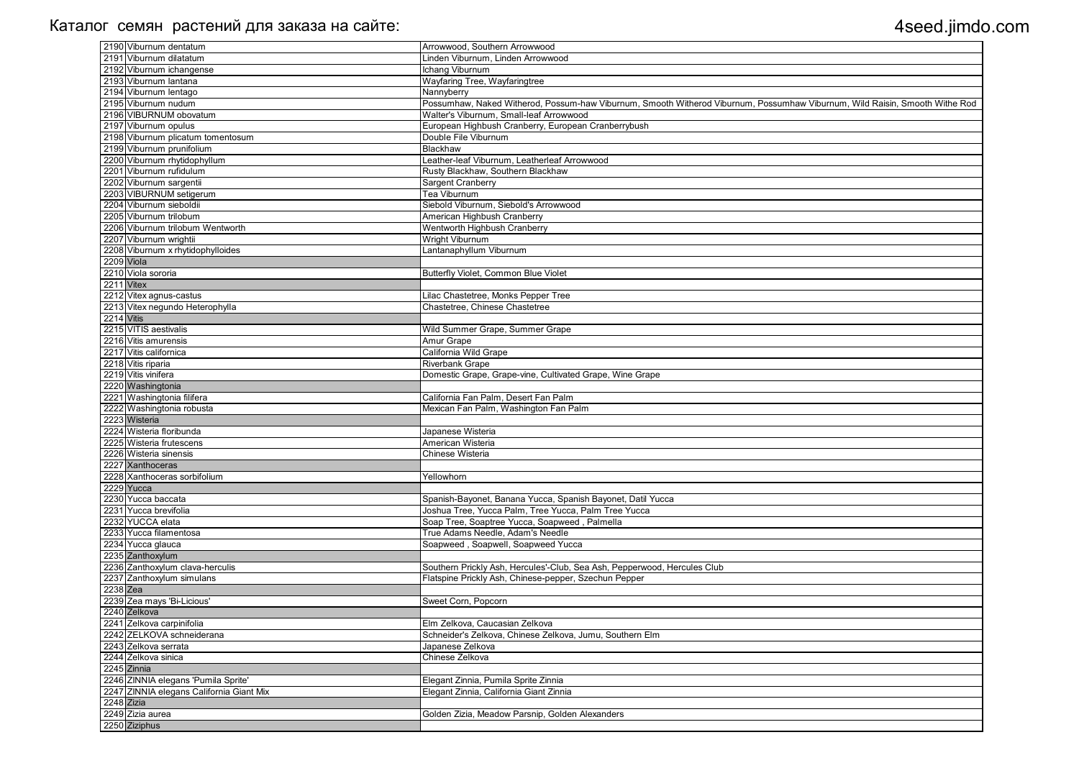| 2190 Viburnum dentatum                   | Arrowwood, Southern Arrowwood                                                                                               |
|------------------------------------------|-----------------------------------------------------------------------------------------------------------------------------|
| 2191 Viburnum dilatatum                  | Linden Viburnum, Linden Arrowwood                                                                                           |
| 2192 Viburnum ichangense                 | Ichang Viburnum                                                                                                             |
| 2193 Viburnum lantana                    | Wayfaring Tree, Wayfaringtree                                                                                               |
| 2194 Viburnum lentago                    | Nannyberry                                                                                                                  |
| 2195 Viburnum nudum                      | Possumhaw, Naked Witherod, Possum-haw Viburnum, Smooth Witherod Viburnum, Possumhaw Viburnum, Wild Raisin, Smooth Withe Rod |
| 2196 VIBURNUM obovatum                   | Walter's Viburnum, Small-leaf Arrowwood                                                                                     |
| 2197 Viburnum opulus                     | European Highbush Cranberry, European Cranberrybush                                                                         |
| 2198 Viburnum plicatum tomentosum        | Double File Viburnum                                                                                                        |
| 2199 Viburnum prunifolium                | Blackhaw                                                                                                                    |
| 2200 Viburnum rhytidophyllum             | Leather-leaf Viburnum, Leatherleaf Arrowwood                                                                                |
| 2201 Viburnum rufidulum                  | Rusty Blackhaw, Southern Blackhaw                                                                                           |
| 2202 Viburnum sargentii                  | Sargent Cranberry                                                                                                           |
| 2203 VIBURNUM setigerum                  | <b>Tea Viburnum</b>                                                                                                         |
| 2204 Viburnum sieboldii                  | Siebold Viburnum, Siebold's Arrowwood                                                                                       |
| 2205 Viburnum trilobum                   | American Highbush Cranberry                                                                                                 |
| 2206 Viburnum trilobum Wentworth         | Wentworth Highbush Cranberry                                                                                                |
| 2207 Viburnum wrightii                   | Wright Viburnum                                                                                                             |
| 2208 Viburnum x rhytidophylloides        | Lantanaphyllum Viburnum                                                                                                     |
| 2209 Viola                               |                                                                                                                             |
| 2210 Viola sororia                       | Butterfly Violet, Common Blue Violet                                                                                        |
| 2211 Vitex                               |                                                                                                                             |
| 2212 Vitex agnus-castus                  | Lilac Chastetree, Monks Pepper Tree                                                                                         |
| 2213 Vitex negundo Heterophylla          | Chastetree, Chinese Chastetree                                                                                              |
| 2214 Vitis                               |                                                                                                                             |
| 2215 VITIS aestivalis                    | Wild Summer Grape, Summer Grape                                                                                             |
| 2216 Vitis amurensis                     | Amur Grape                                                                                                                  |
| 2217 Vitis californica                   | California Wild Grape                                                                                                       |
| 2218 Vitis riparia                       | <b>Riverbank Grape</b>                                                                                                      |
| 2219 Vitis vinifera                      | Domestic Grape, Grape-vine, Cultivated Grape, Wine Grape                                                                    |
| 2220 Washingtonia                        |                                                                                                                             |
| 2221 Washingtonia filifera               | California Fan Palm, Desert Fan Palm                                                                                        |
| 2222 Washingtonia robusta                | Mexican Fan Palm, Washington Fan Palm                                                                                       |
| 2223 Wisteria                            |                                                                                                                             |
| 2224 Wisteria floribunda                 | Japanese Wisteria                                                                                                           |
| 2225 Wisteria frutescens                 | American Wisteria                                                                                                           |
| 2226 Wisteria sinensis                   | Chinese Wisteria                                                                                                            |
| 2227 Xanthoceras                         |                                                                                                                             |
| 2228 Xanthoceras sorbifolium             | Yellowhorn                                                                                                                  |
| 2229 Yucca                               |                                                                                                                             |
| 2230 Yucca baccata                       | Spanish-Bayonet, Banana Yucca, Spanish Bayonet, Datil Yucca                                                                 |
| 2231 Yucca brevifolia                    | Joshua Tree, Yucca Palm, Tree Yucca, Palm Tree Yucca                                                                        |
| 2232 YUCCA elata                         | Soap Tree, Soaptree Yucca, Soapweed, Palmella                                                                               |
| 2233 Yucca filamentosa                   | True Adams Needle, Adam's Needle                                                                                            |
| 2234 Yucca glauca                        | Soapweed, Soapwell, Soapweed Yucca                                                                                          |
| 2235 Zanthoxylum                         |                                                                                                                             |
| 2236 Zanthoxylum clava-herculis          | Southern Prickly Ash, Hercules'-Club, Sea Ash, Pepperwood, Hercules Club                                                    |
| 2237 Zanthoxylum simulans                | Flatspine Prickly Ash, Chinese-pepper, Szechun Pepper                                                                       |
| 2238 Zea                                 |                                                                                                                             |
| 2239 Zea mays 'Bi-Licious'               | Sweet Corn, Popcorn                                                                                                         |
| 2240 Zelkova                             |                                                                                                                             |
| 2241 Zelkova carpinifolia                | Elm Zelkova, Caucasian Zelkova                                                                                              |
| 2242 ZELKOVA schneiderana                | Schneider's Zelkova, Chinese Zelkova, Jumu, Southern Elm                                                                    |
| 2243 Zelkova serrata                     | Japanese Zelkova                                                                                                            |
| 2244 Zelkova sinica                      | Chinese Zelkova                                                                                                             |
| 2245 Zinnia                              |                                                                                                                             |
| 2246 ZINNIA elegans 'Pumila Sprite'      | Elegant Zinnia, Pumila Sprite Zinnia                                                                                        |
| 2247 ZINNIA elegans California Giant Mix | Elegant Zinnia, California Giant Zinnia                                                                                     |
| 2248 Zizia                               |                                                                                                                             |
| 2249 Zizia aurea                         | Golden Zizia, Meadow Parsnip, Golden Alexanders                                                                             |
| 2250 Ziziphus                            |                                                                                                                             |
|                                          |                                                                                                                             |

| iburnum, Wild Raisin, Smooth Withe Rod |
|----------------------------------------|
|                                        |
|                                        |
|                                        |
|                                        |
|                                        |
|                                        |
|                                        |
|                                        |
|                                        |
|                                        |
|                                        |
|                                        |
|                                        |
|                                        |
|                                        |
|                                        |
|                                        |
|                                        |
|                                        |
|                                        |
|                                        |
|                                        |
|                                        |
|                                        |
|                                        |
|                                        |
|                                        |
|                                        |
|                                        |
|                                        |
|                                        |
|                                        |
|                                        |
|                                        |
|                                        |
|                                        |
|                                        |
|                                        |
|                                        |
|                                        |
|                                        |
|                                        |
|                                        |
|                                        |
|                                        |
|                                        |
|                                        |
|                                        |
|                                        |
|                                        |
|                                        |
|                                        |
|                                        |
|                                        |
|                                        |
|                                        |
|                                        |
|                                        |
|                                        |
|                                        |
|                                        |
|                                        |
|                                        |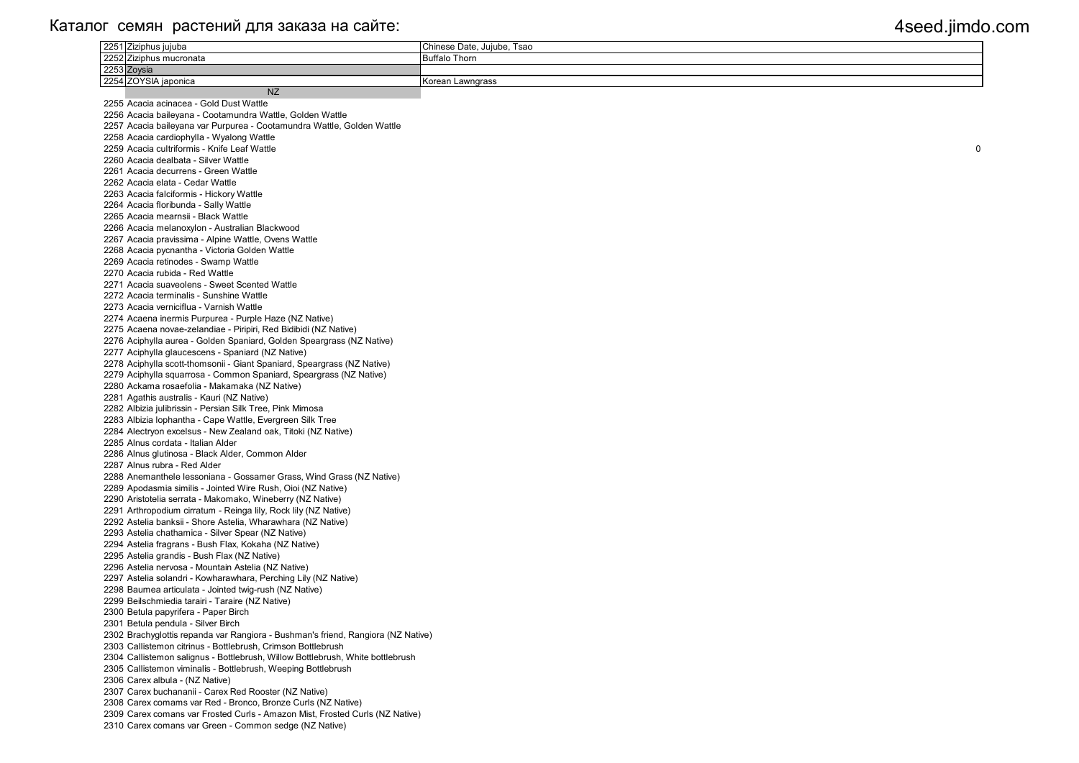| 2251 Ziziphus jujuba                                                                   | Chinese Date, Jujube, Tsao |
|----------------------------------------------------------------------------------------|----------------------------|
| 2252 Ziziphus mucronata                                                                | <b>Buffalo Thorn</b>       |
| 2253 Zoysia                                                                            |                            |
| 2254 ZOYSIA japonica                                                                   | Korean Lawngrass           |
| <b>NZ</b>                                                                              |                            |
| 2255 Acacia acinacea - Gold Dust Wattle                                                |                            |
| 2256 Acacia baileyana - Cootamundra Wattle, Golden Wattle                              |                            |
| 2257 Acacia baileyana var Purpurea - Cootamundra Wattle, Golden Wattle                 |                            |
| 2258 Acacia cardiophylla - Wyalong Wattle                                              |                            |
| 2259 Acacia cultriformis - Knife Leaf Wattle                                           |                            |
| 2260 Acacia dealbata - Silver Wattle                                                   |                            |
| 2261 Acacia decurrens - Green Wattle                                                   |                            |
| 2262 Acacia elata - Cedar Wattle                                                       |                            |
| 2263 Acacia falciformis - Hickory Wattle                                               |                            |
| 2264 Acacia floribunda - Sally Wattle                                                  |                            |
| 2265 Acacia mearnsii - Black Wattle                                                    |                            |
| 2266 Acacia melanoxylon - Australian Blackwood                                         |                            |
| 2267 Acacia pravissima - Alpine Wattle, Ovens Wattle                                   |                            |
| 2268 Acacia pycnantha - Victoria Golden Wattle                                         |                            |
| 2269 Acacia retinodes - Swamp Wattle                                                   |                            |
| 2270 Acacia rubida - Red Wattle                                                        |                            |
| 2271 Acacia suaveolens - Sweet Scented Wattle                                          |                            |
| 2272 Acacia terminalis - Sunshine Wattle                                               |                            |
| 2273 Acacia verniciflua - Varnish Wattle                                               |                            |
| 2274 Acaena inermis Purpurea - Purple Haze (NZ Native)                                 |                            |
| 2275 Acaena novae-zelandiae - Piripiri, Red Bidibidi (NZ Native)                       |                            |
| 2276 Aciphylla aurea - Golden Spaniard, Golden Speargrass (NZ Native)                  |                            |
| 2277 Aciphylla glaucescens - Spaniard (NZ Native)                                      |                            |
| 2278 Aciphylla scott-thomsonii - Giant Spaniard, Speargrass (NZ Native)                |                            |
| 2279 Aciphylla squarrosa - Common Spaniard, Speargrass (NZ Native)                     |                            |
| 2280 Ackama rosaefolia - Makamaka (NZ Native)                                          |                            |
| 2281 Agathis australis - Kauri (NZ Native)                                             |                            |
| 2282 Albizia julibrissin - Persian Silk Tree, Pink Mimosa                              |                            |
| 2283 Albizia lophantha - Cape Wattle, Evergreen Silk Tree                              |                            |
| 2284 Alectryon excelsus - New Zealand oak, Titoki (NZ Native)                          |                            |
| 2285 Alnus cordata - Italian Alder<br>2286 Alnus glutinosa - Black Alder, Common Alder |                            |
| 2287 Alnus rubra - Red Alder                                                           |                            |
| 2288 Anemanthele lessoniana - Gossamer Grass, Wind Grass (NZ Native)                   |                            |
| 2289 Apodasmia similis - Jointed Wire Rush, Oioi (NZ Native)                           |                            |
| 2290 Aristotelia serrata - Makomako, Wineberry (NZ Native)                             |                            |
| 2291 Arthropodium cirratum - Reinga lily, Rock lily (NZ Native)                        |                            |
| 2292 Astelia banksii - Shore Astelia, Wharawhara (NZ Native)                           |                            |
| 2293 Astelia chathamica - Silver Spear (NZ Native)                                     |                            |
| 2294 Astelia fragrans - Bush Flax, Kokaha (NZ Native)                                  |                            |
| 2295 Astelia grandis - Bush Flax (NZ Native)                                           |                            |
| 2296 Astelia nervosa - Mountain Astelia (NZ Native)                                    |                            |
| 2297 Astelia solandri - Kowharawhara, Perching Lily (NZ Native)                        |                            |
| 2298 Baumea articulata - Jointed twig-rush (NZ Native)                                 |                            |
| 2299 Beilschmiedia tarairi - Taraire (NZ Native)                                       |                            |
| 2300 Betula papyrifera - Paper Birch                                                   |                            |
| 2301 Betula pendula - Silver Birch                                                     |                            |
| 2302 Brachyglottis repanda var Rangiora - Bushman's friend, Rangiora (NZ Native)       |                            |
| 2303 Callistemon citrinus - Bottlebrush, Crimson Bottlebrush                           |                            |
| 2304 Callistemon salignus - Bottlebrush, Willow Bottlebrush, White bottlebrush         |                            |
| 2305 Callistemon viminalis - Bottlebrush, Weeping Bottlebrush                          |                            |
| 2306 Carex albula - (NZ Native)                                                        |                            |
| 2307 Carex buchananii - Carex Red Rooster (NZ Native)                                  |                            |
| 2308 Carex comams var Red - Bronco, Bronze Curls (NZ Native)                           |                            |
| 2309 Carex comans var Frosted Curls - Amazon Mist, Frosted Curls (NZ Native)           |                            |
| 2310 Carex comans var Green - Common sedge (NZ Native)                                 |                            |

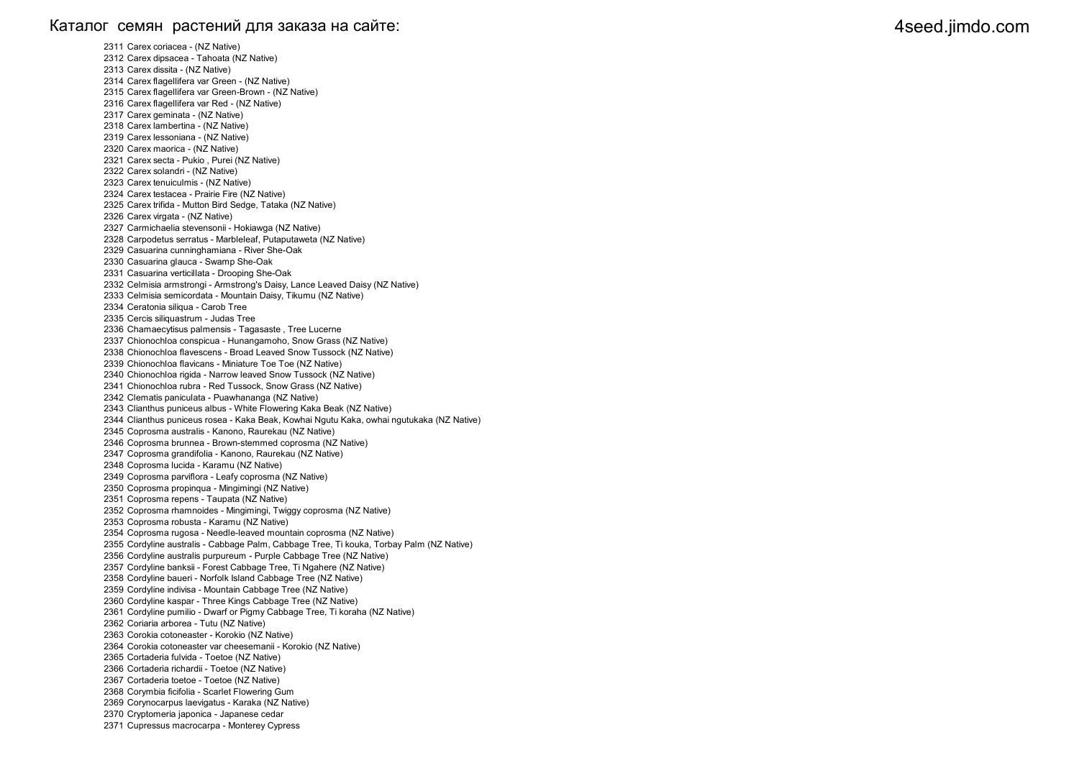### Каталог семян растений для заказа на сайте: 4seed.jimdo.com 4seed.jimdo.com

2311 Carex coriacea - (NZ Native) 2312 Carex dipsacea - Tahoata (NZ Native) 2313 Carex dissita - (NZ Native) 2314 Carex flagellifera var Green - (NZ Native) 2315 Carex flagellifera var Green-Brown - (NZ Native) 2316 Carex flagellifera var Red - (NZ Native) 2317 Carex geminata - (NZ Native) 2318 Carex lambertina - (NZ Native) 2319 Carex lessoniana - (NZ Native) 2320 Carex maorica - (NZ Native) 2321 Carex secta - Pukio , Purei (NZ Native) 2322 Carex solandri - (NZ Native) 2323 Carex tenuiculmis - (NZ Native) 2324 Carex testacea - Prairie Fire (NZ Native) 2325 Carex trifida - Mutton Bird Sedge, Tataka (NZ Native) 2326 Carex virgata - (NZ Native) 2327 Carmichaelia stevensonii - Hokiawga (NZ Native) 2328 Carpodetus serratus - Marbleleaf, Putaputaweta (NZ Native) 2329 Casuarina cunninghamiana - River She-Oak 2330 Casuarina glauca - Swamp She-Oak 2331 Casuarina verticillata - Drooping She-Oak 2332 Celmisia armstrongi - Armstrong's Daisy, Lance Leaved Daisy (NZ Native) 2333 Celmisia semicordata - Mountain Daisy, Tikumu (NZ Native) 2334 Ceratonia siliqua - Carob Tree 2335 Cercis siliquastrum - Judas Tree 2336 Chamaecytisus palmensis - Tagasaste , Tree Lucerne 2337 Chionochloa conspicua - Hunangamoho, Snow Grass (NZ Native) 2338 Chionochloa flavescens - Broad Leaved Snow Tussock (NZ Native) 2339 Chionochloa flavicans - Miniature Toe Toe (NZ Native) 2340 Chionochloa rigida - Narrow leaved Snow Tussock (NZ Native) 2341 Chionochloa rubra - Red Tussock, Snow Grass (NZ Native) 2342 Clematis paniculata - Puawhananga (NZ Native) 2343 Clianthus puniceus albus - White Flowering Kaka Beak (NZ Native) 2344 Clianthus puniceus rosea - Kaka Beak, Kowhai Ngutu Kaka, owhai ngutukaka (NZ Native) 2345 Coprosma australis - Kanono, Raurekau (NZ Native) 2346 Coprosma brunnea - Brown-stemmed coprosma (NZ Native) 2347 Coprosma grandifolia - Kanono, Raurekau (NZ Native) 2348 Coprosma lucida - Karamu (NZ Native) 2349 Coprosma parviflora - Leafy coprosma (NZ Native) 2350 Coprosma propinqua - Mingimingi (NZ Native) 2351 Coprosma repens - Taupata (NZ Native) 2352 Coprosma rhamnoides - Mingimingi, Twiggy coprosma (NZ Native) 2353 Coprosma robusta - Karamu (NZ Native) 2354 Coprosma rugosa - Needle-leaved mountain coprosma (NZ Native) 2355 Cordyline australis - Cabbage Palm, Cabbage Tree, Ti kouka, Torbay Palm (NZ Native) 2356 Cordyline australis purpureum - Purple Cabbage Tree (NZ Native) 2357 Cordyline banksii - Forest Cabbage Tree, Ti Ngahere (NZ Native) 2358 Cordyline baueri - Norfolk Island Cabbage Tree (NZ Native) 2359 Cordyline indivisa - Mountain Cabbage Tree (NZ Native) 2360 Cordyline kaspar - Three Kings Cabbage Tree (NZ Native) 2361 Cordyline pumilio - Dwarf or Pigmy Cabbage Tree, Ti koraha (NZ Native) 2362 Coriaria arborea - Tutu (NZ Native) 2363 Corokia cotoneaster - Korokio (NZ Native) 2364 Corokia cotoneaster var cheesemanii - Korokio (NZ Native) 2365 Cortaderia fulvida - Toetoe (NZ Native) 2366 Cortaderia richardii - Toetoe (NZ Native) 2367 Cortaderia toetoe - Toetoe (NZ Native) 2368 Corymbia ficifolia - Scarlet Flowering Gum 2369 Corynocarpus laevigatus - Karaka (NZ Native) 2370 Cryptomeria japonica - Japanese cedar 2371 Cupressus macrocarpa - Monterey Cypress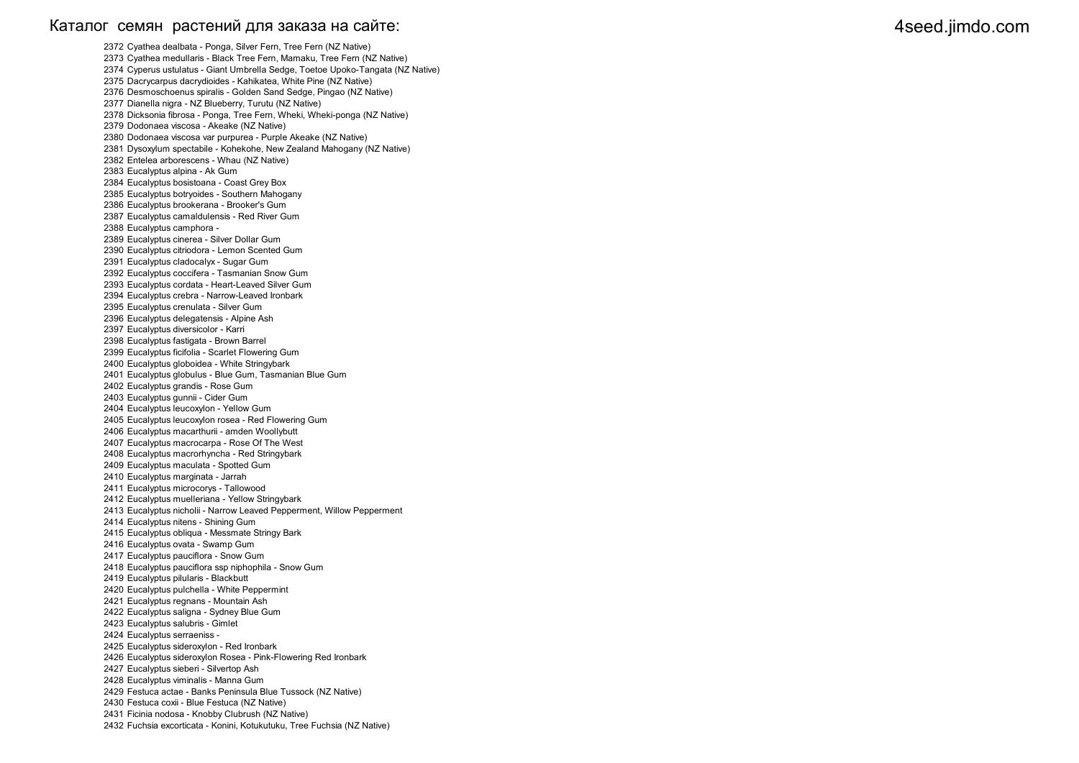### Каталог семян растений для заказа на сайте: 4seed.jimdo.com 4seed.jimdo.com

2372 Cyathea dealbata - Ponga, Silver Fern, Tree Fern (NZ Native) 2373 Cyathea medullaris - Black Tree Fern, Mamaku, Tree Fern (NZ Native) 2374 Cyperus ustulatus - Giant Umbrella Sedge, Toetoe Upoko-Tangata (NZ Native) 2375 Dacrycarpus dacrydioides - Kahikatea, White Pine (NZ Native) 2376 Desmoschoenus spiralis - Golden Sand Sedge, Pingao (NZ Native) 2377 Dianella nigra - NZ Blueberry, Turutu (NZ Native) 2378 Dicksonia fibrosa - Ponga, Tree Fern, Wheki, Wheki-ponga (NZ Native) 2379 Dodonaea viscosa - Akeake (NZ Native) 2380 Dodonaea viscosa var purpurea - Purple Akeake (NZ Native) 2381 Dysoxylum spectabile - Kohekohe, New Zealand Mahogany (NZ Native) 2382 Entelea arborescens - Whau (NZ Native) 2383 Eucalyptus alpina - Ak Gum 2384 Eucalyptus bosistoana - Coast Grey Box 2385 Eucalyptus botryoides - Southern Mahogany 2386 Eucalyptus brookerana - Brooker's Gum 2387 Eucalyptus camaldulensis - Red River Gum 2388 Eucalyptus camphora - 2389 Eucalyptus cinerea - Silver Dollar Gum 2390 Eucalyptus citriodora - Lemon Scented Gum 2391 Eucalyptus cladocalyx - Sugar Gum 2392 Eucalyptus coccifera - Tasmanian Snow Gum 2393 Eucalyptus cordata - Heart-Leaved Silver Gum 2394 Eucalyptus crebra - Narrow-Leaved Ironbark 2395 Eucalyptus crenulata - Silver Gum 2396 Eucalyptus delegatensis - Alpine Ash 2397 Eucalyptus diversicolor - Karri 2398 Eucalyptus fastigata - Brown Barrel 2399 Eucalyptus ficifolia - Scarlet Flowering Gum 2400 Eucalyptus globoidea - White Stringybark 2401 Eucalyptus globulus - Blue Gum, Tasmanian Blue Gum 2402 Eucalyptus grandis - Rose Gum 2403 Eucalyptus gunnii - Cider Gum 2404 Eucalyptus leucoxylon - Yellow Gum 2405 Eucalyptus leucoxylon rosea - Red Flowering Gum 2406 Eucalyptus macarthurii - amden Woollybutt 2407 Eucalyptus macrocarpa - Rose Of The West 2408 Eucalyptus macrorhyncha - Red Stringybark 2409 Eucalyptus maculata - Spotted Gum 2410 Eucalyptus marginata - Jarrah 2411 Eucalyptus microcorys - Tallowood 2412 Eucalyptus muelleriana - Yellow Stringybark 2413 Eucalyptus nicholii - Narrow Leaved Pepperment, Willow Pepperment 2414 Eucalyptus nitens - Shining Gum 2415 Eucalyptus obliqua - Messmate Stringy Bark 2416 Eucalyptus ovata - Swamp Gum 2417 Eucalyptus pauciflora - Snow Gum 2418 Eucalyptus pauciflora ssp niphophila - Snow Gum 2419 Eucalyptus pilularis - Blackbutt 2420 Eucalyptus pulchella - White Peppermint 2421 Eucalyptus regnans - Mountain Ash 2422 Eucalyptus saligna - Sydney Blue Gum 2423 Eucalyptus salubris - Gimlet 2424 Eucalyptus serraeniss - 2425 Eucalyptus sideroxylon - Red Ironbark 2426 Eucalyptus sideroxylon Rosea - Pink-Flowering Red Ironbark 2427 Eucalyptus sieberi - Silvertop Ash 2428 Eucalyptus viminalis - Manna Gum 2429 Festuca actae - Banks Peninsula Blue Tussock (NZ Native) 2430 Festuca coxii - Blue Festuca (NZ Native) 2431 Ficinia nodosa - Knobby Clubrush (NZ Native) 2432 Fuchsia excorticata - Konini, Kotukutuku, Tree Fuchsia (NZ Native)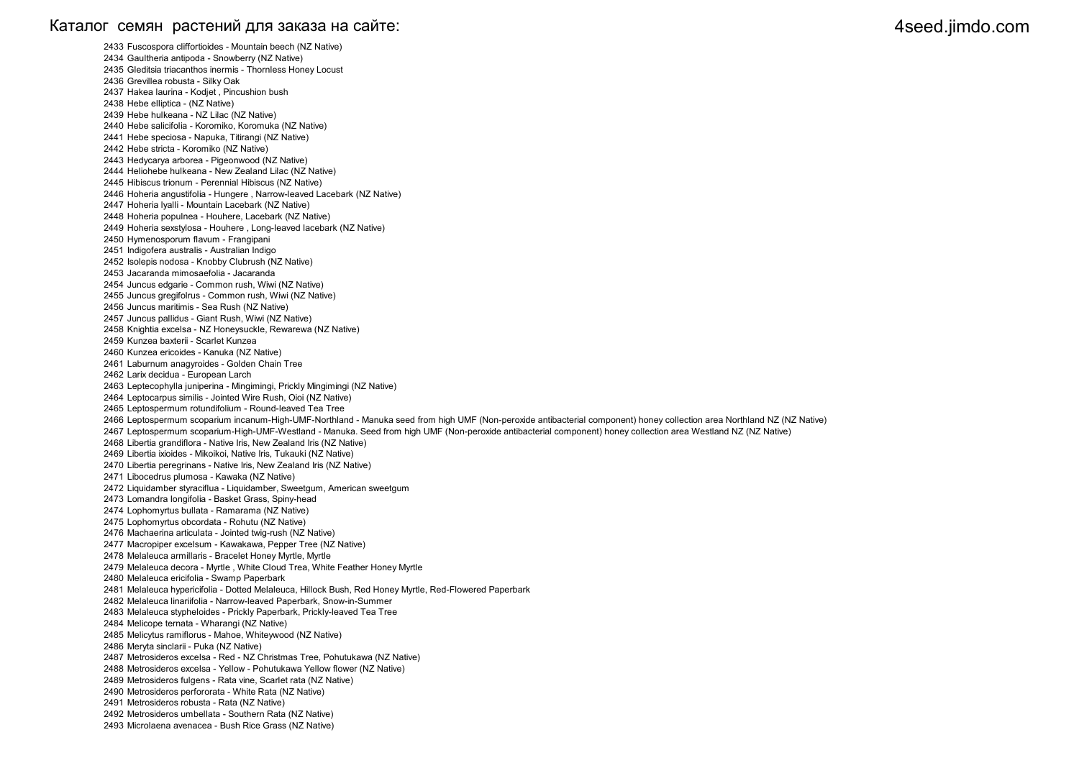### Каталог семян растений для заказа на сайте: 4seed.jimdo.com والمستخدم المستخدم المستخدم المستخدم المستخدم المستخدم المستخدم المستخدم المستخدم المستخدم المستخدم المستخدم المستخدم المستخدم المستخدم المستخدم المستخدم المستخد

2433 Fuscospora cliffortioides - Mountain beech (NZ Native) 2434 Gaultheria antipoda - Snowberry (NZ Native) 2435 Gleditsia triacanthos inermis - Thornless Honey Locust 2436 Grevillea robusta - Silky Oak 2437 Hakea laurina - Kodjet , Pincushion bush 2438 Hebe elliptica - (NZ Native) 2439 Hebe hulkeana - NZ Lilac (NZ Native) 2440 Hebe salicifolia - Koromiko, Koromuka (NZ Native) 2441 Hebe speciosa - Napuka, Titirangi (NZ Native) 2442 Hebe stricta - Koromiko (NZ Native) 2443 Hedycarya arborea - Pigeonwood (NZ Native) 2444 Heliohebe hulkeana - New Zealand Lilac (NZ Native) 2445 Hibiscus trionum - Perennial Hibiscus (NZ Native) 2446 Hoheria angustifolia - Hungere , Narrow-leaved Lacebark (NZ Native) 2447 Hoheria lyalli - Mountain Lacebark (NZ Native) 2448 Hoheria populnea - Houhere, Lacebark (NZ Native) 2449 Hoheria sexstylosa - Houhere , Long-leaved lacebark (NZ Native) 2450 Hymenosporum flavum - Frangipani 2451 Indigofera australis - Australian Indigo 2452 Isolepis nodosa - Knobby Clubrush (NZ Native) 2453 Jacaranda mimosaefolia - Jacaranda 2454 Juncus edgarie - Common rush, Wiwi (NZ Native) 2455 Juncus gregifolrus - Common rush, Wiwi (NZ Native) 2456 Juncus maritimis - Sea Rush (NZ Native) 2457 Juncus pallidus - Giant Rush, Wiwi (NZ Native) 2458 Knightia excelsa - NZ Honeysuckle, Rewarewa (NZ Native) 2459 Kunzea baxterii - Scarlet Kunzea 2460 Kunzea ericoides - Kanuka (NZ Native) 2461 Laburnum anagyroides - Golden Chain Tree 2462 Larix decidua - European Larch 2463 Leptecophylla juniperina - Mingimingi, Prickly Mingimingi (NZ Native) 2464 Leptocarpus similis - Jointed Wire Rush, Oioi (NZ Native) 2465 Leptospermum rotundifolium - Round-leaved Tea Tree 2466 Leptospermum scoparium incanum-High-UMF-Northland - Manuka seed from high UMF (Non-peroxide antibacterial component) honey collection area Northland NZ (NZ Native) 2467 Leptospermum scoparium-High-UMF-Westland - Manuka. Seed from high UMF (Non-peroxide antibacterial component) honey collection area Westland NZ (NZ Native) 2468 Libertia grandiflora - Native Iris, New Zealand Iris (NZ Native) 2469 Libertia ixioides - Mikoikoi, Native Iris, Tukauki (NZ Native) 2470 Libertia peregrinans - Native Iris, New Zealand Iris (NZ Native) 2471 Libocedrus plumosa - Kawaka (NZ Native) 2472 Liquidamber styraciflua - Liquidamber, Sweetgum, American sweetgum 2473 Lomandra longifolia - Basket Grass, Spiny-head 2474 Lophomyrtus bullata - Ramarama (NZ Native) 2475 Lophomyrtus obcordata - Rohutu (NZ Native) 2476 Machaerina articulata - Jointed twig-rush (NZ Native) 2477 Macropiper excelsum - Kawakawa, Pepper Tree (NZ Native) 2478 Melaleuca armillaris - Bracelet Honey Myrtle, Myrtle 2479 Melaleuca decora - Myrtle , White Cloud Trea, White Feather Honey Myrtle 2480 Melaleuca ericifolia - Swamp Paperbark 2481 Melaleuca hypericifolia - Dotted Melaleuca, Hillock Bush, Red Honey Myrtle, Red-Flowered Paperbark 2482 Melaleuca linariifolia - Narrow-leaved Paperbark, Snow-in-Summer 2483 Melaleuca stypheloides - Prickly Paperbark, Prickly-leaved Tea Tree 2484 Melicope ternata - Wharangi (NZ Native) 2485 Melicytus ramiflorus - Mahoe, Whiteywood (NZ Native) 2486 Meryta sinclarii - Puka (NZ Native) 2487 Metrosideros excelsa - Red - NZ Christmas Tree, Pohutukawa (NZ Native) 2488 Metrosideros excelsa - Yellow - Pohutukawa Yellow flower (NZ Native) 2489 Metrosideros fulgens - Rata vine, Scarlet rata (NZ Native) 2490 Metrosideros perfororata - White Rata (NZ Native) 2491 Metrosideros robusta - Rata (NZ Native) 2492 Metrosideros umbellata - Southern Rata (NZ Native) 2493 Microlaena avenacea - Bush Rice Grass (NZ Native)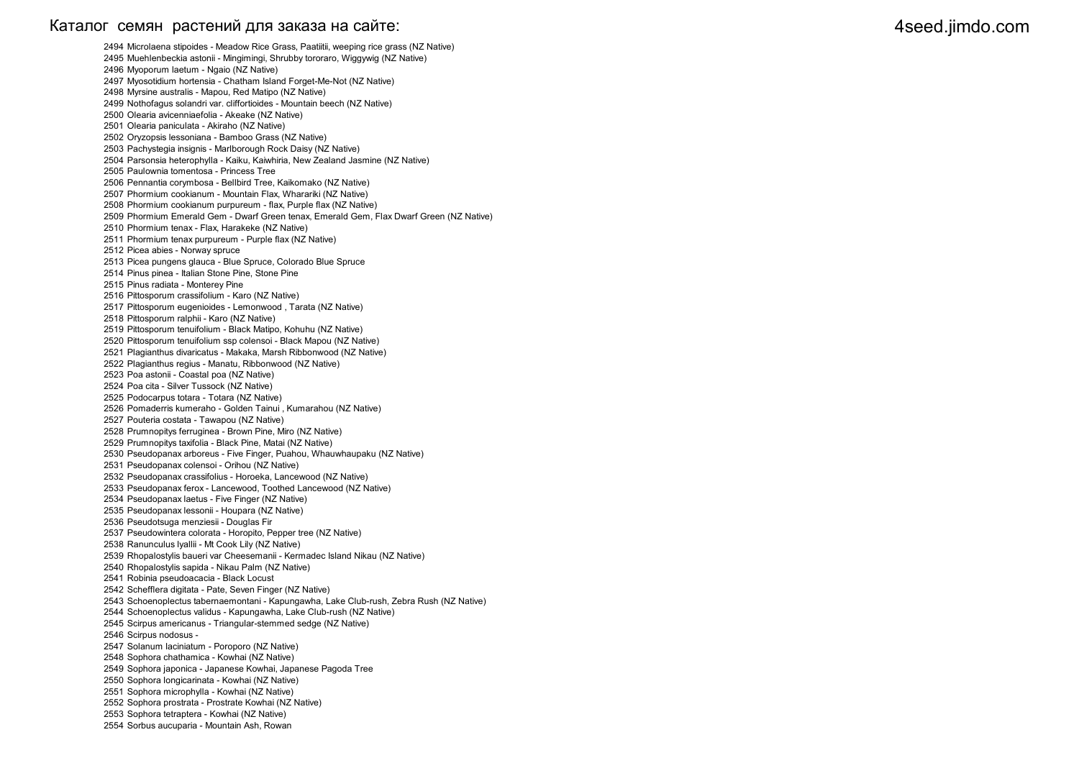### Каталог семян растений для заказа на сайте: 4seed.jimdo.com والمستخدم المستخدم المستخدم المستخدم المستخدم المستخدم المستخدم المستخدم المستخدم المستخدم المستخدم المستخدم المستخدم المستخدم المستخدم المستخدم المستخدم المستخد

2494 Microlaena stipoides - Meadow Rice Grass, Paatiitii, weeping rice grass (NZ Native) 2495 Muehlenbeckia astonii - Mingimingi, Shrubby tororaro, Wiggywig (NZ Native) 2496 Myoporum laetum - Ngaio (NZ Native) 2497 Myosotidium hortensia - Chatham Island Forget-Me-Not (NZ Native) 2498 Myrsine australis - Mapou, Red Matipo (NZ Native) 2499 Nothofagus solandri var. cliffortioides - Mountain beech (NZ Native) 2500 Olearia avicenniaefolia - Akeake (NZ Native) 2501 Olearia paniculata - Akiraho (NZ Native) 2502 Oryzopsis lessoniana - Bamboo Grass (NZ Native) 2503 Pachystegia insignis - Marlborough Rock Daisy (NZ Native) 2504 Parsonsia heterophylla - Kaiku, Kaiwhiria, New Zealand Jasmine (NZ Native) 2505 Paulownia tomentosa - Princess Tree 2506 Pennantia corymbosa - Bellbird Tree, Kaikomako (NZ Native) 2507 Phormium cookianum - Mountain Flax, Wharariki (NZ Native) 2508 Phormium cookianum purpureum - flax, Purple flax (NZ Native) 2509 Phormium Emerald Gem - Dwarf Green tenax, Emerald Gem, Flax Dwarf Green (NZ Native) 2510 Phormium tenax - Flax, Harakeke (NZ Native) 2511 Phormium tenax purpureum - Purple flax (NZ Native) 2512 Picea abies - Norway spruce 2513 Picea pungens glauca - Blue Spruce, Colorado Blue Spruce 2514 Pinus pinea - Italian Stone Pine, Stone Pine 2515 Pinus radiata - Monterey Pine 2516 Pittosporum crassifolium - Karo (NZ Native) 2517 Pittosporum eugenioides - Lemonwood , Tarata (NZ Native) 2518 Pittosporum ralphii - Karo (NZ Native) 2519 Pittosporum tenuifolium - Black Matipo, Kohuhu (NZ Native) 2520 Pittosporum tenuifolium ssp colensoi - Black Mapou (NZ Native) 2521 Plagianthus divaricatus - Makaka, Marsh Ribbonwood (NZ Native) 2522 Plagianthus regius - Manatu, Ribbonwood (NZ Native) 2523 Poa astonii - Coastal poa (NZ Native) 2524 Poa cita - Silver Tussock (NZ Native) 2525 Podocarpus totara - Totara (NZ Native) 2526 Pomaderris kumeraho - Golden Tainui , Kumarahou (NZ Native) 2527 Pouteria costata - Tawapou (NZ Native) 2528 Prumnopitys ferruginea - Brown Pine, Miro (NZ Native) 2529 Prumnopitys taxifolia - Black Pine, Matai (NZ Native) 2530 Pseudopanax arboreus - Five Finger, Puahou, Whauwhaupaku (NZ Native) 2531 Pseudopanax colensoi - Orihou (NZ Native) 2532 Pseudopanax crassifolius - Horoeka, Lancewood (NZ Native) 2533 Pseudopanax ferox - Lancewood, Toothed Lancewood (NZ Native) 2534 Pseudopanax laetus - Five Finger (NZ Native) 2535 Pseudopanax lessonii - Houpara (NZ Native) 2536 Pseudotsuga menziesii - Douglas Fir 2537 Pseudowintera colorata - Horopito, Pepper tree (NZ Native) 2538 Ranunculus lyallii - Mt Cook Lily (NZ Native) 2539 Rhopalostylis baueri var Cheesemanii - Kermadec Island Nikau (NZ Native) 2540 Rhopalostylis sapida - Nikau Palm (NZ Native) 2541 Robinia pseudoacacia - Black Locust 2542 Schefflera digitata - Pate, Seven Finger (NZ Native) 2543 Schoenoplectus tabernaemontani - Kapungawha, Lake Club-rush, Zebra Rush (NZ Native) 2544 Schoenoplectus validus - Kapungawha, Lake Club-rush (NZ Native) 2545 Scirpus americanus - Triangular-stemmed sedge (NZ Native) 2546 Scirpus nodosus - 2547 Solanum laciniatum - Poroporo (NZ Native) 2548 Sophora chathamica - Kowhai (NZ Native) 2549 Sophora japonica - Japanese Kowhai, Japanese Pagoda Tree 2550 Sophora longicarinata - Kowhai (NZ Native) 2551 Sophora microphylla - Kowhai (NZ Native) 2552 Sophora prostrata - Prostrate Kowhai (NZ Native) 2553 Sophora tetraptera - Kowhai (NZ Native) 2554 Sorbus aucuparia - Mountain Ash, Rowan